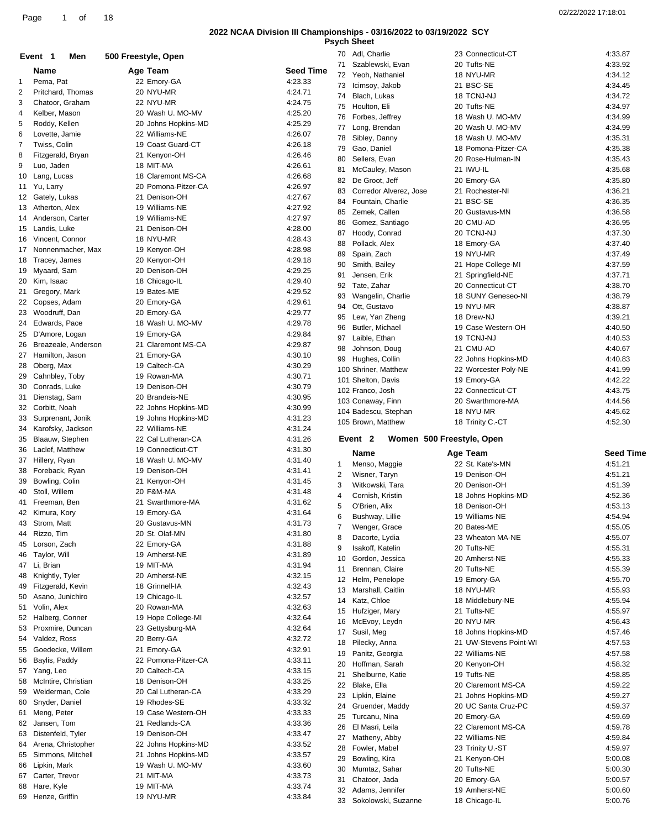**Psych Sheet**

|              |                      |                     |                  | i əyuli | <b>PHICA</b>                         |                        |                  |
|--------------|----------------------|---------------------|------------------|---------|--------------------------------------|------------------------|------------------|
|              | Event 1<br>Men       | 500 Freestyle, Open |                  |         | 70 Adl, Charlie                      | 23 Connecticut-CT      | 4:33.87          |
|              | Name                 | Age Team            | <b>Seed Time</b> |         | 71 Szablewski, Evan                  | 20 Tufts-NE            | 4:33.92          |
|              |                      |                     |                  |         | 72 Yeoh, Nathaniel                   | 18 NYU-MR              | 4:34.12          |
| $\mathbf{1}$ | Pema, Pat            | 22 Emory-GA         | 4:23.33          | 73      | Icimsoy, Jakob                       | 21 BSC-SE              | 4:34.45          |
| 2            | Pritchard, Thomas    | 20 NYU-MR           | 4:24.71          | 74      | Blach, Lukas                         | 18 TCNJ-NJ             | 4:34.72          |
| 3            | Chatoor, Graham      | 22 NYU-MR           | 4:24.75          |         | 75 Houlton, Eli                      | 20 Tufts-NE            | 4:34.97          |
| 4            | Kelber, Mason        | 20 Wash U. MO-MV    | 4:25.20          |         |                                      |                        | 4:34.99          |
| 5            | Roddy, Kellen        | 20 Johns Hopkins-MD | 4:25.29          | 76      | Forbes, Jeffrey                      | 18 Wash U. MO-MV       |                  |
| 6            | Lovette, Jamie       | 22 Williams-NE      | 4:26.07          | 77      | Long, Brendan                        | 20 Wash U. MO-MV       | 4:34.99          |
|              |                      |                     |                  | 78      | Sibley, Danny                        | 18 Wash U. MO-MV       | 4:35.31          |
| 7            | Twiss, Colin         | 19 Coast Guard-CT   | 4:26.18          | 79      | Gao, Daniel                          | 18 Pomona-Pitzer-CA    | 4:35.38          |
| 8            | Fitzgerald, Bryan    | 21 Kenyon-OH        | 4:26.46          | 80      | Sellers, Evan                        | 20 Rose-Hulman-IN      | 4:35.43          |
| 9            | Luo, Jaden           | 18 MIT-MA           | 4:26.61          | 81      | McCauley, Mason                      | 21 IWU-IL              | 4:35.68          |
| 10           | Lang, Lucas          | 18 Claremont MS-CA  | 4:26.68          |         |                                      |                        |                  |
|              | 11 Yu, Larry         | 20 Pomona-Pitzer-CA | 4:26.97          | 82      | De Groot, Jeff                       | 20 Emory-GA            | 4:35.80          |
|              |                      |                     | 4:27.67          | 83      | Corredor Alverez, Jose               | 21 Rochester-NI        | 4:36.21          |
|              | 12 Gately, Lukas     | 21 Denison-OH       |                  | 84      | Fountain, Charlie                    | 21 BSC-SE              | 4:36.35          |
|              | 13 Atherton, Alex    | 19 Williams-NE      | 4:27.92          | 85      | Zemek, Callen                        | 20 Gustavus-MN         | 4:36.58          |
| 14           | Anderson, Carter     | 19 Williams-NE      | 4:27.97          | 86      | Gomez, Santiago                      | 20 CMU-AD              | 4:36.95          |
|              | 15 Landis, Luke      | 21 Denison-OH       | 4:28.00          |         |                                      |                        |                  |
|              | 16 Vincent, Connor   | 18 NYU-MR           | 4:28.43          | 87      | Hoody, Conrad                        | 20 TCNJ-NJ             | 4:37.30          |
|              | 17 Nonnenmacher, Max | 19 Kenyon-OH        | 4:28.98          | 88      | Pollack, Alex                        | 18 Emory-GA            | 4:37.40          |
|              |                      |                     |                  | 89      | Spain, Zach                          | 19 NYU-MR              | 4:37.49          |
|              | 18 Tracey, James     | 20 Kenyon-OH        | 4:29.18          | 90      | Smith, Bailey                        | 21 Hope College-MI     | 4:37.59          |
| 19           | Myaard, Sam          | 20 Denison-OH       | 4:29.25          | 91      | Jensen, Erik                         | 21 Springfield-NE      | 4:37.71          |
| 20           | Kim, Isaac           | 18 Chicago-IL       | 4:29.40          | 92      | Tate, Zahar                          | 20 Connecticut-CT      | 4:38.70          |
| 21           | Gregory, Mark        | 19 Bates-ME         | 4:29.52          |         |                                      |                        |                  |
| 22           | Copses, Adam         | 20 Emory-GA         | 4:29.61          | 93      | Wangelin, Charlie                    | 18 SUNY Geneseo-NI     | 4:38.79          |
|              |                      |                     |                  | 94      | Ott, Gustavo                         | 19 NYU-MR              | 4:38.87          |
| 23           | Woodruff, Dan        | 20 Emory-GA         | 4:29.77          | 95      | Lew, Yan Zheng                       | 18 Drew-NJ             | 4:39.21          |
| 24           | Edwards, Pace        | 18 Wash U. MO-MV    | 4:29.78          | 96      | Butler, Michael                      | 19 Case Western-OH     | 4:40.50          |
|              | 25 D'Amore, Logan    | 19 Emory-GA         | 4:29.84          | 97      | Laible, Ethan                        | 19 TCNJ-NJ             | 4:40.53          |
| 26           | Breazeale, Anderson  | 21 Claremont MS-CA  | 4:29.87          |         |                                      |                        |                  |
| 27           | Hamilton, Jason      | 21 Emory-GA         | 4:30.10          | 98      | Johnson, Doug                        | 21 CMU-AD              | 4:40.67          |
|              |                      |                     |                  |         | 99 Hughes, Collin                    | 22 Johns Hopkins-MD    | 4:40.83          |
|              | 28 Oberg, Max        | 19 Caltech-CA       | 4:30.29          |         | 100 Shriner, Matthew                 | 22 Worcester Poly-NE   | 4:41.99          |
| 29           | Cahnbley, Toby       | 19 Rowan-MA         | 4:30.71          |         | 101 Shelton, Davis                   | 19 Emory-GA            | 4:42.22          |
| 30           | Conrads, Luke        | 19 Denison-OH       | 4:30.79          |         | 102 Franco, Josh                     | 22 Connecticut-CT      | 4:43.75          |
| 31           | Dienstag, Sam        | 20 Brandeis-NE      | 4:30.95          |         |                                      |                        |                  |
| 32           | Corbitt, Noah        | 22 Johns Hopkins-MD | 4:30.99          |         | 103 Conaway, Finn                    | 20 Swarthmore-MA       | 4:44.56          |
| 33           | Surprenant, Jonik    | 19 Johns Hopkins-MD | 4:31.23          |         | 104 Badescu, Stephan                 | 18 NYU-MR              | 4:45.62          |
|              |                      |                     |                  |         |                                      |                        |                  |
|              |                      |                     |                  |         | 105 Brown, Matthew                   | 18 Trinity C.-CT       | 4:52.30          |
| 34           | Karofsky, Jackson    | 22 Williams-NE      | 4:31.24          |         |                                      |                        |                  |
|              | 35 Blaauw, Stephen   | 22 Cal Lutheran-CA  | 4:31.26          |         | Women 500 Freestyle, Open<br>Event 2 |                        |                  |
| 36           | Laclef, Matthew      | 19 Connecticut-CT   | 4:31.30          |         |                                      |                        |                  |
|              |                      | 18 Wash U. MO-MV    |                  |         | Name                                 | Age Team               | <b>Seed Time</b> |
|              | 37 Hillery, Ryan     |                     | 4:31.40          | 1       | Menso, Maggie                        | 22 St. Kate's-MN       | 4:51.21          |
|              | 38 Foreback, Ryan    | 19 Denison-OH       | 4:31.41          | 2       | Wisner, Taryn                        | 19 Denison-OH          | 4:51.21          |
| 39           | Bowling, Colin       | 21 Kenyon-OH        | 4:31.45          | 3       | Witkowski, Tara                      | 20 Denison-OH          | 4:51.39          |
| 40           | Stoll, Willem        | 20 F&M-MA           | 4:31.48          | 4       | Cornish, Kristin                     | 18 Johns Hopkins-MD    | 4:52.36          |
|              | 41 Freeman, Ben      | 21 Swarthmore-MA    | 4:31.62          |         |                                      |                        |                  |
|              | 42 Kimura, Kory      |                     | 4:31.64          | 5       | O'Brien, Alix                        | 18 Denison-OH          | 4:53.13          |
|              |                      | 19 Emory-GA         |                  | 6       | Bushway, Lillie                      | 19 Williams-NE         | 4:54.94          |
| 43           | Strom, Matt          | 20 Gustavus-MN      | 4:31.73          | 7       | Wenger, Grace                        | 20 Bates-ME            | 4:55.05          |
| 44           | Rizzo, Tim           | 20 St. Olaf-MN      | 4:31.80          | 8       | Dacorte, Lydia                       | 23 Wheaton MA-NE       | 4:55.07          |
| 45           | Lorson, Zach         | 22 Emory-GA         | 4:31.88          | 9       | Isakoff, Katelin                     | 20 Tufts-NE            | 4:55.31          |
| 46           | Taylor, Will         | 19 Amherst-NE       | 4:31.89          |         |                                      |                        |                  |
|              | 47 Li, Brian         | 19 MIT-MA           | 4:31.94          | 10      | Gordon, Jessica                      | 20 Amherst-NE          | 4:55.33          |
| 48           | Knightly, Tyler      | 20 Amherst-NE       | 4:32.15          | 11      | Brennan, Claire                      | 20 Tufts-NE            | 4:55.39          |
|              |                      |                     |                  |         | 12 Helm, Penelope                    | 19 Emory-GA            | 4:55.70          |
| 49           | Fitzgerald, Kevin    | 18 Grinnell-IA      | 4:32.43          | 13      | Marshall, Caitlin                    | 18 NYU-MR              | 4:55.93          |
| 50           | Asano, Junichiro     | 19 Chicago-IL       | 4:32.57          | 14      | Katz, Chloe                          | 18 Middlebury-NE       | 4:55.94          |
| 51           | Volin, Alex          | 20 Rowan-MA         | 4:32.63          |         | 15 Hufziger, Mary                    | 21 Tufts-NE            | 4:55.97          |
|              | 52 Halberg, Conner   | 19 Hope College-MI  | 4:32.64          |         |                                      |                        |                  |
| 53           | Proxmire, Duncan     | 23 Gettysburg-MA    | 4:32.64          |         | 16 McEvoy, Leydn                     | 20 NYU-MR              | 4:56.43          |
| 54           |                      |                     |                  | 17      | Susil, Meg                           | 18 Johns Hopkins-MD    | 4:57.46          |
|              | Valdez, Ross         | 20 Berry-GA         | 4:32.72          | 18      | Pilecky, Anna                        | 21 UW-Stevens Point-WI | 4:57.53          |
| 55           | Goedecke, Willem     | 21 Emory-GA         | 4:32.91          | 19      | Panitz, Georgia                      | 22 Williams-NE         | 4:57.58          |
| 56           | Baylis, Paddy        | 22 Pomona-Pitzer-CA | 4:33.11          | 20      | Hoffman, Sarah                       | 20 Kenyon-OH           | 4:58.32          |
| 57           | Yang, Leo            | 20 Caltech-CA       | 4:33.15          | 21      | Shelburne, Katie                     | 19 Tufts-NE            | 4:58.85          |
| 58           | McIntire, Christian  | 18 Denison-OH       | 4:33.25          |         |                                      |                        |                  |
| 59           | Weiderman, Cole      | 20 Cal Lutheran-CA  | 4:33.29          | 22      | Blake, Ella                          | 20 Claremont MS-CA     | 4:59.22          |
|              |                      |                     |                  | 23      | Lipkin, Elaine                       | 21 Johns Hopkins-MD    | 4:59.27          |
| 60           | Snyder, Daniel       | 19 Rhodes-SE        | 4:33.32          | 24      | Gruender, Maddy                      | 20 UC Santa Cruz-PC    | 4:59.37          |
| 61           | Meng, Peter          | 19 Case Western-OH  | 4:33.33          | 25      | Turcanu, Nina                        | 20 Emory-GA            | 4:59.69          |
| 62           | Jansen, Tom          | 21 Redlands-CA      | 4:33.36          | 26      | El Masri, Leila                      | 22 Claremont MS-CA     | 4:59.78          |
| 63           | Distenfeld, Tyler    | 19 Denison-OH       | 4:33.47          |         |                                      | 22 Williams-NE         |                  |
| 64           | Arena, Christopher   | 22 Johns Hopkins-MD | 4:33.52          | 27      | Matheny, Abby                        |                        | 4:59.84          |
| 65           | Simmons, Mitchell    | 21 Johns Hopkins-MD | 4:33.57          | 28      | Fowler, Mabel                        | 23 Trinity U.-ST       | 4:59.97          |
|              |                      |                     |                  | 29      | Bowling, Kira                        | 21 Kenyon-OH           | 5:00.08          |
| 66           | Lipkin, Mark         | 19 Wash U. MO-MV    | 4:33.60          | 30      | Mumtaz, Sahar                        | 20 Tufts-NE            | 5:00.30          |
| 67           | Carter, Trevor       | 21 MIT-MA           | 4:33.73          | 31      | Chatoor, Jada                        | 20 Emory-GA            | 5:00.57          |
| 68           | Hare, Kyle           | 19 MIT-MA           | 4:33.74          | 32      | Adams, Jennifer                      | 19 Amherst-NE          | 5:00.60          |
|              | 69 Henze, Griffin    | 19 NYU-MR           | 4:33.84          |         | 33 Sokolowski, Suzanne               | 18 Chicago-IL          | 5:00.76          |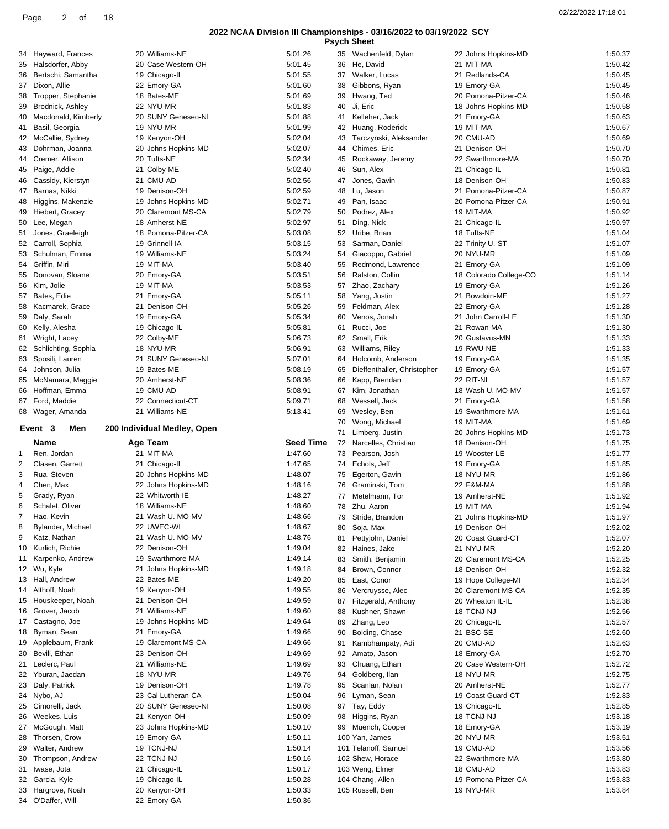|    |                                     |                             |                    |    | <b>Psych Sheet</b>          |                        |         |
|----|-------------------------------------|-----------------------------|--------------------|----|-----------------------------|------------------------|---------|
|    | 34 Hayward, Frances                 | 20 Williams-NE              | 5:01.26            |    | 35 Wachenfeld, Dylan        | 22 Johns Hopkins-MD    | 1:50.37 |
| 35 | Halsdorfer, Abby                    | 20 Case Western-OH          | 5:01.45            | 36 | He, David                   | 21 MIT-MA              | 1:50.42 |
|    | 36 Bertschi, Samantha               | 19 Chicago-IL               | 5:01.55            | 37 | Walker, Lucas               | 21 Redlands-CA         | 1:50.45 |
|    | 37 Dixon, Allie                     | 22 Emory-GA                 | 5:01.60            | 38 | Gibbons, Ryan               | 19 Emory-GA            | 1:50.45 |
| 38 | Tropper, Stephanie                  | 18 Bates-ME                 | 5:01.69            | 39 | Hwang, Ted                  | 20 Pomona-Pitzer-CA    | 1:50.46 |
| 39 | Brodnick, Ashley                    | 22 NYU-MR                   | 5:01.83            | 40 | Ji, Eric                    | 18 Johns Hopkins-MD    | 1:50.58 |
| 40 | Macdonald, Kimberly                 | 20 SUNY Geneseo-NI          | 5:01.88            | 41 | Kelleher, Jack              | 21 Emory-GA            | 1:50.63 |
| 41 | Basil, Georgia                      | 19 NYU-MR                   | 5:01.99            | 42 | Huang, Roderick             | 19 MIT-MA              | 1:50.67 |
| 42 | McCallie, Sydney                    | 19 Kenyon-OH                | 5:02.04            | 43 | Tarczynski, Aleksander      | 20 CMU-AD              | 1:50.69 |
| 43 | Dohrman, Joanna                     | 20 Johns Hopkins-MD         | 5:02.07            | 44 | Chimes, Eric                | 21 Denison-OH          | 1:50.70 |
| 44 | Cremer, Allison                     | 20 Tufts-NE                 | 5:02.34            | 45 | Rockaway, Jeremy            | 22 Swarthmore-MA       | 1:50.70 |
| 45 | Paige, Addie                        | 21 Colby-ME                 | 5:02.40            | 46 | Sun, Alex                   | 21 Chicago-IL          | 1:50.81 |
| 46 | Cassidy, Kierstyn                   | 21 CMU-AD                   | 5:02.56            | 47 | Jones, Gavin                | 18 Denison-OH          | 1:50.83 |
|    | 47 Barnas, Nikki                    | 19 Denison-OH               | 5:02.59            | 48 | Lu, Jason                   | 21 Pomona-Pitzer-CA    | 1:50.87 |
| 48 | Higgins, Makenzie                   | 19 Johns Hopkins-MD         | 5:02.71            | 49 | Pan, Isaac                  | 20 Pomona-Pitzer-CA    | 1:50.91 |
| 49 | Hiebert, Gracey                     | 20 Claremont MS-CA          | 5:02.79            | 50 | Podrez, Alex                | 19 MIT-MA              | 1:50.92 |
|    | 50 Lee, Megan                       | 18 Amherst-NE               | 5:02.97            | 51 | Ding, Nick                  | 21 Chicago-IL          | 1:50.97 |
| 51 | Jones, Graeleigh                    | 18 Pomona-Pitzer-CA         | 5:03.08            | 52 | Uribe, Brian                | 18 Tufts-NE            | 1:51.04 |
|    | 52 Carroll, Sophia                  | 19 Grinnell-IA              | 5:03.15            | 53 | Sarman, Daniel              | 22 Trinity U.-ST       | 1:51.07 |
|    | 53 Schulman, Emma                   | 19 Williams-NE              | 5:03.24            | 54 | Giacoppo, Gabriel           | 20 NYU-MR              | 1:51.09 |
|    | 54 Griffin, Miri                    | 19 MIT-MA                   | 5:03.40            | 55 | Redmond, Lawrence           | 21 Emory-GA            | 1:51.09 |
| 55 | Donovan, Sloane                     | 20 Emory-GA                 | 5:03.51            | 56 | Ralston, Collin             | 18 Colorado College-CO | 1:51.14 |
|    | 56 Kim, Jolie                       | 19 MIT-MA                   | 5:03.53            | 57 | Zhao, Zachary               | 19 Emory-GA            | 1:51.26 |
|    | 57 Bates, Edie                      | 21 Emory-GA                 | 5:05.11            | 58 | Yang, Justin                | 21 Bowdoin-ME          | 1:51.27 |
| 58 | Kacmarek, Grace                     | 21 Denison-OH               | 5:05.26            | 59 | Feldman, Alex               | 22 Emory-GA            | 1:51.28 |
|    | 59 Daly, Sarah                      | 19 Emory-GA                 | 5:05.34            | 60 | Venos, Jonah                | 21 John Carroll-LE     | 1:51.30 |
| 60 | Kelly, Alesha                       | 19 Chicago-IL               | 5:05.81            | 61 | Rucci, Joe                  | 21 Rowan-MA            | 1:51.30 |
| 61 | Wright, Lacey                       | 22 Colby-ME                 | 5:06.73            | 62 | Small, Erik                 | 20 Gustavus-MN         | 1:51.33 |
|    | 62 Schlichting, Sophia              | 18 NYU-MR                   | 5:06.91            | 63 | Williams, Riley             | 19 RWU-NE              | 1:51.33 |
|    | 63 Sposili, Lauren                  | 21 SUNY Geneseo-NI          | 5:07.01            | 64 | Holcomb, Anderson           | 19 Emory-GA            | 1:51.35 |
| 64 | Johnson, Julia                      | 19 Bates-ME                 | 5:08.19            | 65 | Dieffenthaller, Christopher | 19 Emory-GA            | 1:51.57 |
|    | 65 McNamara, Maggie                 | 20 Amherst-NE               | 5:08.36            | 66 | Kapp, Brendan               | 22 RIT-NI              | 1:51.57 |
|    | 66 Hoffman, Emma                    | 19 CMU-AD                   | 5:08.91            | 67 | Kim, Jonathan               | 18 Wash U. MO-MV       | 1:51.57 |
|    | 67 Ford, Maddie                     | 22 Connecticut-CT           | 5:09.71            | 68 | Wessell, Jack               | 21 Emory-GA            | 1:51.58 |
|    | 68 Wager, Amanda                    | 21 Williams-NE              | 5:13.41            | 69 | Wesley, Ben                 | 19 Swarthmore-MA       | 1:51.61 |
|    | Event 3<br>Men                      | 200 Individual Medley, Open |                    | 70 | Wong, Michael               | 19 MIT-MA              | 1:51.69 |
|    |                                     |                             |                    |    | Limberg, Justin             | 20 Johns Hopkins-MD    | 1:51.73 |
|    |                                     |                             |                    | 71 |                             |                        |         |
|    | Name                                | Age Team                    | <b>Seed Time</b>   | 72 | Narcelles, Christian        | 18 Denison-OH          | 1:51.75 |
| 1  | Ren, Jordan                         | 21 MIT-MA                   | 1:47.60            | 73 | Pearson, Josh               | 19 Wooster-LE          | 1:51.77 |
| 2  | Clasen, Garrett                     | 21 Chicago-IL               | 1:47.65            | 74 | Echols, Jeff                | 19 Emory-GA            | 1:51.85 |
| 3  | Rua, Steven                         | 20 Johns Hopkins-MD         | 1:48.07            | 75 | Egerton, Gavin              | 18 NYU-MR              | 1:51.86 |
| 4  | Chen, Max                           | 22 Johns Hopkins-MD         | 1:48.16            | 76 | Graminski, Tom              | 22 F&M-MA              | 1:51.88 |
| 5  | Grady, Ryan                         | 22 Whitworth-IE             | 1:48.27            | 77 | Metelmann, Tor              | 19 Amherst-NE          | 1:51.92 |
| 6  | Schalet, Oliver                     | 18 Williams-NE              | 1:48.60            |    | 78 Zhu, Aaron               | 19 MIT-MA              | 1:51.94 |
| 7  | Hao, Kevin                          | 21 Wash U. MO-MV            | 1:48.66            |    | 79 Stride, Brandon          | 21 Johns Hopkins-MD    | 1:51.97 |
| 8  | Bylander, Michael                   | 22 UWEC-WI                  | 1:48.67            | 80 | Soja, Max                   | 19 Denison-OH          | 1:52.02 |
| 9  | Katz, Nathan                        | 21 Wash U. MO-MV            | 1:48.76            | 81 | Pettyjohn, Daniel           | 20 Coast Guard-CT      | 1:52.07 |
| 10 | Kurlich, Richie                     | 22 Denison-OH               | 1:49.04            | 82 | Haines, Jake                | 21 NYU-MR              | 1:52.20 |
| 11 | Karpenko, Andrew                    | 19 Swarthmore-MA            | 1:49.14            | 83 | Smith, Benjamin             | 20 Claremont MS-CA     | 1:52.25 |
|    | 12 Wu, Kyle                         | 21 Johns Hopkins-MD         | 1:49.18            | 84 | Brown, Connor               | 18 Denison-OH          | 1:52.32 |
|    | 13 Hall, Andrew                     | 22 Bates-ME                 | 1:49.20            | 85 | East, Conor                 | 19 Hope College-MI     | 1:52.34 |
|    | 14 Althoff, Noah                    | 19 Kenyon-OH                | 1:49.55            | 86 | Vercruysse, Alec            | 20 Claremont MS-CA     | 1:52.35 |
|    | 15 Houskeeper, Noah                 | 21 Denison-OH               | 1:49.59            | 87 | Fitzgerald, Anthony         | 20 Wheaton IL-IL       | 1:52.38 |
|    | 16 Grover, Jacob                    | 21 Williams-NE              | 1:49.60            | 88 | Kushner, Shawn              | 18 TCNJ-NJ             | 1:52.56 |
|    | 17 Castagno, Joe                    | 19 Johns Hopkins-MD         | 1:49.64            | 89 | Zhang, Leo                  | 20 Chicago-IL          | 1:52.57 |
|    | 18 Byman, Sean                      | 21 Emory-GA                 | 1:49.66            | 90 | Bolding, Chase              | 21 BSC-SE              | 1:52.60 |
|    | 19 Applebaum, Frank                 | 19 Claremont MS-CA          | 1:49.66            | 91 | Kambhampaty, Adi            | 20 CMU-AD              | 1:52.63 |
|    | 20 Bevill, Ethan                    | 23 Denison-OH               | 1:49.69            | 92 | Amato, Jason                | 18 Emory-GA            | 1:52.70 |
|    | 21 Leclerc, Paul                    | 21 Williams-NE              | 1:49.69            | 93 | Chuang, Ethan               | 20 Case Western-OH     | 1:52.72 |
|    | 22 Yburan, Jaedan                   | 18 NYU-MR                   | 1:49.76            | 94 | Goldberg, Ilan              | 18 NYU-MR              | 1:52.75 |
|    | 23 Daly, Patrick                    | 19 Denison-OH               | 1:49.78            | 95 | Scanlan, Nolan              | 20 Amherst-NE          | 1:52.77 |
|    | 24 Nybo, AJ                         | 23 Cal Lutheran-CA          | 1:50.04            | 96 | Lyman, Sean                 | 19 Coast Guard-CT      | 1:52.83 |
|    | 25 Cimorelli, Jack                  | 20 SUNY Geneseo-NI          | 1:50.08            |    | 97 Tay, Eddy                | 19 Chicago-IL          | 1:52.85 |
| 26 | Weekes, Luis                        | 21 Kenyon-OH                | 1:50.09            | 98 | Higgins, Ryan               | 18 TCNJ-NJ             | 1:53.18 |
|    | 27 McGough, Matt                    | 23 Johns Hopkins-MD         | 1:50.10            | 99 | Muench, Cooper              | 18 Emory-GA            | 1:53.19 |
|    | 28 Thorsen, Crow                    | 19 Emory-GA                 | 1:50.11            |    | 100 Yan, James              | 20 NYU-MR              | 1:53.51 |
| 29 | Walter, Andrew                      | 19 TCNJ-NJ                  | 1:50.14            |    | 101 Telanoff, Samuel        | 19 CMU-AD              | 1:53.56 |
| 30 | Thompson, Andrew                    | 22 TCNJ-NJ                  | 1:50.16            |    | 102 Shew, Horace            | 22 Swarthmore-MA       | 1:53.80 |
|    | 31 Iwase, Jota                      | 21 Chicago-IL               | 1:50.17            |    | 103 Weng, Elmer             | 18 CMU-AD              | 1:53.83 |
|    | 32 Garcia, Kyle                     | 19 Chicago-IL               | 1:50.28            |    | 104 Chang, Allen            | 19 Pomona-Pitzer-CA    | 1:53.83 |
| 33 | Hargrove, Noah<br>34 O'Daffer, Will | 20 Kenyon-OH<br>22 Emory-GA | 1:50.33<br>1:50.36 |    | 105 Russell, Ben            | 19 NYU-MR              | 1:53.84 |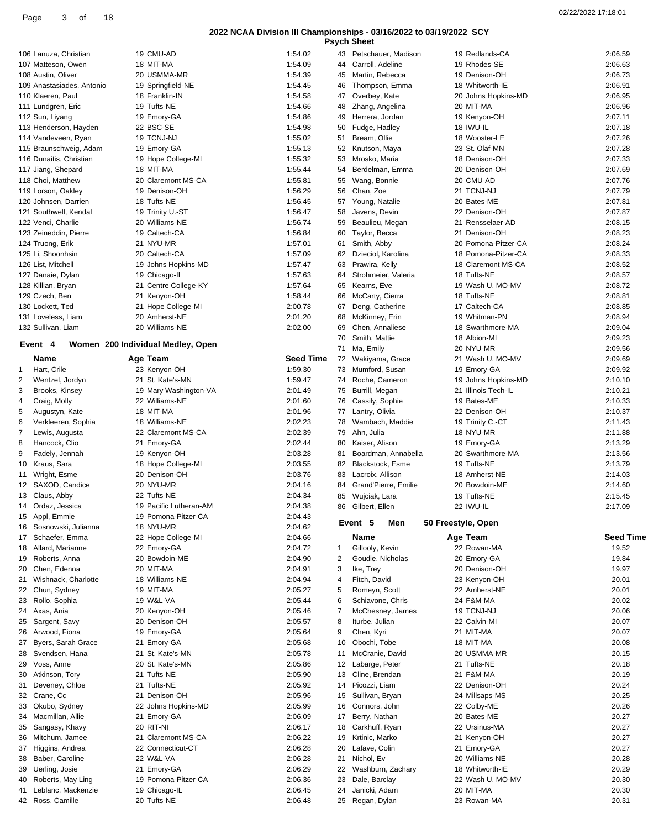| <b>Psych Sheet</b> |
|--------------------|
|                    |

| 02/22/2022 17:18:01 |  |
|---------------------|--|
|---------------------|--|

|                                               |                                   |                    |          | <b>Psych Sheet</b>               |                                   |                    |
|-----------------------------------------------|-----------------------------------|--------------------|----------|----------------------------------|-----------------------------------|--------------------|
| 106 Lanuza, Christian                         | 19 CMU-AD                         | 1:54.02            |          | 43 Petschauer, Madison           | 19 Redlands-CA                    | 2:06.59            |
| 107 Matteson, Owen                            | 18 MIT-MA                         | 1:54.09            | 44       | Carroll, Adeline                 | 19 Rhodes-SE                      | 2:06.63            |
| 108 Austin, Oliver                            | 20 USMMA-MR                       | 1:54.39            | 45       | Martin, Rebecca                  | 19 Denison-OH                     | 2:06.73            |
| 109 Anastasiades, Antonio                     | 19 Springfield-NE                 | 1:54.45            | 46       | Thompson, Emma                   | 18 Whitworth-IE                   | 2:06.91            |
| 110 Klaeren, Paul                             | 18 Franklin-IN                    | 1:54.58            | 47       | Overbey, Kate                    | 20 Johns Hopkins-MD               | 2:06.95            |
| 111 Lundgren, Eric                            | 19 Tufts-NE                       | 1:54.66            | 48       | Zhang, Angelina                  | 20 MIT-MA                         | 2:06.96            |
| 112 Sun, Liyang                               | 19 Emory-GA                       | 1:54.86            | 49       | Herrera, Jordan                  | 19 Kenyon-OH                      | 2:07.11            |
| 113 Henderson, Hayden                         | 22 BSC-SE                         | 1:54.98            | 50       | Fudge, Hadley                    | 18 IWU-IL                         | 2:07.18<br>2:07.26 |
| 114 Vandeveen, Ryan<br>115 Braunschweig, Adam | 19 TCNJ-NJ<br>19 Emory-GA         | 1:55.02<br>1:55.13 | 51<br>52 | Bream, Ollie<br>Knutson, Maya    | 18 Wooster-LE<br>23 St. Olaf-MN   | 2:07.28            |
| 116 Dunaitis, Christian                       | 19 Hope College-MI                | 1:55.32            | 53       | Mrosko, Maria                    | 18 Denison-OH                     | 2:07.33            |
| 117 Jiang, Shepard                            | 18 MIT-MA                         | 1:55.44            | 54       | Berdelman, Emma                  | 20 Denison-OH                     | 2:07.69            |
| 118 Choi, Matthew                             | 20 Claremont MS-CA                | 1:55.81            |          | 55 Wang, Bonnie                  | 20 CMU-AD                         | 2:07.76            |
| 119 Lorson, Oakley                            | 19 Denison-OH                     | 1:56.29            | 56       | Chan, Zoe                        | 21 TCNJ-NJ                        | 2:07.79            |
| 120 Johnsen, Darrien                          | 18 Tufts-NE                       | 1:56.45            | 57       | Young, Natalie                   | 20 Bates-ME                       | 2:07.81            |
| 121 Southwell, Kendal                         | 19 Trinity U.-ST                  | 1:56.47            | 58       | Javens, Devin                    | 22 Denison-OH                     | 2:07.87            |
| 122 Venci, Charlie                            | 20 Williams-NE                    | 1:56.74            | 59       | Beaulieu, Megan                  | 21 Rensselaer-AD                  | 2:08.15            |
| 123 Zeineddin, Pierre                         | 19 Caltech-CA                     | 1:56.84            | 60       | Taylor, Becca                    | 21 Denison-OH                     | 2:08.23            |
| 124 Truong, Erik                              | 21 NYU-MR                         | 1:57.01            | 61       | Smith, Abby                      | 20 Pomona-Pitzer-CA               | 2:08.24            |
| 125 Li, Shoonhsin                             | 20 Caltech-CA                     | 1:57.09            | 62       | Dzieciol, Karolina               | 18 Pomona-Pitzer-CA               | 2:08.33            |
| 126 List, Mitchell                            | 19 Johns Hopkins-MD               | 1:57.47            | 63       | Prawira, Kelly                   | 18 Claremont MS-CA                | 2:08.52            |
| 127 Danaie, Dylan                             | 19 Chicago-IL                     | 1:57.63            | 64       | Strohmeier, Valeria              | 18 Tufts-NE                       | 2:08.57            |
| 128 Killian, Bryan                            | 21 Centre College-KY              | 1:57.64            |          | 65 Kearns, Eve                   | 19 Wash U. MO-MV                  | 2:08.72            |
| 129 Czech, Ben                                | 21 Kenyon-OH                      | 1:58.44            | 66       | McCarty, Cierra                  | 18 Tufts-NE                       | 2:08.81            |
| 130 Lockett, Ted                              | 21 Hope College-MI                | 2:00.78            | 67       | Deng, Catherine                  | 17 Caltech-CA                     | 2:08.85            |
| 131 Loveless, Liam                            | 20 Amherst-NE<br>20 Williams-NE   | 2:01.20<br>2:02.00 | 68       | McKinney, Erin                   | 19 Whitman-PN<br>18 Swarthmore-MA | 2:08.94<br>2:09.04 |
| 132 Sullivan, Liam                            |                                   |                    | 69<br>70 | Chen, Annaliese<br>Smith, Mattie | 18 Albion-MI                      | 2:09.23            |
| Event 4                                       | Women 200 Individual Medley, Open |                    | 71       | Ma, Emily                        | 20 NYU-MR                         | 2:09.56            |
| Name                                          | Age Team                          | <b>Seed Time</b>   |          | 72 Wakiyama, Grace               | 21 Wash U. MO-MV                  | 2:09.69            |
| Hart, Crile<br>1                              | 23 Kenyon-OH                      | 1:59.30            | 73       | Mumford, Susan                   | 19 Emory-GA                       | 2:09.92            |
| Wentzel, Jordyn<br>2                          | 21 St. Kate's-MN                  | 1:59.47            | 74       | Roche, Cameron                   | 19 Johns Hopkins-MD               | 2:10.10            |
| Brooks, Kinsey<br>3                           | 19 Mary Washington-VA             | 2:01.49            | 75       | Burrill, Megan                   | 21 Illinois Tech-IL               | 2:10.21            |
| 4<br>Craig, Molly                             | 22 Williams-NE                    | 2:01.60            | 76       | Cassily, Sophie                  | 19 Bates-ME                       | 2:10.33            |
| Augustyn, Kate<br>5                           | 18 MIT-MA                         | 2:01.96            | 77       | Lantry, Olivia                   | 22 Denison-OH                     | 2:10.37            |
| Verkleeren, Sophia<br>6                       | 18 Williams-NE                    |                    |          | Wambach, Maddie                  |                                   |                    |
|                                               |                                   | 2:02.23            | 78       |                                  |                                   | 2:11.43            |
| Lewis, Augusta<br>7                           | 22 Claremont MS-CA                | 2:02.39            | 79       | Ahn, Julia                       | 19 Trinity C.-CT<br>18 NYU-MR     | 2:11.88            |
| Hancock, Clio<br>8                            | 21 Emory-GA                       | 2:02.44            | 80       | Kaiser, Alison                   | 19 Emory-GA                       | 2:13.29            |
| 9<br>Fadely, Jennah                           | 19 Kenyon-OH                      | 2:03.28            | 81       | Boardman, Annabella              | 20 Swarthmore-MA                  | 2:13.56            |
| Kraus, Sara<br>10                             | 18 Hope College-MI                | 2:03.55            | 82       | Blackstock, Esme                 | 19 Tufts-NE                       | 2:13.79            |
| Wright, Esme<br>11                            | 20 Denison-OH                     | 2:03.76            | 83       | Lacroix, Allison                 | 18 Amherst-NE                     | 2:14.03            |
| 12 SAXOD, Candice                             | 20 NYU-MR                         | 2:04.16            | 84       | Grand'Pierre, Emilie             | 20 Bowdoin-ME                     | 2:14.60            |
| 13 Claus, Abby                                | 22 Tufts-NE                       | 2:04.34            |          | 85 Wujciak, Lara                 | 19 Tufts-NE                       | 2:15.45            |
| 14 Ordaz, Jessica                             | 19 Pacific Lutheran-AM            | 2:04.38            |          | 86 Gilbert, Ellen                | 22 IWU-IL                         | 2:17.09            |
| 15 Appl, Emmie                                | 19 Pomona-Pitzer-CA               | 2:04.43            |          |                                  |                                   |                    |
| 16 Sosnowski, Julianna                        | 18 NYU-MR                         | 2:04.62            |          | Event 5<br>Men                   | 50 Freestyle, Open                |                    |
| Schaefer, Emma<br>17                          | 22 Hope College-MI                | 2:04.66            |          | <b>Name</b>                      | Age Team                          | <b>Seed Time</b>   |
| Allard, Marianne<br>18                        | 22 Emory-GA                       | 2:04.72            | 1        | Gillooly, Kevin                  | 22 Rowan-MA                       | 19.52              |
| Roberts, Anna<br>19                           | 20 Bowdoin-ME                     | 2:04.90            | 2        | Goudie, Nicholas                 | 20 Emory-GA                       | 19.84              |
| Chen, Edenna<br>20                            | 20 MIT-MA                         | 2:04.91            | 3        | Ike, Trey                        | 20 Denison-OH                     | 19.97              |
| Wishnack, Charlotte<br>21                     | 18 Williams-NE                    | 2:04.94            | 4        | Fitch, David                     | 23 Kenyon-OH                      | 20.01              |
| Chun, Sydney<br>22                            | 19 MIT-MA                         | 2:05.27            | 5        | Romeyn, Scott                    | 22 Amherst-NE                     | 20.01              |
| Rollo, Sophia<br>23                           | 19 W&L-VA                         | 2:05.44            | 6        | Schiavone, Chris                 | 24 F&M-MA                         | 20.02              |
| 24 Axas, Ania                                 | 20 Kenyon-OH                      | 2:05.46            | 7        | McChesney, James                 | 19 TCNJ-NJ                        | 20.06              |
| Sargent, Savy<br>25                           | 20 Denison-OH                     | 2:05.57            | 8        | Iturbe, Julian                   | 22 Calvin-MI                      | 20.07              |
| Arwood, Fiona<br>26                           | 19 Emory-GA                       | 2:05.64            | 9        | Chen, Kyri                       | 21 MIT-MA                         | 20.07              |
| Byers, Sarah Grace<br>27                      | 21 Emory-GA                       | 2:05.68            | 10       | Obochi, Tobe                     | 18 MIT-MA                         | 20.08              |
| Svendsen, Hana<br>28                          | 21 St. Kate's-MN                  | 2:05.78            | 11       | McCranie, David                  | 20 USMMA-MR                       | 20.15              |
| Voss, Anne<br>29<br>30                        | 20 St. Kate's-MN                  | 2:05.86            | 12       | Labarge, Peter                   | 21 Tufts-NE                       | 20.18              |
| Atkinson, Tory<br>Deveney, Chloe<br>31        | 21 Tufts-NE<br>21 Tufts-NE        | 2:05.90<br>2:05.92 | 13<br>14 | Cline, Brendan<br>Picozzi, Liam  | 21 F&M-MA<br>22 Denison-OH        | 20.19<br>20.24     |
| Crane, Cc<br>32                               | 21 Denison-OH                     | 2:05.96            | 15       | Sullivan, Bryan                  | 24 Millsaps-MS                    | 20.25              |
| Okubo, Sydney<br>33                           | 22 Johns Hopkins-MD               | 2:05.99            | 16       | Connors, John                    | 22 Colby-ME                       | 20.26              |
| Macmillan, Allie<br>34                        | 21 Emory-GA                       | 2:06.09            | 17       | Berry, Nathan                    | 20 Bates-ME                       | 20.27              |
| Sangasy, Khavy<br>35                          | 20 RIT-NI                         | 2:06.17            | 18       | Carkhuff, Ryan                   | 22 Ursinus-MA                     | 20.27              |
| Mitchum, Jamee<br>36                          | 21 Claremont MS-CA                | 2:06.22            | 19       | Krtinic, Marko                   | 21 Kenyon-OH                      | 20.27              |
| Higgins, Andrea<br>37                         | 22 Connecticut-CT                 | 2:06.28            | 20       | Lafave, Colin                    | 21 Emory-GA                       | 20.27              |
| Baber, Caroline<br>38                         | 22 W&L-VA                         | 2:06.28            | 21       | Nichol, Ev                       | 20 Williams-NE                    | 20.28              |
| Uerling, Josie<br>39                          | 21 Emory-GA                       | 2:06.29            |          | 22 Washburn, Zachary             | 18 Whitworth-IE                   | 20.29              |
| Roberts, May Ling<br>40                       | 19 Pomona-Pitzer-CA               | 2:06.36            | 23       | Dale, Barclay                    | 22 Wash U. MO-MV                  | 20.30              |
| Leblanc, Mackenzie<br>41                      | 19 Chicago-IL                     | 2:06.45            | 24       | Janicki, Adam                    | 20 MIT-MA                         | 20.30              |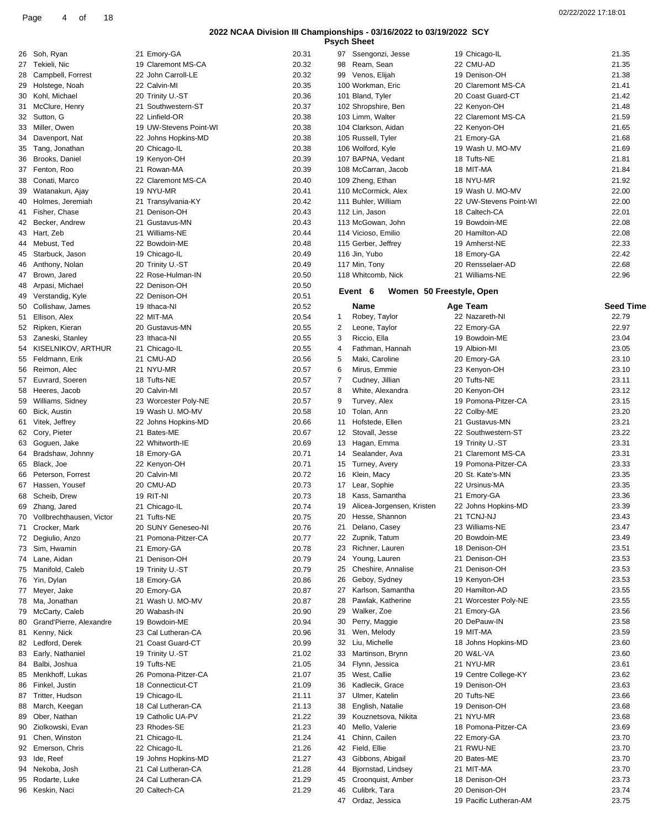**Psych Sheet**

| 26       | Soh, Ryan                                | 21 Emory-GA                             | 20.31          |
|----------|------------------------------------------|-----------------------------------------|----------------|
| 27       | Tekieli, Nic                             | 19 Claremont MS-CA                      | 20.32          |
| 28       | Campbell, Forrest                        | 22 John Carroll-LE                      | 20.32          |
| 29       | Holstege, Noah                           | 22 Calvin-MI                            | 20.35          |
| 30<br>31 | Kohl, Michael                            | 20 Trinity U.-ST<br>21 Southwestern-ST  | 20.36<br>20.37 |
| 32       | McClure, Henry<br>Sutton, G              | 22 Linfield-OR                          | 20.38          |
| 33       | Miller, Owen                             | 19 UW-Stevens Point-WI                  | 20.38          |
| 34       | Davenport, Nat                           | 22 Johns Hopkins-MD                     | 20.38          |
| 35       | Tang, Jonathan                           | 20 Chicago-IL                           | 20.38          |
| 36       | Brooks, Daniel                           | 19 Kenyon-OH                            | 20.39          |
| 37       | Fenton, Roo                              | 21 Rowan-MA                             | 20.39          |
| 38       | Conati, Marco                            | 22 Claremont MS-CA                      | 20.40          |
| 39       | Watanakun, Ajay                          | 19 NYU-MR                               | 20.41          |
| 40<br>41 | Holmes, Jeremiah<br>Fisher, Chase        | 21 Transylvania-KY<br>21 Denison-OH     | 20.42<br>20.43 |
| 42       | Becker, Andrew                           | 21 Gustavus-MN                          | 20.43          |
| 43       | Hart, Zeb                                | 21 Williams-NE                          | 20.44          |
| 44       | Mebust, Ted                              | 22 Bowdoin-ME                           | 20.48          |
| 45       | Starbuck, Jason                          | 19 Chicago-IL                           | 20.49          |
| 46       | Anthony, Nolan                           | 20 Trinity U.-ST                        | 20.49          |
| 47       | Brown, Jared                             | 22 Rose-Hulman-IN                       | 20.50          |
| 48       | Arpasi, Michael                          | 22 Denison-OH                           | 20.50          |
| 50       | 49 Verstandig, Kyle<br>Collishaw, James  | 22 Denison-OH<br>19 Ithaca-NI           | 20.51          |
| 51       | Ellison, Alex                            | 22 MIT-MA                               | 20.52<br>20.54 |
| 52       | Ripken, Kieran                           | 20 Gustavus-MN                          | 20.55          |
| 53       | Zaneski, Stanley                         | 23 Ithaca-NI                            | 20.55          |
| 54       | KISELNIKOV, ARTHUR                       | 21 Chicago-IL                           | 20.55          |
| 55       | Feldmann, Erik                           | 21 CMU-AD                               | 20.56          |
| 56       | Reimon, Alec                             | 21 NYU-MR                               | 20.57          |
| 57       | Euvrard, Soeren                          | 18 Tufts-NE                             | 20.57          |
| 58       | Heeres, Jacob                            | 20 Calvin-MI                            | 20.57          |
| 59       | Williams, Sidney                         | 23 Worcester Poly-NE                    | 20.57          |
| 60<br>61 | Bick, Austin<br>Vitek, Jeffrey           | 19 Wash U. MO-MV<br>22 Johns Hopkins-MD | 20.58<br>20.66 |
| 62       | Cory, Pieter                             | 21 Bates-ME                             | 20.67          |
| 63       | Goguen, Jake                             | 22 Whitworth-IE                         | 20.69          |
| 64       | Bradshaw, Johnny                         | 18 Emory-GA                             | 20.71          |
| 65       | Black, Joe                               | 22 Kenyon-OH                            | 20.71          |
| 66       | Peterson, Forrest                        | 20 Calvin-MI                            | 20.72          |
| 67       | Hassen, Yousef                           | 20 CMU-AD                               | 20.73          |
| 68       | Scheib, Drew                             | 19 RIT-NI                               | 20.73          |
| 69<br>70 | Zhang, Jared<br>Vollbrechthausen, Victor | 21 Chicago-IL<br>21 Tufts-NE            | 20.74<br>20.75 |
| 71       | Crocker, Mark                            | 20 SUNY Geneseo-NI                      | 20.76          |
| 72       | Degiulio, Anzo                           | 21 Pomona-Pitzer-CA                     | 20.77          |
| 73       | Sim, Hwamin                              | 21 Emory-GA                             | 20.78          |
| 74       | Lane, Aidan                              | 21 Denison-OH                           | 20.79          |
| 75       | Manifold, Caleb                          | 19 Trinity U.-ST                        | 20.79          |
| 76       | Yin, Dylan                               | 18 Emory-GA                             | 20.86          |
| 77       | Meyer, Jake                              | 20 Emory-GA                             | 20.87          |
| 78<br>79 | Ma, Jonathan<br>McCarty, Caleb           | 21 Wash U. MO-MV<br>20 Wabash-IN        | 20.87<br>20.90 |
| 80       | Grand'Pierre, Alexandre                  | 19 Bowdoin-ME                           | 20.94          |
| 81       | Kenny, Nick                              | 23 Cal Lutheran-CA                      | 20.96          |
| 82       | Ledford, Derek                           | 21 Coast Guard-CT                       | 20.99          |
| 83       | Early, Nathaniel                         | 19 Trinity U.-ST                        | 21.02          |
| 84       | Balbi, Joshua                            | 19 Tufts-NE                             | 21.05          |
| 85       | Menkhoff, Lukas                          | 26 Pomona-Pitzer-CA                     | 21.07          |
| 86       | Finkel, Justin                           | 18 Connecticut-CT                       | 21.09          |
| 87       | Tritter, Hudson                          | 19 Chicago-IL                           | 21.11          |
| 88<br>89 | March, Keegan<br>Ober, Nathan            | 18 Cal Lutheran-CA<br>19 Catholic UA-PV | 21.13<br>21.22 |
| 90       | Ziolkowski, Evan                         | 23 Rhodes-SE                            | 21.23          |
| 91       | Chen, Winston                            | 21 Chicago-IL                           | 21.24          |
| 92       | Emerson, Chris                           | 22 Chicago-IL                           | 21.26          |
| 93       | Ide, Reef                                | 19 Johns Hopkins-MD                     | 21.27          |
| 94       | Nekoba, Josh                             | 21 Cal Lutheran-CA                      | 21.28          |
| 95       | Rodarte, Luke                            | 24 Cal Lutheran-CA                      | 21.29          |
| 96       | Keskin, Naci                             | 20 Caltech-CA                           | 21.29          |

|    | 97 Ssengonzi, Jesse                    | 19 Chicago-IL          | 21.35            |
|----|----------------------------------------|------------------------|------------------|
|    | 98 Ream, Sean                          | 22 CMU-AD              | 21.35            |
|    | 99 Venos, Elijah                       | 19 Denison-OH          | 21.38            |
|    | 100 Workman, Eric                      | 20 Claremont MS-CA     | 21.41            |
|    | 101 Bland, Tyler                       | 20 Coast Guard-CT      | 21.42            |
|    | 102 Shropshire, Ben                    | 22 Kenyon-OH           | 21.48            |
|    | 103 Limm, Walter                       | 22 Claremont MS-CA     | 21.59            |
|    | 104 Clarkson, Aidan                    | 22 Kenyon-OH           | 21.65            |
|    | 105 Russell, Tyler                     | 21 Emory-GA            | 21.68            |
|    | 106 Wolford, Kyle                      | 19 Wash U. MO-MV       | 21.69            |
|    | 107 BAPNA, Vedant                      | 18 Tufts-NE            | 21.81            |
|    | 108 McCarran, Jacob                    | 18 MIT-MA              | 21.84            |
|    | 109 Zheng, Ethan                       | 18 NYU-MR              | 21.92            |
|    | 110 McCormick, Alex                    | 19 Wash U. MO-MV       | 22.00            |
|    | 111 Buhler, William                    | 22 UW-Stevens Point-WI | 22.00            |
|    | 112 Lin, Jason                         | 18 Caltech-CA          | 22.01            |
|    | 113 McGowan, John                      | 19 Bowdoin-ME          | 22.08            |
|    | 114 Vicioso, Emilio                    | 20 Hamilton-AD         | 22.08            |
|    | 115 Gerber, Jeffrey                    | 19 Amherst-NE          | 22.33            |
|    | 116 Jin, Yubo                          | 18 Emory-GA            | 22.42            |
|    | 117 Min, Tony                          | 20 Rensselaer-AD       | 22.68            |
|    | 118 Whitcomb, Nick                     | 21 Williams-NF         | 22.96            |
|    | Event<br>6<br>Women 50 Freestyle, Open |                        |                  |
|    |                                        |                        |                  |
|    | Name                                   | Age Team               | <b>Seed Time</b> |
| 1  | Robey, Taylor                          | 22 Nazareth-NI         | 22.79            |
| 2  | Leone, Taylor                          | 22 Emory-GA            | 22.97            |
| 3  | Riccio, Ella                           | 19 Bowdoin-ME          | 23.04            |
| 4  | Fathman, Hannah                        | 19 Albion-MI           | 23.05            |
| 5  | Maki, Caroline                         | 20 Emory-GA            | 23.10            |
| 6  | Mirus, Emmie                           | 23 Kenyon-OH           | 23.10            |
| 7  | Cudney, Jillian                        | 20 Tufts-NE            | 23.11            |
| 8  | White, Alexandra                       | 20 Kenyon-OH           | 23.12            |
| 9  | Turvey, Alex                           | 19 Pomona-Pitzer-CA    | 23.15            |
| 10 | Tolan, Ann                             | 22 Colby-ME            | 23.20            |
| 11 | Hofstede, Ellen                        | 21 Gustavus-MN         | 23.21            |
| 12 | Stovall, Jesse                         | 22 Southwestern-ST     | 23.22            |
| 13 | Hagan, Emma                            | 19 Trinity U.-ST       | 23.31            |
| 14 | Sealander, Ava                         | 21 Claremont MS-CA     | 23.31            |
| 15 | Turney, Avery                          | 19 Pomona-Pitzer-CA    | 23.33            |
| 16 | Klein, Macy                            | 20 St. Kate's-MN       | 23.35            |
| 17 | Lear, Sophie                           | 22 Ursinus-MA          | 23.35            |
| 18 | Kass, Samantha                         | 21 Emory-GA            | 23.36            |
| 19 | Alicea-Jorgensen, Kristen              | 22 Johns Hopkins-MD    | 23.39            |
|    | 20 Hesse, Shannon                      | 21 TCNJ-NJ             | 23.43            |
| 21 | Delano, Casey                          | 23 Williams-NE         | 23.47            |
|    | 22 Zupnik, Tatum                       | 20 Bowdoin-ME          | 23.49            |
| 23 | Richner, Lauren                        | 18 Denison-OH          | 23.51            |
| 24 | Young, Lauren                          | 21 Denison-OH          | 23.53            |
| 25 | Cheshire, Annalise                     | 21 Denison-OH          | 23.53            |
| 26 | Geboy, Sydney                          | 19 Kenyon-OH           | 23.53            |
| 27 | Karlson, Samantha                      | 20 Hamilton-AD         | 23.55            |
| 28 | Pawlak, Katherine                      | 21 Worcester Poly-NE   | 23.55            |
| 29 | Walker, Zoe                            | 21 Emory-GA            | 23.56            |
| 30 | Perry, Maggie                          | 20 DePauw-IN           | 23.58            |
| 31 | Wen, Melody                            | 19 MIT-MA              | 23.59            |
| 32 | Liu, Michelle                          | 18 Johns Hopkins-MD    | 23.60            |
| 33 | Martinson, Brynn                       | 20 W&L-VA              | 23.60            |
| 34 | Flynn, Jessica                         | 21 NYU-MR              | 23.61            |
| 35 | West, Callie                           | 19 Centre College-KY   | 23.62            |
| 36 | Kadlecik, Grace                        | 19 Denison-OH          | 23.63            |
| 37 | Ulmer, Katelin                         | 20 Tufts-NE            | 23.66            |
| 38 | English, Natalie                       | 19 Denison-OH          | 23.68            |
| 39 | Kouznetsova, Nikita                    | 21 NYU-MR              | 23.68            |
| 40 | Mello, Valerie                         | 18 Pomona-Pitzer-CA    | 23.69            |
| 41 | Chinn, Cailen                          | 22 Emory-GA            | 23.70            |
| 42 | Field, Ellie                           | 21 RWU-NE              | 23.70            |
| 43 | Gibbons, Abigail                       | 20 Bates-ME            | 23.70            |
| 44 | Bjornstad, Lindsey                     | 21 MIT-MA              | 23.70            |
| 45 | Croonquist, Amber                      | 18 Denison-OH          | 23.73            |
| 46 | Culibrk, Tara                          | 20 Denison-OH          | 23.74            |
| 47 | Ordaz, Jessica                         | 19 Pacific Lutheran-AM | 23.75            |
|    |                                        |                        |                  |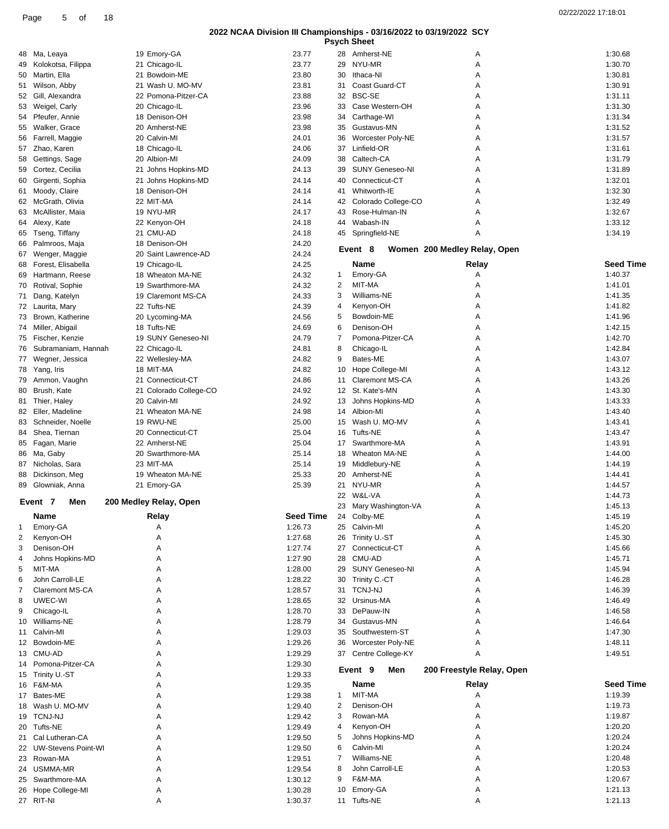| 02/22/2022 17:18:01 |  |
|---------------------|--|
|                     |  |

|                |                        |                        |                  |    | <b>Psych Sheet</b>       |                              |                  |
|----------------|------------------------|------------------------|------------------|----|--------------------------|------------------------------|------------------|
|                | 48 Ma, Leaya           | 19 Emory-GA            | 23.77            |    | 28 Amherst-NE            | Α                            | 1:30.68          |
| 49             | Kolokotsa, Filippa     | 21 Chicago-IL          | 23.77            | 29 | NYU-MR                   | Α                            | 1:30.70          |
| 50             | Martin, Ella           | 21 Bowdoin-ME          | 23.80            | 30 | Ithaca-NI                | Α                            | 1:30.81          |
|                |                        | 21 Wash U. MO-MV       | 23.81            | 31 | <b>Coast Guard-CT</b>    | Α                            | 1:30.91          |
| 51             | Wilson, Abby           |                        |                  |    |                          |                              |                  |
| 52             | Gill, Alexandra        | 22 Pomona-Pitzer-CA    | 23.88            | 32 | <b>BSC-SE</b>            | Α                            | 1:31.11          |
| 53             | Weigel, Carly          | 20 Chicago-IL          | 23.96            | 33 | Case Western-OH          | А                            | 1:31.30          |
| 54             | Pfeufer, Annie         | 18 Denison-OH          | 23.98            | 34 | Carthage-WI              | А                            | 1:31.34          |
| 55             | Walker, Grace          | 20 Amherst-NE          | 23.98            | 35 | Gustavus-MN              | Α                            | 1:31.52          |
| 56             | Farrell, Maggie        | 20 Calvin-MI           | 24.01            | 36 | Worcester Poly-NE        | Α                            | 1:31.57          |
| 57             | Zhao, Karen            | 18 Chicago-IL          | 24.06            | 37 | Linfield-OR              | Α                            | 1:31.61          |
| 58             | Gettings, Sage         | 20 Albion-MI           | 24.09            | 38 | Caltech-CA               | А                            | 1:31.79          |
| 59             | Cortez, Cecilia        | 21 Johns Hopkins-MD    | 24.13            | 39 | <b>SUNY Geneseo-NI</b>   | А                            | 1:31.89          |
| 60             | Girgenti, Sophia       | 21 Johns Hopkins-MD    | 24.14            | 40 | Connecticut-CT           | Α                            | 1:32.01          |
| 61             | Moody, Claire          | 18 Denison-OH          | 24.14            | 41 | Whitworth-IE             | А                            | 1:32.30          |
|                |                        |                        |                  |    |                          |                              |                  |
|                | 62 McGrath, Olivia     | 22 MIT-MA              | 24.14            | 42 | Colorado College-CO      | Α                            | 1:32.49          |
| 63             | McAllister, Maia       | 19 NYU-MR              | 24.17            | 43 | Rose-Hulman-IN           | А                            | 1:32.67          |
|                | 64 Alexy, Kate         | 22 Kenyon-OH           | 24.18            | 44 | Wabash-IN                | Α                            | 1:33.12          |
| 65             | Tseng, Tiffany         | 21 CMU-AD              | 24.18            | 45 | Springfield-NE           | Α                            | 1:34.19          |
| 66             | Palmroos, Maja         | 18 Denison-OH          | 24.20            |    |                          |                              |                  |
| 67             | Wenger, Maggie         | 20 Saint Lawrence-AD   | 24.24            |    | Event 8                  | Women 200 Medley Relay, Open |                  |
| 68             | Forest, Elisabella     | 19 Chicago-IL          | 24.25            |    | Name                     | Relay                        | Seed Time        |
| 69             | Hartmann, Reese        | 18 Wheaton MA-NE       | 24.32            | 1  | Emory-GA                 | Α                            | 1:40.37          |
| 70             | Rotival, Sophie        | 19 Swarthmore-MA       | 24.32            | 2  | MIT-MA                   | Α                            | 1:41.01          |
| 71             | Dang, Katelyn          | 19 Claremont MS-CA     | 24.33            | 3  | Williams-NE              | Α                            | 1:41.35          |
|                |                        |                        |                  | 4  |                          |                              | 1:41.82          |
|                | 72 Laurita, Mary       | 22 Tufts-NE            | 24.39            |    | Kenyon-OH                | Α                            |                  |
|                | 73 Brown, Katherine    | 20 Lycoming-MA         | 24.56            | 5  | Bowdoin-ME               | Α                            | 1:41.96          |
| 74             | Miller, Abigail        | 18 Tufts-NE            | 24.69            | 6  | Denison-OH               | Α                            | 1:42.15          |
| 75             | Fischer, Kenzie        | 19 SUNY Geneseo-NI     | 24.79            | 7  | Pomona-Pitzer-CA         | Α                            | 1:42.70          |
| 76             | Subramaniam, Hannah    | 22 Chicago-IL          | 24.81            | 8  | Chicago-IL               | А                            | 1:42.84          |
| 77             | Wegner, Jessica        | 22 Wellesley-MA        | 24.82            | 9  | Bates-ME                 | Α                            | 1:43.07          |
| 78             | Yang, Iris             | 18 MIT-MA              | 24.82            | 10 | Hope College-MI          | Α                            | 1:43.12          |
| 79             | Ammon, Vaughn          | 21 Connecticut-CT      | 24.86            | 11 | <b>Claremont MS-CA</b>   | Α                            | 1:43.26          |
| 80             | Brush, Kate            | 21 Colorado College-CO | 24.92            | 12 | St. Kate's-MN            | Α                            | 1:43.30          |
| 81             | Thier, Haley           | 20 Calvin-MI           | 24.92            | 13 | Johns Hopkins-MD         | Α                            | 1:43.33          |
|                | Eller, Madeline        | 21 Wheaton MA-NE       | 24.98            | 14 | Albion-MI                | Α                            | 1:43.40          |
| 82             |                        |                        |                  |    |                          |                              |                  |
| 83             | Schneider, Noelle      | 19 RWU-NE              | 25.00            | 15 | Wash U. MO-MV            | Α                            | 1:43.41          |
| 84             | Shea, Tiernan          | 20 Connecticut-CT      | 25.04            | 16 | Tufts-NE                 | А                            | 1:43.47          |
| 85             | Fagan, Marie           | 22 Amherst-NE          | 25.04            | 17 | Swarthmore-MA            | Α                            | 1:43.91          |
|                | 86 Ma, Gaby            | 20 Swarthmore-MA       | 25.14            | 18 | <b>Wheaton MA-NE</b>     | Α                            | 1:44.00          |
| 87             | Nicholas, Sara         | 23 MIT-MA              | 25.14            | 19 | Middlebury-NE            | А                            | 1:44.19          |
| 88             | Dickinson, Meg         | 19 Wheaton MA-NE       | 25.33            | 20 | Amherst-NE               | А                            | 1:44.41          |
|                | 89 Glowniak, Anna      | 21 Emory-GA            | 25.39            |    | 21 NYU-MR                | Α                            | 1:44.57          |
|                |                        |                        |                  |    | 22 W&L-VA                | Α                            | 1:44.73          |
|                | Event 7<br>Men         | 200 Medley Relay, Open |                  |    | 23 Mary Washington-VA    | А                            | 1:45.13          |
|                | Name                   | Relay                  | <b>Seed Time</b> |    | 24 Colby-ME              | Α                            | 1:45.19          |
| $\mathbf{1}$   | Emory-GA               | Α                      | 1:26.73          |    | 25 Calvin-MI             | Α                            | 1:45.20          |
| $\overline{2}$ | Kenyon-OH              | Α                      | 1:27.68          |    |                          |                              | 1:45.30          |
|                |                        |                        |                  |    | 26 Trinity U.-ST         | Α                            |                  |
| 3              | Denison-OH             | Α                      | 1:27.74          |    | 27 Connecticut-CT        | Α                            | 1:45.66          |
| 4              | Johns Hopkins-MD       | A                      | 1:27.90          | 28 | CMU-AD                   | Α                            | 1:45.71          |
| 5              | MIT-MA                 | Α                      | 1:28.00          | 29 | <b>SUNY Geneseo-NI</b>   | Α                            | 1:45.94          |
| 6              | John Carroll-LE        | Α                      | 1:28.22          |    | 30 Trinity C.-CT         | Α                            | 1:46.28          |
| 7              | <b>Claremont MS-CA</b> | Α                      | 1:28.57          |    | 31 TCNJ-NJ               | Α                            | 1:46.39          |
| 8              | UWEC-WI                | Α                      | 1:28.65          |    | 32 Ursinus-MA            | Α                            | 1:46.49          |
| 9              | Chicago-IL             | Α                      | 1:28.70          |    | 33 DePauw-IN             | Α                            | 1:46.58          |
| 10             | Williams-NE            | A                      | 1:28.79          | 34 | Gustavus-MN              | Α                            | 1:46.64          |
| 11             | Calvin-MI              | Α                      | 1:29.03          | 35 | Southwestern-ST          | Α                            | 1:47.30          |
|                | 12 Bowdoin-ME          | Α                      | 1:29.26          | 36 | <b>Worcester Poly-NE</b> | Α                            | 1:48.11          |
|                | 13 CMU-AD              | A                      | 1:29.29          |    |                          | Α                            | 1:49.51          |
|                |                        |                        |                  |    | 37 Centre College-KY     |                              |                  |
| 14             | Pomona-Pitzer-CA       | Α                      | 1:29.30          |    | Event 9<br>Men           | 200 Freestyle Relay, Open    |                  |
|                | 15 Trinity U.-ST       | Α                      | 1:29.33          |    |                          |                              |                  |
|                | 16 F&M-MA              | Α                      | 1:29.35          |    | Name                     | Relay                        | <b>Seed Time</b> |
|                | 17 Bates-ME            | Α                      | 1:29.38          | 1  | MIT-MA                   | Α                            | 1:19.39          |
|                | 18 Wash U. MO-MV       | Α                      | 1:29.40          | 2  | Denison-OH               | Α                            | 1:19.73          |
| 19             | <b>TCNJ-NJ</b>         | А                      | 1:29.42          | 3  | Rowan-MA                 | Α                            | 1:19.87          |
|                | 20 Tufts-NE            | Α                      | 1:29.49          | 4  | Kenyon-OH                | Α                            | 1:20.20          |
|                | 21 Cal Lutheran-CA     | A                      | 1:29.50          | 5  | Johns Hopkins-MD         | Α                            | 1:20.24          |
|                | 22 UW-Stevens Point-WI | Α                      | 1:29.50          | 6  | Calvin-MI                | Α                            | 1:20.24          |
|                | 23 Rowan-MA            | Α                      | 1:29.51          | 7  | Williams-NE              | Α                            | 1:20.48          |
|                | 24 USMMA-MR            | A                      | 1:29.54          | 8  | John Carroll-LE          | Α                            | 1:20.53          |
| 25             | Swarthmore-MA          | Α                      | 1:30.12          | 9  | F&M-MA                   | Α                            | 1:20.67          |
|                |                        |                        |                  | 10 |                          |                              | 1:21.13          |
| 26             | Hope College-MI        | Α                      | 1:30.28          |    | Emory-GA                 | Α                            |                  |
|                | 27 RIT-NI              | Α                      | 1:30.37          |    | 11 Tufts-NE              | Α                            | 1:21.13          |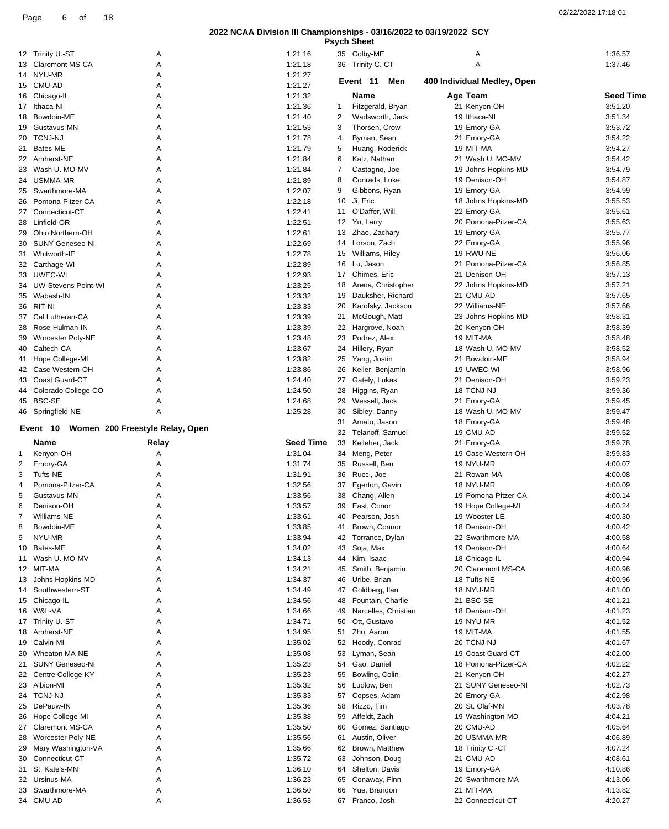|  | <b>Psych Sheet</b> |  |
|--|--------------------|--|

|    |                                             |        |                    |    | rsych oneet                     |                                |                    |
|----|---------------------------------------------|--------|--------------------|----|---------------------------------|--------------------------------|--------------------|
|    | 12 Trinity U.-ST                            | Α      | 1:21.16            |    | 35 Colby-ME                     | Α                              | 1:36.57            |
|    | 13 Claremont MS-CA                          | Α      | 1:21.18            |    | 36 Trinity C.-CT                | A                              | 1:37.46            |
|    | 14 NYU-MR                                   | Α      | 1:21.27            |    |                                 |                                |                    |
|    | 15 CMU-AD                                   | Α      | 1:21.27            |    | Event 11<br>Men                 | 400 Individual Medley, Open    |                    |
| 16 | Chicago-IL                                  | Α      | 1:21.32            |    | Name                            | Age Team                       | <b>Seed Time</b>   |
|    | 17 Ithaca-NI                                | Α      | 1:21.36            | 1  | Fitzgerald, Bryan               | 21 Kenyon-OH                   | 3:51.20            |
| 18 | Bowdoin-ME                                  | Α      | 1:21.40            | 2  | Wadsworth, Jack                 | 19 Ithaca-NI                   | 3:51.34            |
| 19 | Gustavus-MN                                 | Α      | 1:21.53            | 3  | Thorsen, Crow                   | 19 Emory-GA                    | 3:53.72            |
|    | 20 TCNJ-NJ                                  | A      | 1:21.78            | 4  | Byman, Sean                     | 21 Emory-GA                    | 3:54.22            |
| 21 | Bates-ME                                    | Α      | 1:21.79            | 5  | Huang, Roderick                 | 19 MIT-MA                      | 3:54.27            |
| 22 | Amherst-NE                                  | Α      | 1:21.84            | 6  | Katz, Nathan                    | 21 Wash U. MO-MV               | 3:54.42            |
|    |                                             |        |                    |    |                                 |                                |                    |
|    | 23 Wash U. MO-MV                            | A      | 1:21.84            | 7  | Castagno, Joe                   | 19 Johns Hopkins-MD            | 3:54.79            |
| 24 | USMMA-MR                                    | Α      | 1:21.89            | 8  | Conrads, Luke                   | 19 Denison-OH                  | 3:54.87            |
| 25 | Swarthmore-MA                               | Α      | 1:22.07            | 9  | Gibbons, Ryan                   | 19 Emory-GA                    | 3:54.99            |
| 26 | Pomona-Pitzer-CA                            | Α      | 1:22.18            | 10 | Ji, Eric                        | 18 Johns Hopkins-MD            | 3:55.53            |
| 27 | Connecticut-CT                              | Α      | 1:22.41            | 11 | O'Daffer, Will                  | 22 Emory-GA                    | 3:55.61            |
| 28 | Linfield-OR                                 | Α      | 1:22.51            | 12 | Yu, Larry                       | 20 Pomona-Pitzer-CA            | 3:55.63            |
| 29 | Ohio Northern-OH                            | Α      | 1:22.61            |    | 13 Zhao, Zachary                | 19 Emory-GA                    | 3:55.77            |
| 30 | <b>SUNY Geneseo-NI</b>                      | Α      | 1:22.69            | 14 | Lorson, Zach                    | 22 Emory-GA                    | 3:55.96            |
| 31 | Whitworth-IE                                | Α      | 1:22.78            | 15 | Williams, Riley                 | 19 RWU-NE                      | 3:56.06            |
|    | 32 Carthage-WI                              | Α      | 1:22.89            | 16 | Lu, Jason                       | 21 Pomona-Pitzer-CA            | 3:56.85            |
| 33 | UWEC-WI                                     | Α      | 1:22.93            | 17 | Chimes, Eric                    | 21 Denison-OH                  | 3:57.13            |
|    | <b>UW-Stevens Point-WI</b>                  |        | 1:23.25            | 18 | Arena, Christopher              | 22 Johns Hopkins-MD            | 3:57.21            |
| 34 |                                             | Α      |                    |    |                                 |                                |                    |
| 35 | Wabash-IN                                   | Α      | 1:23.32            | 19 | Dauksher, Richard               | 21 CMU-AD                      | 3:57.65            |
| 36 | RIT-NI                                      | A      | 1:23.33            | 20 | Karofsky, Jackson               | 22 Williams-NE                 | 3:57.66            |
| 37 | Cal Lutheran-CA                             | Α      | 1:23.39            | 21 | McGough, Matt                   | 23 Johns Hopkins-MD            | 3:58.31            |
| 38 | Rose-Hulman-IN                              | Α      | 1:23.39            | 22 | Hargrove, Noah                  | 20 Kenyon-OH                   | 3:58.39            |
| 39 | Worcester Poly-NE                           | Α      | 1:23.48            | 23 | Podrez, Alex                    | 19 MIT-MA                      | 3:58.48            |
| 40 | Caltech-CA                                  | A      | 1:23.67            | 24 | Hillery, Ryan                   | 18 Wash U. MO-MV               | 3:58.52            |
| 41 | Hope College-MI                             | Α      | 1:23.82            | 25 | Yang, Justin                    | 21 Bowdoin-ME                  | 3:58.94            |
| 42 | Case Western-OH                             | Α      | 1:23.86            | 26 | Keller, Benjamin                | 19 UWEC-WI                     | 3:58.96            |
| 43 | Coast Guard-CT                              | A      | 1:24.40            | 27 | Gately, Lukas                   | 21 Denison-OH                  | 3:59.23            |
| 44 | Colorado College-CO                         | Α      | 1:24.50            | 28 | Higgins, Ryan                   | 18 TCNJ-NJ                     | 3:59.36            |
| 45 | BSC-SE                                      | Α      | 1:24.68            | 29 | Wessell, Jack                   | 21 Emory-GA                    | 3:59.45            |
|    | 46 Springfield-NE                           | A      | 1:25.28            | 30 | Sibley, Danny                   | 18 Wash U. MO-MV               | 3:59.47            |
|    |                                             |        |                    | 31 | Amato, Jason                    | 18 Emory-GA                    | 3:59.48            |
|    | Women 200 Freestyle Relay, Open<br>Event 10 |        |                    |    |                                 |                                |                    |
|    |                                             |        |                    | 32 | Telanoff, Samuel                | 19 CMU-AD                      | 3:59.52            |
|    | Name                                        | Relay  | <b>Seed Time</b>   | 33 | Kelleher, Jack                  | 21 Emory-GA                    | 3:59.78            |
| 1  | Kenyon-OH                                   | Α      | 1:31.04            | 34 | Meng, Peter                     | 19 Case Western-OH             | 3:59.83            |
| 2  | Emory-GA                                    | Α      | 1:31.74            | 35 | Russell, Ben                    | 19 NYU-MR                      | 4:00.07            |
| 3  | Tufts-NE                                    | Α      | 1:31.91            | 36 | Rucci, Joe                      | 21 Rowan-MA                    | 4:00.08            |
| 4  | Pomona-Pitzer-CA                            | Α      | 1:32.56            | 37 | Egerton, Gavin                  | 18 NYU-MR                      | 4:00.09            |
| 5  | Gustavus-MN                                 | Α      | 1:33.56            | 38 | Chang, Allen                    | 19 Pomona-Pitzer-CA            | 4:00.14            |
| 6  | Denison-OH                                  | A      | 1:33.57            | 39 | East, Conor                     | 19 Hope College-MI             | 4:00.24            |
| 7  | Williams-NE                                 | Α      | 1:33.61            | 40 | Pearson, Josh                   | 19 Wooster-LE                  | 4:00.30            |
| 8  | Bowdoin-ME                                  | Α      | 1:33.85            | 41 | Brown, Connor                   | 18 Denison-OH                  | 4:00.42            |
| 9  | NYU-MR                                      | Α      | 1:33.94            | 42 | Torrance, Dylan                 | 22 Swarthmore-MA               | 4:00.58            |
| 10 | Bates-ME                                    | Α      | 1:34.02            | 43 | Soja, Max                       | 19 Denison-OH                  | 4:00.64            |
| 11 | Wash U. MO-MV                               | Α      | 1:34.13            | 44 | Kim, Isaac                      | 18 Chicago-IL                  | 4:00.94            |
| 12 | MIT-MA                                      | Α      | 1:34.21            | 45 | Smith, Benjamin                 | 20 Claremont MS-CA             | 4:00.96            |
|    | Johns Hopkins-MD                            | Α      |                    |    |                                 |                                |                    |
| 13 |                                             |        |                    |    |                                 |                                |                    |
| 14 |                                             |        | 1:34.37            | 46 | Uribe, Brian                    | 18 Tufts-NE                    | 4:00.96            |
|    | Southwestern-ST                             | Α      | 1:34.49            |    | 47 Goldberg, Ilan               | 18 NYU-MR                      | 4:01.00            |
| 15 | Chicago-IL                                  | Α      | 1:34.56            | 48 | Fountain, Charlie               | 21 BSC-SE                      | 4:01.21            |
|    | 16 W&L-VA                                   | Α      | 1:34.66            | 49 | Narcelles, Christian            | 18 Denison-OH                  | 4:01.23            |
|    | 17 Trinity U.-ST                            | Α      | 1:34.71            | 50 | Ott, Gustavo                    | 19 NYU-MR                      | 4:01.52            |
| 18 | Amherst-NE                                  | Α      | 1:34.95            | 51 | Zhu, Aaron                      | 19 MIT-MA                      | 4:01.55            |
| 19 | Calvin-MI                                   | Α      | 1:35.02            | 52 | Hoody, Conrad                   | 20 TCNJ-NJ                     | 4:01.67            |
| 20 | Wheaton MA-NE                               | Α      |                    |    |                                 | 19 Coast Guard-CT              |                    |
|    |                                             |        | 1:35.08            |    | 53 Lyman, Sean                  |                                | 4:02.00            |
| 21 | SUNY Geneseo-NI                             | Α      | 1:35.23            | 54 | Gao, Daniel                     | 18 Pomona-Pitzer-CA            | 4:02.22            |
| 22 | Centre College-KY                           | Α      | 1:35.23            | 55 | Bowling, Colin                  | 21 Kenyon-OH                   | 4:02.27            |
|    | 23 Albion-MI                                | Α      | 1:35.32            | 56 | Ludlow, Ben                     | 21 SUNY Geneseo-NI             | 4:02.73            |
| 24 | <b>TCNJ-NJ</b>                              | Α      | 1:35.33            | 57 | Copses, Adam                    | 20 Emory-GA                    | 4:02.98            |
| 25 | DePauw-IN                                   | Α      | 1:35.36            | 58 | Rizzo, Tim                      | 20 St. Olaf-MN                 | 4:03.78            |
| 26 | Hope College-MI                             | Α      | 1:35.38            | 59 | Affeldt, Zach                   | 19 Washington-MD               | 4:04.21            |
| 27 | Claremont MS-CA                             | Α      | 1:35.50            | 60 | Gomez, Santiago                 | 20 CMU-AD                      | 4:05.64            |
| 28 | Worcester Poly-NE                           | Α      | 1:35.56            | 61 | Austin, Oliver                  | 20 USMMA-MR                    | 4:06.89            |
| 29 | Mary Washington-VA                          | Α      | 1:35.66            | 62 | Brown, Matthew                  | 18 Trinity C.-CT               | 4:07.24            |
| 30 | Connecticut-CT                              | Α      | 1:35.72            | 63 | Johnson, Doug                   | 21 CMU-AD                      | 4:08.61            |
| 31 | St. Kate's-MN                               | Α      | 1:36.10            | 64 | Shelton, Davis                  | 19 Emory-GA                    | 4:10.86            |
| 32 | Ursinus-MA                                  | Α      | 1:36.23            | 65 | Conaway, Finn                   | 20 Swarthmore-MA               | 4:13.06            |
|    |                                             |        |                    |    |                                 |                                |                    |
| 33 | Swarthmore-MA<br>34 CMU-AD                  | Α<br>Α | 1:36.50<br>1:36.53 | 66 | Yue, Brandon<br>67 Franco, Josh | 21 MIT-MA<br>22 Connecticut-CT | 4:13.82<br>4:20.27 |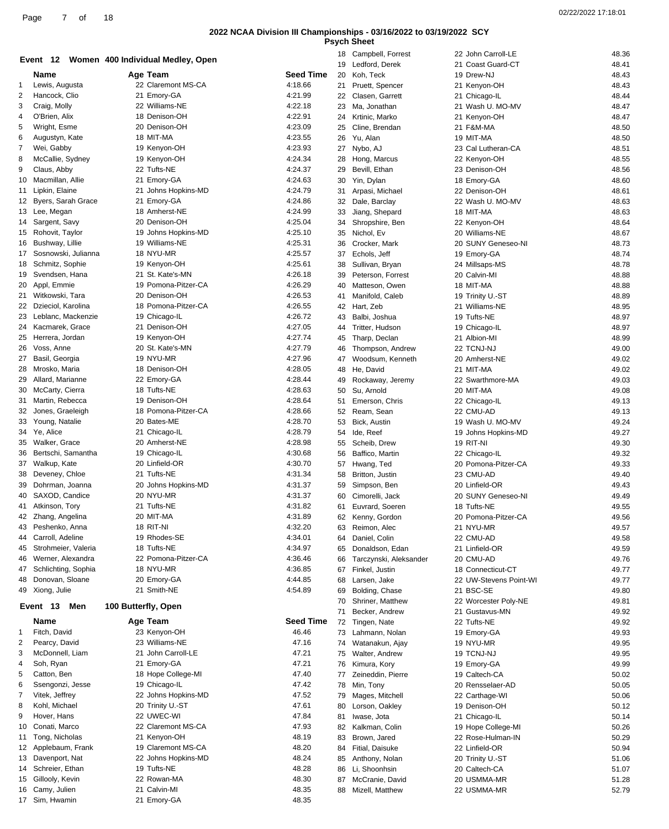| <b>Psych Sheet</b> |  |
|--------------------|--|
|--------------------|--|

|                |                                             | Event 12 Women 400 Individual Medley, Open |                    | 18       | Campbell, Forrest                 | 22 John Carroll-LE              | 48.36          |
|----------------|---------------------------------------------|--------------------------------------------|--------------------|----------|-----------------------------------|---------------------------------|----------------|
|                | Name                                        | Age Team                                   | Seed Time          | 19<br>20 | Ledford, Derek<br>Koh, Teck       | 21 Coast Guard-CT<br>19 Drew-NJ | 48.41<br>48.43 |
| 1              | Lewis, Augusta                              | 22 Claremont MS-CA                         | 4:18.66            | 21       | Pruett, Spencer                   | 21 Kenyon-OH                    | 48.43          |
| $\overline{2}$ | Hancock, Clio                               | 21 Emory-GA                                | 4:21.99            | 22       | Clasen, Garrett                   | 21 Chicago-IL                   | 48.44          |
| 3              | Craig, Molly                                | 22 Williams-NE                             | 4:22.18            | 23       | Ma, Jonathan                      | 21 Wash U. MO-MV                | 48.47          |
| 4              | O'Brien, Alix                               | 18 Denison-OH                              | 4:22.91            | 24       | Krtinic, Marko                    | 21 Kenyon-OH                    | 48.47          |
| 5              | Wright, Esme                                | 20 Denison-OH                              | 4:23.09            | 25       | Cline, Brendan                    | 21 F&M-MA                       | 48.50          |
| 6              | Augustyn, Kate                              | 18 MIT-MA                                  | 4:23.55            | 26       | Yu, Alan                          | 19 MIT-MA                       | 48.50          |
| $\overline{7}$ | Wei, Gabby                                  | 19 Kenyon-OH                               | 4:23.93            | 27       | Nybo, AJ                          | 23 Cal Lutheran-CA              | 48.51          |
| 8              | McCallie, Sydney                            | 19 Kenyon-OH                               | 4:24.34            | 28       | Hong, Marcus                      | 22 Kenyon-OH                    | 48.55          |
| 9              | Claus, Abby                                 | 22 Tufts-NE                                | 4:24.37            | 29       | Bevill, Ethan                     | 23 Denison-OH                   | 48.56          |
| 10             | Macmillan, Allie                            | 21 Emory-GA                                | 4:24.63            | 30       | Yin, Dylan                        | 18 Emory-GA                     | 48.60          |
| 11             | Lipkin, Elaine<br><b>Byers, Sarah Grace</b> | 21 Johns Hopkins-MD                        | 4:24.79            | 31       | Arpasi, Michael                   | 22 Denison-OH                   | 48.61          |
| 12             | 13 Lee, Megan                               | 21 Emory-GA<br>18 Amherst-NE               | 4:24.86<br>4:24.99 | 32       | Dale, Barclay                     | 22 Wash U. MO-MV<br>18 MIT-MA   | 48.63<br>48.63 |
| 14             | Sargent, Savy                               | 20 Denison-OH                              | 4:25.04            | 33<br>34 | Jiang, Shepard<br>Shropshire, Ben | 22 Kenyon-OH                    | 48.64          |
| 15             | Rohovit, Taylor                             | 19 Johns Hopkins-MD                        | 4:25.10            | 35       | Nichol, Ev                        | 20 Williams-NE                  | 48.67          |
| 16             | Bushway, Lillie                             | 19 Williams-NE                             | 4:25.31            | 36       | Crocker, Mark                     | 20 SUNY Geneseo-NI              | 48.73          |
| 17             | Sosnowski, Julianna                         | 18 NYU-MR                                  | 4:25.57            | 37       | Echols, Jeff                      | 19 Emory-GA                     | 48.74          |
| 18             | Schmitz, Sophie                             | 19 Kenyon-OH                               | 4:25.61            | 38       | Sullivan, Bryan                   | 24 Millsaps-MS                  | 48.78          |
| 19             | Svendsen, Hana                              | 21 St. Kate's-MN                           | 4:26.18            | 39       | Peterson, Forrest                 | 20 Calvin-MI                    | 48.88          |
| 20             | Appl, Emmie                                 | 19 Pomona-Pitzer-CA                        | 4:26.29            | 40       | Matteson, Owen                    | 18 MIT-MA                       | 48.88          |
| 21             | Witkowski, Tara                             | 20 Denison-OH                              | 4:26.53            | 41       | Manifold, Caleb                   | 19 Trinity U.-ST                | 48.89          |
|                | 22 Dzieciol, Karolina                       | 18 Pomona-Pitzer-CA                        | 4:26.55            | 42       | Hart, Zeb                         | 21 Williams-NE                  | 48.95          |
| 23             | Leblanc, Mackenzie                          | 19 Chicago-IL                              | 4:26.72            | 43       | Balbi, Joshua                     | 19 Tufts-NE                     | 48.97          |
| 24             | Kacmarek, Grace                             | 21 Denison-OH                              | 4:27.05            | 44       | Tritter, Hudson                   | 19 Chicago-IL                   | 48.97          |
| 25             | Herrera, Jordan                             | 19 Kenyon-OH                               | 4:27.74            | 45       | Tharp, Declan                     | 21 Albion-MI                    | 48.99          |
| 26             | Voss, Anne                                  | 20 St. Kate's-MN                           | 4:27.79<br>4:27.96 | 46       | Thompson, Andrew                  | 22 TCNJ-NJ                      | 49.00          |
| 27             | Basil, Georgia<br>Mrosko, Maria             | 19 NYU-MR<br>18 Denison-OH                 | 4:28.05            | 47       | Woodsum, Kenneth                  | 20 Amherst-NE<br>21 MIT-MA      | 49.02          |
| 28<br>29       | Allard, Marianne                            | 22 Emory-GA                                | 4:28.44            | 48<br>49 | He, David<br>Rockaway, Jeremy     | 22 Swarthmore-MA                | 49.02<br>49.03 |
| 30             | McCarty, Cierra                             | 18 Tufts-NE                                | 4:28.63            | 50       | Su, Arnold                        | 20 MIT-MA                       | 49.08          |
| 31             | Martin, Rebecca                             | 19 Denison-OH                              | 4:28.64            | 51       | Emerson, Chris                    | 22 Chicago-IL                   | 49.13          |
| 32             | Jones, Graeleigh                            | 18 Pomona-Pitzer-CA                        | 4:28.66            | 52       | Ream, Sean                        | 22 CMU-AD                       | 49.13          |
| 33             | Young, Natalie                              | 20 Bates-ME                                | 4:28.70            | 53       | Bick, Austin                      | 19 Wash U. MO-MV                | 49.24          |
|                | 34 Ye, Alice                                | 21 Chicago-IL                              | 4:28.79            | 54       | Ide, Reef                         | 19 Johns Hopkins-MD             | 49.27          |
| 35             | Walker, Grace                               | 20 Amherst-NE                              | 4:28.98            | 55       | Scheib, Drew                      | 19 RIT-NI                       | 49.30          |
| 36             | Bertschi, Samantha                          | 19 Chicago-IL                              | 4:30.68            | 56       | Baffico, Martin                   | 22 Chicago-IL                   | 49.32          |
| 37             | Walkup, Kate                                | 20 Linfield-OR                             | 4:30.70            | 57       | Hwang, Ted                        | 20 Pomona-Pitzer-CA             | 49.33          |
| 38             | Deveney, Chloe                              | 21 Tufts-NE                                | 4:31.34            | 58       | Britton, Justin                   | 23 CMU-AD                       | 49.40          |
| 39             | Dohrman, Joanna                             | 20 Johns Hopkins-MD                        | 4:31.37            | 59       | Simpson, Ben                      | 20 Linfield-OR                  | 49.43          |
| 40             | SAXOD, Candice                              | 20 NYU-MR                                  | 4:31.37            | 60       | Cimorelli, Jack                   | 20 SUNY Geneseo-NI              | 49.49          |
|                | 41 Atkinson, Tory                           | 21 Tufts-NE                                | 4:31.82            | 61       | Euvrard, Soeren                   | 18 Tufts-NE                     | 49.55          |
| 43             | 42 Zhang, Angelina<br>Peshenko, Anna        | 20 MIT-MA<br>18 RIT-NI                     | 4:31.89<br>4:32.20 | 62       | Kenny, Gordon                     | 20 Pomona-Pitzer-CA             | 49.56          |
| 44             | Carroll, Adeline                            | 19 Rhodes-SE                               | 4:34.01            | 63<br>64 | Reimon, Alec<br>Daniel, Colin     | 21 NYU-MR<br>22 CMU-AD          | 49.57<br>49.58 |
| 45             | Strohmeier, Valeria                         | 18 Tufts-NE                                | 4:34.97            | 65       | Donaldson, Edan                   | 21 Linfield-OR                  | 49.59          |
| 46             | Werner, Alexandra                           | 22 Pomona-Pitzer-CA                        | 4:36.46            | 66       | Tarczynski, Aleksander            | 20 CMU-AD                       | 49.76          |
| 47             | Schlichting, Sophia                         | 18 NYU-MR                                  | 4:36.85            | 67       | Finkel, Justin                    | 18 Connecticut-CT               | 49.77          |
| 48             | Donovan, Sloane                             | 20 Emory-GA                                | 4:44.85            | 68       | Larsen, Jake                      | 22 UW-Stevens Point-WI          | 49.77          |
|                | 49 Xiong, Julie                             | 21 Smith-NE                                | 4:54.89            | 69       | Bolding, Chase                    | 21 BSC-SE                       | 49.80          |
|                |                                             |                                            |                    | 70       | Shriner, Matthew                  | 22 Worcester Poly-NE            | 49.81          |
|                | Event 13<br>Men                             | 100 Butterfly, Open                        |                    | 71       | Becker, Andrew                    | 21 Gustavus-MN                  | 49.92          |
|                | Name                                        | Age Team                                   | <b>Seed Time</b>   | 72       | Tingen, Nate                      | 22 Tufts-NE                     | 49.92          |
| 1              | Fitch, David                                | 23 Kenyon-OH                               | 46.46              | 73       | Lahmann, Nolan                    | 19 Emory-GA                     | 49.93          |
| $\overline{c}$ | Pearcy, David                               | 23 Williams-NE                             | 47.16              | 74       | Watanakun, Ajay                   | 19 NYU-MR                       | 49.95          |
| 3              | McDonnell, Liam                             | 21 John Carroll-LE                         | 47.21              | 75       | Walter, Andrew                    | 19 TCNJ-NJ                      | 49.95          |
| 4              | Soh, Ryan                                   | 21 Emory-GA                                | 47.21              | 76       | Kimura, Kory                      | 19 Emory-GA                     | 49.99          |
| 5<br>6         | Catton, Ben                                 | 18 Hope College-MI                         | 47.40              | 77       | Zeineddin, Pierre                 | 19 Caltech-CA                   | 50.02          |
| 7              | Ssengonzi, Jesse<br>Vitek, Jeffrey          | 19 Chicago-IL<br>22 Johns Hopkins-MD       | 47.42<br>47.52     | 78       | Min, Tony                         | 20 Rensselaer-AD                | 50.05          |
| 8              | Kohl, Michael                               | 20 Trinity U.-ST                           | 47.61              | 79<br>80 | Mages, Mitchell<br>Lorson, Oakley | 22 Carthage-WI<br>19 Denison-OH | 50.06<br>50.12 |
| 9              | Hover, Hans                                 | 22 UWEC-WI                                 | 47.84              | 81       | Iwase, Jota                       | 21 Chicago-IL                   | 50.14          |
| 10             | Conati, Marco                               | 22 Claremont MS-CA                         | 47.93              | 82       | Kalkman, Colin                    | 19 Hope College-MI              | 50.26          |
| 11             | Tong, Nicholas                              | 21 Kenyon-OH                               | 48.19              | 83       | Brown, Jared                      | 22 Rose-Hulman-IN               | 50.29          |
| 12             | Applebaum, Frank                            | 19 Claremont MS-CA                         | 48.20              | 84       | Fitial, Daisuke                   | 22 Linfield-OR                  | 50.94          |
| 13             | Davenport, Nat                              | 22 Johns Hopkins-MD                        | 48.24              | 85       | Anthony, Nolan                    | 20 Trinity U.-ST                | 51.06          |
|                | 14 Schreier, Ethan                          | 19 Tufts-NE                                | 48.28              | 86       | Li, Shoonhsin                     | 20 Caltech-CA                   | 51.07          |
| 15             | Gillooly, Kevin                             | 22 Rowan-MA                                | 48.30              | 87       | McCranie, David                   | 20 USMMA-MR                     | 51.28          |
| 16             | Camy, Julien                                | 21 Calvin-MI                               | 48.35              | 88       | Mizell, Matthew                   | 22 USMMA-MR                     | 52.79          |
|                | 17 Sim, Hwamin                              | 21 Emory-GA                                | 48.35              |          |                                   |                                 |                |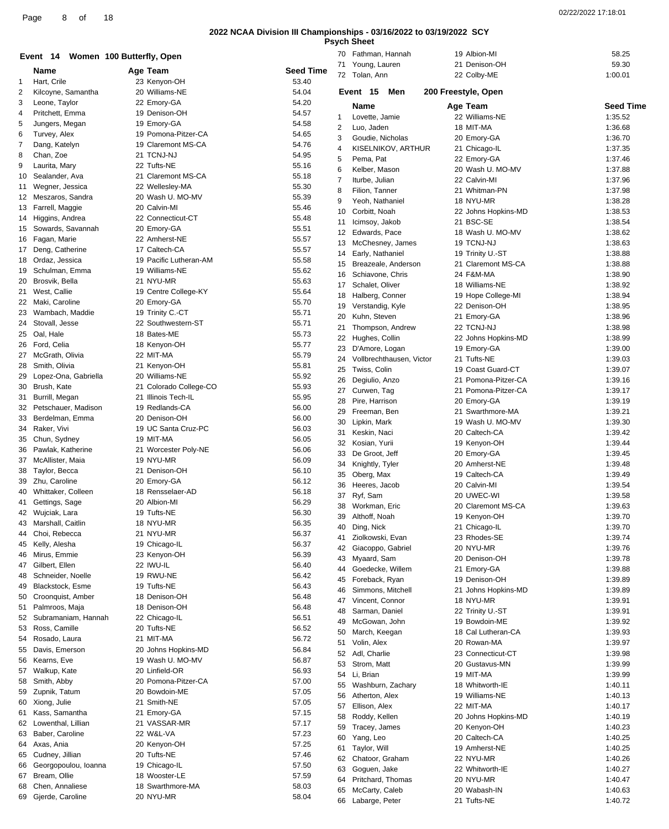**Psych Sheet**

|                |                               | Event 14 Women 100 Butterfly, Open            |                  | 70                | Fathman, Hannah              | 19 Albion-MI                      | 58.25              |
|----------------|-------------------------------|-----------------------------------------------|------------------|-------------------|------------------------------|-----------------------------------|--------------------|
|                | Name                          | Age Team                                      | <b>Seed Time</b> |                   | 71 Young, Lauren             | 21 Denison-OH                     | 59.30              |
| 1              | Hart, Crile                   | 23 Kenyon-OH                                  | 53.40            |                   | 72 Tolan, Ann                | 22 Colby-ME                       | 1:00.01            |
| $\overline{2}$ | Kilcoyne, Samantha            | 20 Williams-NE                                | 54.04            |                   | Men<br>Event 15              | 200 Freestyle, Open               |                    |
| 3              | Leone, Taylor                 | 22 Emory-GA                                   | 54.20            |                   |                              |                                   |                    |
| 4              | Pritchett, Emma               | 19 Denison-OH                                 | 54.57            |                   | Name                         | Age Team                          | <b>Seed Time</b>   |
| 5              | Jungers, Megan                | 19 Emory-GA                                   | 54.58            | $\mathbf{1}$<br>2 | Lovette, Jamie<br>Luo, Jaden | 22 Williams-NE<br>18 MIT-MA       | 1:35.52<br>1:36.68 |
| 6              | Turvey, Alex                  | 19 Pomona-Pitzer-CA                           | 54.65            | 3                 | Goudie, Nicholas             | 20 Emory-GA                       | 1:36.70            |
| 7              | Dang, Katelyn                 | 19 Claremont MS-CA                            | 54.76            | 4                 | KISELNIKOV, ARTHUR           | 21 Chicago-IL                     | 1:37.35            |
| 8              | Chan, Zoe                     | 21 TCNJ-NJ                                    | 54.95            | 5                 | Pema, Pat                    | 22 Emory-GA                       | 1:37.46            |
| 9              | Laurita, Mary                 | 22 Tufts-NE                                   | 55.16            | 6                 | Kelber, Mason                | 20 Wash U. MO-MV                  | 1:37.88            |
| 10             | Sealander, Ava                | 21 Claremont MS-CA                            | 55.18            | $\overline{7}$    | Iturbe, Julian               | 22 Calvin-MI                      | 1:37.96            |
|                | 11 Wegner, Jessica            | 22 Wellesley-MA                               | 55.30            | 8                 | Filion, Tanner               | 21 Whitman-PN                     | 1:37.98            |
|                | 12 Meszaros, Sandra           | 20 Wash U. MO-MV                              | 55.39            | 9                 | Yeoh, Nathaniel              | 18 NYU-MR                         | 1:38.28            |
|                | 13 Farrell, Maggie            | 20 Calvin-MI                                  | 55.46            | 10                | Corbitt, Noah                | 22 Johns Hopkins-MD               | 1:38.53            |
|                | 14 Higgins, Andrea            | 22 Connecticut-CT                             | 55.48            | 11                | Icimsoy, Jakob               | 21 BSC-SE                         | 1:38.54            |
|                | 15 Sowards, Savannah          | 20 Emory-GA                                   | 55.51            | 12                | Edwards, Pace                | 18 Wash U. MO-MV                  | 1:38.62            |
|                | 16 Fagan, Marie               | 22 Amherst-NE                                 | 55.57            | 13                | McChesney, James             | 19 TCNJ-NJ                        | 1:38.63            |
|                | 17 Deng, Catherine            | 17 Caltech-CA                                 | 55.57            | 14                | Early, Nathaniel             | 19 Trinity U.-ST                  | 1:38.88            |
| 18             | Ordaz, Jessica                | 19 Pacific Lutheran-AM                        | 55.58            | 15                | Breazeale, Anderson          | 21 Claremont MS-CA                | 1:38.88            |
| 19             | Schulman, Emma                | 19 Williams-NE                                | 55.62            | 16                | Schiavone, Chris             | 24 F&M-MA                         | 1:38.90            |
|                | 20 Brosvik, Bella             | 21 NYU-MR                                     | 55.63            | 17                | Schalet, Oliver              | 18 Williams-NE                    | 1:38.92            |
| 21             | West, Callie                  | 19 Centre College-KY                          | 55.64            | 18                | Halberg, Conner              | 19 Hope College-MI                | 1:38.94            |
|                | 22 Maki, Caroline             | 20 Emory-GA                                   | 55.70            | 19                | Verstandig, Kyle             | 22 Denison-OH                     | 1:38.95            |
|                | 23 Wambach, Maddie            | 19 Trinity C.-CT                              | 55.71            | 20                | Kuhn, Steven                 | 21 Emory-GA                       | 1:38.96            |
| 24             | Stovall, Jesse<br>Oal, Hale   | 22 Southwestern-ST<br>18 Bates-ME             | 55.71            | 21                | Thompson, Andrew             | 22 TCNJ-NJ                        | 1:38.98            |
| 25             |                               |                                               | 55.73            | 22                | Hughes, Collin               | 22 Johns Hopkins-MD               | 1:38.99            |
|                | 26 Ford, Celia                | 18 Kenyon-OH                                  | 55.77            | 23                | D'Amore, Logan               | 19 Emory-GA                       | 1:39.00            |
| 27             | McGrath, Olivia               | 22 MIT-MA                                     | 55.79            | 24                | Vollbrechthausen, Victor     | 21 Tufts-NE                       | 1:39.03            |
| 28             | Smith, Olivia                 | 21 Kenyon-OH                                  | 55.81            | 25                | Twiss, Colin                 | 19 Coast Guard-CT                 | 1:39.07            |
| 29             | Lopez-Ona, Gabriella          | 20 Williams-NE                                | 55.92<br>55.93   | 26                | Degiulio, Anzo               | 21 Pomona-Pitzer-CA               | 1:39.16            |
| 30             | Brush, Kate<br>Burrill, Megan | 21 Colorado College-CO<br>21 Illinois Tech-IL | 55.95            | 27                | Curwen, Tag                  | 21 Pomona-Pitzer-CA               | 1:39.17            |
| 31<br>32       | Petschauer, Madison           | 19 Redlands-CA                                | 56.00            | 28                | Pire, Harrison               | 20 Emory-GA                       | 1:39.19            |
| 33             | Berdelman, Emma               | 20 Denison-OH                                 | 56.00            | 29                | Freeman, Ben                 | 21 Swarthmore-MA                  | 1:39.21            |
| 34             | Raker, Vivi                   | 19 UC Santa Cruz-PC                           | 56.03            | 30                | Lipkin, Mark                 | 19 Wash U. MO-MV                  | 1:39.30            |
| 35             | Chun, Sydney                  | 19 MIT-MA                                     | 56.05            | 31                | Keskin, Naci                 | 20 Caltech-CA                     | 1:39.42            |
| 36             | Pawlak, Katherine             | 21 Worcester Poly-NE                          | 56.06            | 32                | Kosian, Yurii                | 19 Kenyon-OH                      | 1:39.44            |
| 37             | McAllister, Maia              | 19 NYU-MR                                     | 56.09            | 33                | De Groot, Jeff               | 20 Emory-GA                       | 1:39.45            |
| 38             | Taylor, Becca                 | 21 Denison-OH                                 | 56.10            | 34                | Knightly, Tyler              | 20 Amherst-NE                     | 1:39.48            |
|                | 39 Zhu, Caroline              | 20 Emory-GA                                   | 56.12            | 35                | Oberg, Max                   | 19 Caltech-CA                     | 1:39.49            |
| 40             | Whittaker, Colleen            | 18 Rensselaer-AD                              | 56.18            | 36                | Heeres, Jacob                | 20 Calvin-MI                      | 1:39.54            |
|                | 41 Gettings, Sage             | 20 Albion-MI                                  | 56.29            | 37                | Ryf, Sam                     | 20 UWEC-WI                        | 1:39.58            |
|                | 42 Wujciak, Lara              | 19 Tufts-NE                                   | 56.30            |                   | 38 Workman, Eric             | 20 Claremont MS-CA                | 1:39.63            |
| 43             | Marshall, Caitlin             | 18 NYU-MR                                     | 56.35            |                   | 39 Althoff, Noah             | 19 Kenyon-OH                      | 1:39.70            |
| 44             | Choi, Rebecca                 | 21 NYU-MR                                     | 56.37            | 40                | Ding, Nick                   | 21 Chicago-IL                     | 1:39.70            |
| 45             | Kelly, Alesha                 | 19 Chicago-IL                                 | 56.37            |                   | 41 Ziolkowski, Evan          | 23 Rhodes-SE                      | 1:39.74            |
| 46             | Mirus, Emmie                  | 23 Kenyon-OH                                  | 56.39            | 42                | Giacoppo, Gabriel            | 20 NYU-MR                         | 1:39.76            |
| 47             | Gilbert, Ellen                | 22 IWU-IL                                     | 56.40            | 43                | Myaard, Sam                  | 20 Denison-OH                     | 1:39.78            |
| 48             | Schneider, Noelle             | 19 RWU-NE                                     | 56.42            | 44                | Goedecke, Willem             | 21 Emory-GA                       | 1:39.88            |
| 49             | Blackstock, Esme              | 19 Tufts-NE                                   | 56.43            | 45                | Foreback, Ryan               | 19 Denison-OH                     | 1:39.89            |
| 50             | Croonquist, Amber             | 18 Denison-OH                                 | 56.48            | 46                | Simmons, Mitchell            | 21 Johns Hopkins-MD               | 1:39.89            |
| 51             | Palmroos, Maja                | 18 Denison-OH                                 | 56.48            | 47                | Vincent, Connor              | 18 NYU-MR                         | 1:39.91            |
| 52             | Subramaniam, Hannah           | 22 Chicago-IL                                 | 56.51            | 48                | Sarman, Daniel               | 22 Trinity U.-ST                  | 1:39.91<br>1:39.92 |
| 53             | Ross, Camille                 | 20 Tufts-NE                                   | 56.52            | 49                | McGowan, John                | 19 Bowdoin-ME                     |                    |
|                | 54 Rosado, Laura              | 21 MIT-MA                                     | 56.72            | 50                | March, Keegan<br>Volin, Alex | 18 Cal Lutheran-CA<br>20 Rowan-MA | 1:39.93<br>1:39.97 |
| 55             | Davis, Emerson                | 20 Johns Hopkins-MD                           | 56.84            | 51<br>52          | Adl, Charlie                 | 23 Connecticut-CT                 | 1:39.98            |
| 56             | Kearns, Eve                   | 19 Wash U. MO-MV                              | 56.87            | 53                | Strom, Matt                  | 20 Gustavus-MN                    | 1:39.99            |
| 57             | Walkup, Kate                  | 20 Linfield-OR                                | 56.93            | 54                | Li, Brian                    | 19 MIT-MA                         | 1:39.99            |
| 58             | Smith, Abby                   | 20 Pomona-Pitzer-CA                           | 57.00            | 55                | Washburn, Zachary            | 18 Whitworth-IE                   | 1:40.11            |
| 59             | Zupnik, Tatum                 | 20 Bowdoin-ME                                 | 57.05            | 56                | Atherton, Alex               | 19 Williams-NE                    | 1:40.13            |
|                | 60 Xiong, Julie               | 21 Smith-NE                                   | 57.05            | 57                | Ellison, Alex                | 22 MIT-MA                         | 1:40.17            |
| 61             | Kass, Samantha                | 21 Emory-GA                                   | 57.15            | 58                | Roddy, Kellen                | 20 Johns Hopkins-MD               | 1:40.19            |
| 62             | Lowenthal, Lillian            | 21 VASSAR-MR                                  | 57.17            | 59                | Tracey, James                | 20 Kenyon-OH                      | 1:40.23            |
|                | 63 Baber, Caroline            | 22 W&L-VA                                     | 57.23            | 60                | Yang, Leo                    | 20 Caltech-CA                     | 1:40.25            |
| 64             | Axas, Ania                    | 20 Kenyon-OH                                  | 57.25            | 61                | Taylor, Will                 | 19 Amherst-NE                     | 1:40.25            |
| 65             | Cudney, Jillian               | 20 Tufts-NE                                   | 57.46            | 62                | Chatoor, Graham              | 22 NYU-MR                         | 1:40.26            |
| 66             | Georgopoulou, Ioanna          | 19 Chicago-IL                                 | 57.50            | 63                | Goguen, Jake                 | 22 Whitworth-IE                   | 1:40.27            |
| 67             | Bream, Ollie                  | 18 Wooster-LE                                 | 57.59            | 64                | Pritchard, Thomas            | 20 NYU-MR                         | 1:40.47            |
| 68             | Chen, Annaliese               | 18 Swarthmore-MA                              | 58.03            | 65                | McCarty, Caleb               | 20 Wabash-IN                      | 1:40.63            |
|                | 69 Gjerde, Caroline           | 20 NYU-MR                                     | 58.04            |                   | 66 Laborgo Potor             | 24 Tufte NIC                      | 1.10.72            |

Labarge, Peter 21 Tufts-NE 1:40.72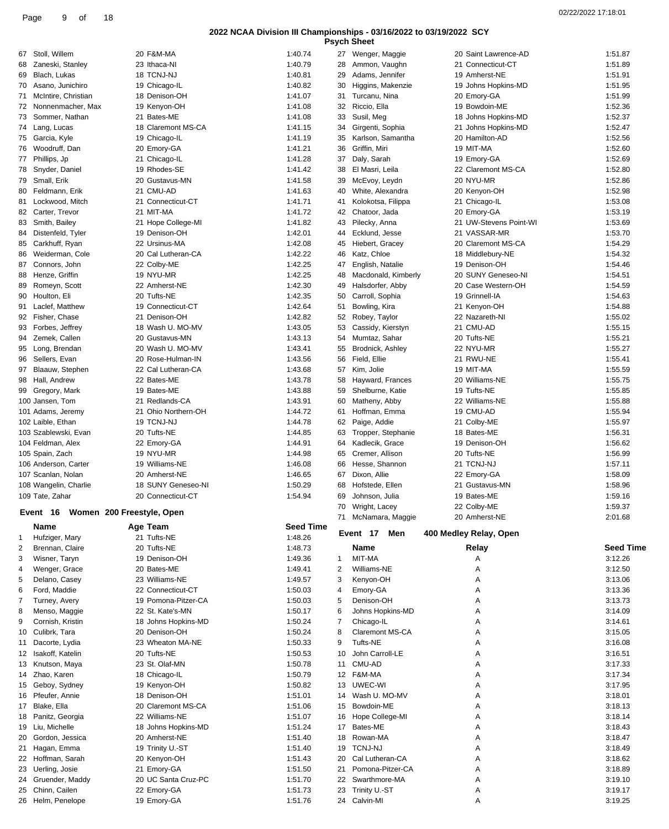|          |                                       |                                          |                    |                | <b>Psych Sheet</b>                      |                                      |                    |
|----------|---------------------------------------|------------------------------------------|--------------------|----------------|-----------------------------------------|--------------------------------------|--------------------|
| 67       | Stoll, Willem                         | 20 F&M-MA                                | 1:40.74            |                | 27 Wenger, Maggie                       | 20 Saint Lawrence-AD                 | 1:51.87            |
| 68       | Zaneski, Stanley                      | 23 Ithaca-NI                             | 1:40.79            | 28             | Ammon, Vaughn                           | 21 Connecticut-CT                    | 1:51.89            |
| 69       | Blach, Lukas                          | 18 TCNJ-NJ                               | 1:40.81            | 29             | Adams, Jennifer                         | 19 Amherst-NE                        | 1:51.91            |
| 70       | Asano, Junichiro                      | 19 Chicago-IL                            | 1:40.82            | 30             | Higgins, Makenzie                       | 19 Johns Hopkins-MD                  | 1:51.95            |
| 71       | McIntire, Christian                   | 18 Denison-OH                            | 1:41.07            | 31             | Turcanu, Nina<br>Riccio, Ella           | 20 Emory-GA                          | 1:51.99            |
| 72<br>73 | Nonnenmacher, Max<br>Sommer, Nathan   | 19 Kenyon-OH<br>21 Bates-ME              | 1:41.08<br>1:41.08 | 32<br>33       | Susil, Meg                              | 19 Bowdoin-ME<br>18 Johns Hopkins-MD | 1:52.36<br>1:52.37 |
|          | 74 Lang, Lucas                        | 18 Claremont MS-CA                       | 1:41.15            | 34             | Girgenti, Sophia                        | 21 Johns Hopkins-MD                  | 1:52.47            |
|          | 75 Garcia, Kyle                       | 19 Chicago-IL                            | 1:41.19            | 35             | Karlson, Samantha                       | 20 Hamilton-AD                       | 1:52.56            |
| 76       | Woodruff, Dan                         | 20 Emory-GA                              | 1:41.21            | 36             | Griffin, Miri                           | 19 MIT-MA                            | 1:52.60            |
| 77       | Phillips, Jp                          | 21 Chicago-IL                            | 1:41.28            | 37             | Daly, Sarah                             | 19 Emory-GA                          | 1:52.69            |
|          | 78 Snyder, Daniel                     | 19 Rhodes-SE                             | 1:41.42            | 38             | El Masri, Leila                         | 22 Claremont MS-CA                   | 1:52.80            |
| 79       | Small, Erik                           | 20 Gustavus-MN                           | 1:41.58            | 39             | McEvoy, Leydn                           | 20 NYU-MR                            | 1:52.86            |
| 80       | Feldmann, Erik                        | 21 CMU-AD                                | 1:41.63            | 40             | White, Alexandra                        | 20 Kenyon-OH                         | 1:52.98            |
| 81       | Lockwood, Mitch                       | 21 Connecticut-CT                        | 1:41.71            | 41             | Kolokotsa, Filippa                      | 21 Chicago-IL                        | 1:53.08            |
| 82       | Carter, Trevor                        | 21 MIT-MA                                | 1:41.72            | 42             | Chatoor, Jada                           | 20 Emory-GA                          | 1:53.19            |
| 83       | Smith, Bailey                         | 21 Hope College-MI                       | 1:41.82            | 43             | Pilecky, Anna                           | 21 UW-Stevens Point-WI               | 1:53.69            |
| 84       | Distenfeld, Tyler                     | 19 Denison-OH                            | 1:42.01            | 44             | Ecklund, Jesse                          | 21 VASSAR-MR                         | 1:53.70            |
| 85       | Carkhuff, Ryan                        | 22 Ursinus-MA                            | 1:42.08            | 45             | Hiebert, Gracey                         | 20 Claremont MS-CA                   | 1:54.29            |
| 86       | Weiderman, Cole                       | 20 Cal Lutheran-CA                       | 1:42.22            | 46             | Katz, Chloe                             | 18 Middlebury-NE                     | 1:54.32            |
| 87       | Connors, John                         | 22 Colby-ME<br>19 NYU-MR                 | 1:42.25            | 47             | English, Natalie                        | 19 Denison-OH<br>20 SUNY Geneseo-NI  | 1:54.46<br>1:54.51 |
| 88<br>89 | Henze, Griffin<br>Romeyn, Scott       | 22 Amherst-NE                            | 1:42.25<br>1:42.30 | 48<br>49       | Macdonald, Kimberly<br>Halsdorfer, Abby | 20 Case Western-OH                   | 1:54.59            |
| 90       | Houlton, Eli                          | 20 Tufts-NE                              | 1:42.35            | 50             | Carroll, Sophia                         | 19 Grinnell-IA                       | 1:54.63            |
| 91       | Laclef. Matthew                       | 19 Connecticut-CT                        | 1:42.64            | 51             | Bowling, Kira                           | 21 Kenyon-OH                         | 1:54.88            |
| 92       | Fisher, Chase                         | 21 Denison-OH                            | 1:42.82            | 52             | Robey, Taylor                           | 22 Nazareth-NI                       | 1:55.02            |
|          | 93 Forbes, Jeffrey                    | 18 Wash U. MO-MV                         | 1:43.05            | 53             | Cassidy, Kierstyn                       | 21 CMU-AD                            | 1:55.15            |
| 94       | Zemek, Callen                         | 20 Gustavus-MN                           | 1:43.13            | 54             | Mumtaz, Sahar                           | 20 Tufts-NE                          | 1:55.21            |
| 95       | Long, Brendan                         | 20 Wash U. MO-MV                         | 1:43.41            | 55             | Brodnick, Ashley                        | 22 NYU-MR                            | 1:55.27            |
| 96       | Sellers, Evan                         | 20 Rose-Hulman-IN                        | 1:43.56            | 56             | Field, Ellie                            | 21 RWU-NE                            | 1:55.41            |
| 97       | Blaauw, Stephen                       | 22 Cal Lutheran-CA                       | 1:43.68            | 57             | Kim, Jolie                              | 19 MIT-MA                            | 1:55.59            |
|          | 98 Hall, Andrew                       | 22 Bates-ME                              | 1:43.78            | 58             | Hayward, Frances                        | 20 Williams-NE                       | 1:55.75            |
|          | 99 Gregory, Mark                      | 19 Bates-ME                              | 1:43.88            | 59             | Shelburne, Katie                        | 19 Tufts-NE                          | 1:55.85            |
|          | 100 Jansen, Tom                       | 21 Redlands-CA                           | 1:43.91            | 60             | Matheny, Abby                           | 22 Williams-NE                       | 1:55.88            |
|          | 101 Adams, Jeremy                     | 21 Ohio Northern-OH                      | 1:44.72            | 61             | Hoffman, Emma                           | 19 CMU-AD                            | 1:55.94            |
|          | 102 Laible, Ethan                     | 19 TCNJ-NJ                               | 1:44.78            | 62             | Paige, Addie                            | 21 Colby-ME                          | 1:55.97            |
|          | 103 Szablewski, Evan                  | 20 Tufts-NE                              | 1:44.85            | 63             | Tropper, Stephanie                      | 18 Bates-ME                          | 1:56.31            |
|          |                                       |                                          |                    |                |                                         |                                      |                    |
|          | 104 Feldman, Alex                     | 22 Emory-GA                              | 1:44.91            | 64             | Kadlecik, Grace                         | 19 Denison-OH                        | 1:56.62            |
|          | 105 Spain, Zach                       | 19 NYU-MR                                | 1:44.98            | 65             | Cremer, Allison                         | 20 Tufts-NE                          | 1:56.99            |
|          | 106 Anderson, Carter                  | 19 Williams-NE                           | 1:46.08            | 66             | Hesse, Shannon                          | 21 TCNJ-NJ                           | 1:57.11            |
|          | 107 Scanlan, Nolan                    | 20 Amherst-NE                            | 1:46.65            | 67             | Dixon, Allie                            | 22 Emory-GA                          | 1:58.09            |
|          | 108 Wangelin, Charlie                 | 18 SUNY Geneseo-NI                       | 1:50.29            | 68             | Hofstede, Ellen                         | 21 Gustavus-MN                       | 1:58.96            |
|          | 109 Tate, Zahar                       | 20 Connecticut-CT                        | 1:54.94            | 69             | Johnson, Julia                          | 19 Bates-ME                          | 1:59.16            |
|          |                                       |                                          |                    |                | 70 Wright, Lacey                        | 22 Colby-ME                          | 1:59.37            |
|          | Event 16 Women 200 Freestyle, Open    |                                          |                    |                | 71 McNamara, Maggie                     | 20 Amherst-NE                        | 2:01.68            |
|          | Name                                  | Age Team                                 | <b>Seed Time</b>   |                | Event 17 Men                            | 400 Medley Relay, Open               |                    |
| 1        | Hufziger, Mary                        | 21 Tufts-NE                              | 1:48.26            |                |                                         |                                      |                    |
| 2        | Brennan, Claire                       | 20 Tufts-NE                              | 1:48.73            |                | Name                                    | Relay                                | <b>Seed Time</b>   |
| 3        | Wisner, Taryn                         | 19 Denison-OH                            | 1:49.36            | 1              | MIT-MA                                  | Α                                    | 3:12.26            |
| 4        | Wenger, Grace                         | 20 Bates-ME                              | 1:49.41            | $\overline{c}$ | Williams-NE                             | Α                                    | 3:12.50            |
| 5<br>6   | Delano, Casey                         | 23 Williams-NE                           | 1:49.57            | 3              | Kenyon-OH                               | Α<br>Α                               | 3:13.06            |
| 7        | Ford, Maddie<br>Turney, Avery         | 22 Connecticut-CT<br>19 Pomona-Pitzer-CA | 1:50.03<br>1:50.03 | 4<br>5         | Emory-GA<br>Denison-OH                  | Α                                    | 3:13.36<br>3:13.73 |
| 8        | Menso, Maggie                         | 22 St. Kate's-MN                         | 1:50.17            | 6              | Johns Hopkins-MD                        | Α                                    | 3:14.09            |
| 9        | Cornish, Kristin                      | 18 Johns Hopkins-MD                      | 1:50.24            | 7              | Chicago-IL                              | Α                                    | 3:14.61            |
| 10       | Culibrk, Tara                         | 20 Denison-OH                            | 1:50.24            | 8              | Claremont MS-CA                         | Α                                    | 3:15.05            |
| 11       | Dacorte, Lydia                        | 23 Wheaton MA-NE                         | 1:50.33            | 9              | <b>Tufts-NE</b>                         | Α                                    | 3:16.08            |
| 12       | Isakoff, Katelin                      | 20 Tufts-NE                              | 1:50.53            | 10             | John Carroll-LE                         | Α                                    | 3:16.51            |
| 13       | Knutson, Maya                         | 23 St. Olaf-MN                           | 1:50.78            | 11             | CMU-AD                                  | Α                                    | 3:17.33            |
| 14       | Zhao, Karen                           | 18 Chicago-IL                            | 1:50.79            |                | 12 F&M-MA                               | Α                                    | 3:17.34            |
| 15       | Geboy, Sydney                         | 19 Kenyon-OH                             | 1:50.82            |                | 13 UWEC-WI                              | Α                                    | 3:17.95            |
| 16       | Pfeufer, Annie                        | 18 Denison-OH                            | 1:51.01            | 14             | Wash U. MO-MV                           | Α                                    | 3:18.01            |
| 17       | Blake, Ella                           | 20 Claremont MS-CA                       | 1:51.06            | 15             | Bowdoin-ME                              | Α                                    | 3:18.13            |
| 18       | Panitz, Georgia                       | 22 Williams-NE                           | 1:51.07            |                | 16 Hope College-MI                      | Α                                    | 3:18.14            |
| 19       | Liu, Michelle                         | 18 Johns Hopkins-MD                      | 1:51.24            | 17             | Bates-ME                                | Α                                    | 3:18.43            |
| 20       | Gordon, Jessica                       | 20 Amherst-NE                            | 1:51.40            | 18             | Rowan-MA                                | Α                                    | 3:18.47            |
| 21       | Hagan, Emma                           | 19 Trinity U.-ST                         | 1:51.40            |                | 19 TCNJ-NJ                              | Α                                    | 3:18.49            |
| 22       | Hoffman, Sarah                        | 20 Kenyon-OH                             | 1:51.43            | 20             | Cal Lutheran-CA                         | Α                                    | 3:18.62            |
| 23       | Uerling, Josie                        | 21 Emory-GA                              | 1:51.50            | 21             | Pomona-Pitzer-CA                        | Α                                    | 3:18.89            |
| 24       | Gruender, Maddy                       | 20 UC Santa Cruz-PC                      | 1:51.70            |                | 22 Swarthmore-MA                        | Α                                    | 3:19.10            |
|          | 25 Chinn, Cailen<br>26 Helm, Penelope | 22 Emory-GA<br>19 Emory-GA               | 1:51.73<br>1:51.76 |                | 23 Trinity U.-ST<br>24 Calvin-MI        | Α<br>Α                               | 3:19.17<br>3:19.25 |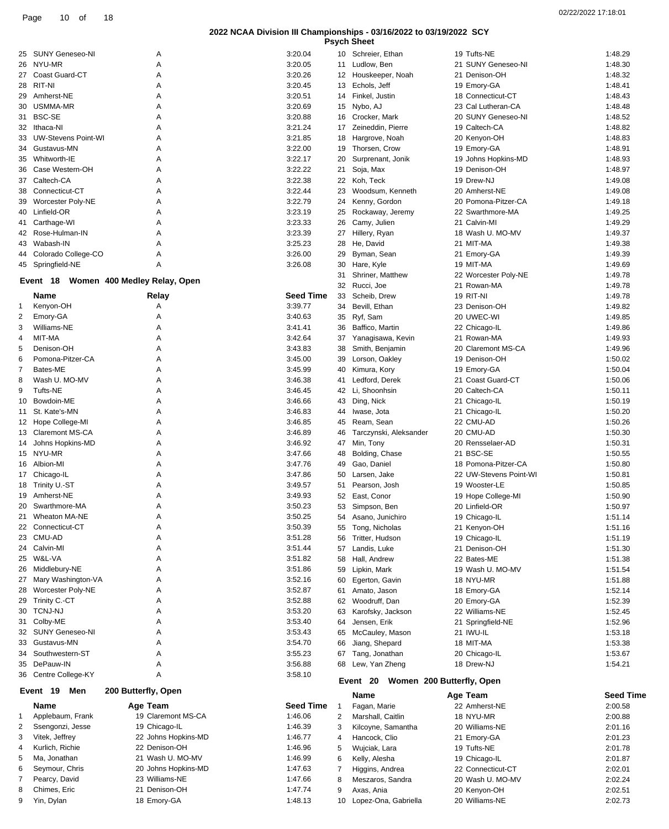|  | <b>Psych Sheet</b> |  |
|--|--------------------|--|
|--|--------------------|--|

| 25 | SUNY Geneseo-NI            | A | 3:20.04 |
|----|----------------------------|---|---------|
| 26 | NYU-MR                     | A | 3:20.05 |
| 27 | Coast Guard-CT             | A | 3:20.26 |
| 28 | RIT-NI                     | A | 3:20.45 |
| 29 | Amherst-NE                 | A | 3:20.51 |
| 30 | USMMA-MR                   | A | 3:20.69 |
| 31 | <b>BSC-SE</b>              | A | 3:20.88 |
| 32 | Ithaca-NI                  | A | 3:21.24 |
| 33 | <b>UW-Stevens Point-WI</b> | A | 3:21.85 |
| 34 | Gustavus-MN                | A | 3:22.00 |
| 35 | Whitworth-IE               | A | 3:22.17 |
| 36 | Case Western-OH            | A | 3:22.22 |
| 37 | Caltech-CA                 | A | 3:22.38 |
| 38 | Connecticut-CT             | A | 3:22.44 |
| 39 | <b>Worcester Poly-NE</b>   | A | 3:22.79 |
| 40 | Linfield-OR                | A | 3:23.19 |
| 41 | Carthage-WI                | A | 3:23.33 |
| 42 | Rose-Hulman-IN             | A | 3:23.39 |
| 43 | Wabash-IN                  | A | 3:25.23 |
| 44 | Colorado College-CO        | A | 3:26.00 |
| 45 | Springfield-NE             | A | 3:26.08 |

#### **Event 18 Women 400 Medley Relay, Open**

|                 | Name                   | Relay               | <b>Seed Time</b> |
|-----------------|------------------------|---------------------|------------------|
| 1               | Kenyon-OH              | A                   | 3:39.77          |
| $\overline{2}$  | Emory-GA               | A                   | 3:40.63          |
| 3               | Williams-NE            | A                   | 3:41.41          |
| 4               | MIT-MA                 | A                   | 3:42.64          |
| 5               | Denison-OH             | A                   | 3:43.83          |
| 6               | Pomona-Pitzer-CA       | A                   | 3:45.00          |
| 7               | Bates-ME               | A                   | 3:45.99          |
| 8               | Wash U. MO-MV          | A                   | 3:46.38          |
| 9               | <b>Tufts-NE</b>        | A                   | 3:46.45          |
| 10              | Bowdoin-ME             | A                   | 3:46.66          |
| 11              | St. Kate's-MN          | A                   | 3:46.83          |
| 12 <sup>°</sup> | Hope College-MI        | A                   | 3:46.85          |
| 13              | <b>Claremont MS-CA</b> | A                   | 3:46.89          |
| 14              | Johns Hopkins-MD       | A                   | 3:46.92          |
| 15              | NYU-MR                 | A                   | 3:47.66          |
| 16              | Albion-MI              | А                   | 3:47.76          |
| 17 <sup>2</sup> | Chicago-IL             | A                   | 3:47.86          |
| 18              | Trinity U.-ST          | A                   | 3:49.57          |
| 19              | Amherst-NE             | A                   | 3:49.93          |
| 20              | Swarthmore-MA          | A                   | 3:50.23          |
| 21              | <b>Wheaton MA-NE</b>   | A                   | 3:50.25          |
| 22              | Connecticut-CT         | A                   | 3:50.39          |
| 23              | CMU-AD                 | A                   | 3:51.28          |
| 24              | Calvin-MI              | A                   | 3:51.44          |
| 25              | W&L-VA                 | A                   | 3:51.82          |
| 26              | Middlebury-NE          | A                   | 3:51.86          |
| 27              | Mary Washington-VA     | A                   | 3:52.16          |
| 28              | Worcester Poly-NE      | A                   | 3:52.87          |
| 29              | Trinity C.-CT          | A                   | 3:52.88          |
| 30              | <b>TCNJ-NJ</b>         | A                   | 3:53.20          |
| 31              | Colby-ME               | A                   | 3:53.40          |
| 32              | <b>SUNY Geneseo-NI</b> | A                   | 3:53.43          |
| 33              | Gustavus-MN            | А                   | 3:54.70          |
| 34              | Southwestern-ST        | A                   | 3:55.23          |
| 35              | DePauw-IN              | A                   | 3:56.88          |
| 36              | Centre College-KY      | A                   | 3:58.10          |
|                 | Event<br>19<br>Men     | 200 Butterfly, Open |                  |

|              | Event 19<br>Men  | 200 Butterfly, Open |                  |
|--------------|------------------|---------------------|------------------|
|              | Name             | Age Team            | <b>Seed Time</b> |
| $\mathbf{1}$ | Applebaum, Frank | 19 Claremont MS-CA  | 1:46.06          |
| 2            | Ssengonzi, Jesse | 19 Chicago-IL       | 1:46.39          |
| 3            | Vitek, Jeffrey   | 22 Johns Hopkins-MD | 1:46.77          |
| 4            | Kurlich, Richie  | 22 Denison-OH       | 1:46.96          |
| 5            | Ma. Jonathan     | 21 Wash U. MO-MV    | 1:46.99          |
| 6            | Seymour, Chris   | 20 Johns Hopkins-MD | 1:47.63          |
| 7            | Pearcy, David    | 23 Williams-NE      | 1:47.66          |
| 8            | Chimes, Eric     | 21 Denison-OH       | 1:47.74          |

Yin, Dylan 18 Emory-GA 1:48.13

| 02/22/2022 17:18:01 |  |
|---------------------|--|
|---------------------|--|

10 Schreier, Ethan 19 Tufts-NE 1:48.29 11 Ludlow, Ben 21 SUNY Geneseo-NI 1:48.30 12 Houskeeper, Noah 21 Denison-OH 1:48.32 13 Echols, Jeff 19 Emory-GA 1:48.41 14 Finkel, Justin 18 Connecticut-CT 1:48.43 Nybo, AJ 23 Cal Lutheran-CA 1:48.48

| 16       | Crocker, Mark                   | 20 SUNY Geneseo-NI                 | 1:48.52            |
|----------|---------------------------------|------------------------------------|--------------------|
| 17       | Zeineddin, Pierre               | 19 Caltech-CA                      | 1:48.82            |
| 18       | Hargrove, Noah                  | 20 Kenyon-OH                       | 1:48.83            |
| 19       | Thorsen, Crow                   | 19 Emory-GA                        | 1:48.91            |
| 20       | Surprenant, Jonik               | 19 Johns Hopkins-MD                | 1:48.93            |
| 21       | Soja, Max                       | 19 Denison-OH                      | 1:48.97            |
| 22       | Koh, Teck                       | 19 Drew-NJ                         | 1:49.08            |
| 23       | Woodsum, Kenneth                | 20 Amherst-NE                      | 1:49.08            |
| 24       | Kenny, Gordon                   | 20 Pomona-Pitzer-CA                | 1:49.18            |
| 25       | Rockaway, Jeremy                | 22 Swarthmore-MA                   | 1:49.25            |
| 26       | Camy, Julien                    | 21 Calvin-MI                       | 1:49.29            |
| 27       | Hillery, Ryan                   | 18 Wash U. MO-MV                   | 1:49.37            |
| 28       | He, David                       | 21 MIT-MA                          | 1:49.38            |
| 29       | Byman, Sean                     | 21 Emory-GA                        | 1:49.39            |
| 30       | Hare, Kyle                      | 19 MIT-MA                          | 1:49.69            |
| 31       | Shriner, Matthew                | 22 Worcester Poly-NE               | 1:49.78            |
| 32       | Rucci, Joe                      | 21 Rowan-MA                        | 1:49.78            |
| 33       | Scheib, Drew                    | 19 RIT-NI                          | 1:49.78            |
| 34       | Bevill, Ethan                   | 23 Denison-OH                      | 1:49.82            |
| 35       | Ryf, Sam                        | 20 UWEC-WI                         | 1:49.85            |
| 36       | Baffico, Martin                 | 22 Chicago-IL                      | 1:49.86            |
| 37       | Yanagisawa, Kevin               | 21 Rowan-MA<br>20 Claremont MS-CA  | 1:49.93            |
| 38       | Smith, Benjamin                 |                                    | 1:49.96            |
| 39       | Lorson, Oakley                  | 19 Denison-OH                      | 1:50.02            |
| 40       | Kimura, Kory                    | 19 Emory-GA                        | 1:50.04            |
| 41<br>42 | Ledford, Derek<br>Li, Shoonhsin | 21 Coast Guard-CT<br>20 Caltech-CA | 1:50.06<br>1:50.11 |
| 43       | Ding, Nick                      | 21 Chicago-IL                      | 1:50.19            |
| 44       | Iwase, Jota                     | 21 Chicago-IL                      | 1:50.20            |
| 45       | Ream, Sean                      | 22 CMU-AD                          | 1:50.26            |
| 46       | Tarczynski, Aleksander          | 20 CMU-AD                          | 1:50.30            |
| 47       | Min, Tony                       | 20 Rensselaer-AD                   | 1:50.31            |
| 48       | Bolding, Chase                  | 21 BSC-SE                          | 1:50.55            |
| 49       | Gao, Daniel                     | 18 Pomona-Pitzer-CA                | 1:50.80            |
| 50       | Larsen, Jake                    | 22 UW-Stevens Point-WI             | 1:50.81            |
| 51       | Pearson, Josh                   | 19 Wooster-LE                      | 1:50.85            |
| 52       | East, Conor                     | 19 Hope College-MI                 | 1:50.90            |
| 53       | Simpson, Ben                    | 20 Linfield-OR                     | 1:50.97            |
| 54       | Asano, Junichiro                | 19 Chicago-IL                      | 1:51.14            |
| 55       | Tong, Nicholas                  | 21 Kenyon-OH                       | 1:51.16            |
| 56       | Tritter, Hudson                 | 19 Chicago-IL                      | 1:51.19            |
| 57       | Landis, Luke                    | 21 Denison-OH                      | 1:51.30            |
| 58       | Hall, Andrew                    | 22 Bates-ME                        | 1:51.38            |
| 59       | Lipkin, Mark                    | 19 Wash U. MO-MV                   | 1:51.54            |
|          | 60 Egerton, Gavin               | 18 NYU-MR                          | 1:51.88            |
| 61       | Amato, Jason                    | 18 Emory-GA                        | 1:52.14            |
| 62       | Woodruff, Dan                   | 20 Emory-GA                        | 1:52.39            |
| 63       | Karofsky, Jackson               | 22 Williams-NE                     | 1:52.45            |
| 64       | Jensen, Erik                    | 21 Springfield-NE                  | 1:52.96            |
| 65       | McCauley, Mason                 | 21 IWU-IL                          | 1:53.18            |
| 66       | Jiang, Shepard                  | 18 MIT-MA                          | 1:53.38            |
| 67       | Tang, Jonathan                  | 20 Chicago-IL                      | 1:53.67            |
| 68       | Lew, Yan Zheng                  | 18 Drew-NJ                         | 1:54.21            |
|          | Event 20                        | Women 200 Butterfly, Open          |                    |
|          | Name                            | Age Team                           | <b>Seed Time</b>   |
| 1        | Fagan, Marie                    | 22 Amherst-NE                      | 2:00.58            |
| 2        | Marshall, Caitlin               | 18 NYU-MR                          | 2:00.88            |
| 3        | Kilcoyne, Samantha              | 20 Williams-NE                     | 2:01.16            |
| 4        | Hancock, Clio                   | 21 Emory-GA                        | 2:01.23            |
| 5        | Wujciak, Lara                   | 19 Tufts-NE                        | 2:01.78            |
| 6        | Kelly, Alesha                   | 19 Chicago-IL                      | 2:01.87            |
| 7        | Higgins, Andrea                 | 22 Connecticut-CT                  | 2:02.01            |
| 8        | Meszaros, Sandra                | 20 Wash U. MO-MV                   | 2:02.24            |

 Axas, Ania 20 Kenyon-OH 2:02.51 Lopez-Ona, Gabriella 20 Williams-NE 2:02.73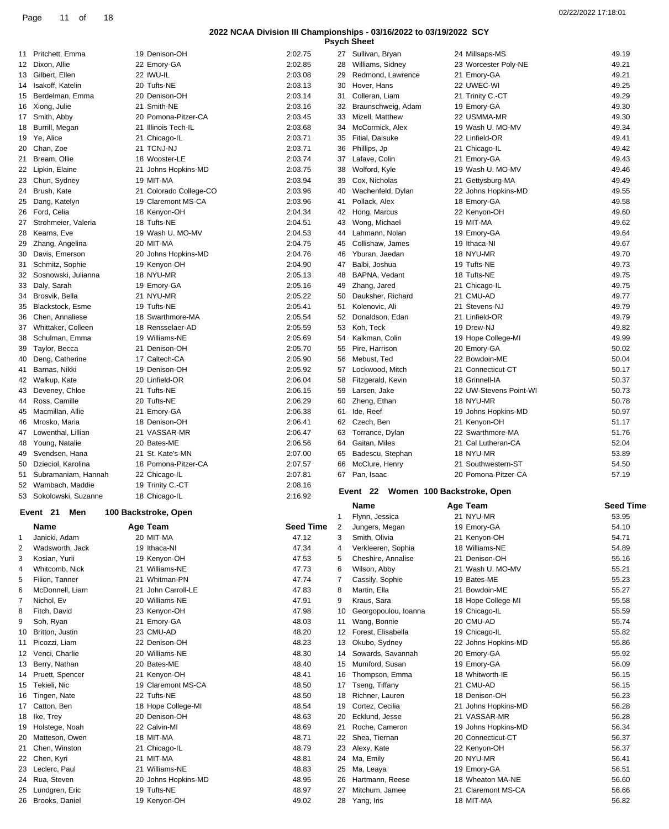|                |                                     |                             |                  |    | <b>Psych Sheet</b>                  |                                 |                  |
|----------------|-------------------------------------|-----------------------------|------------------|----|-------------------------------------|---------------------------------|------------------|
|                | 11 Pritchett, Emma                  | 19 Denison-OH               | 2:02.75          |    | 27 Sullivan, Bryan                  | 24 Millsaps-MS                  | 49.19            |
|                | 12 Dixon, Allie                     | 22 Emory-GA                 | 2:02.85          | 28 | Williams, Sidney                    | 23 Worcester Poly-NE            | 49.21            |
|                | 13 Gilbert, Ellen                   | 22 IWU-IL                   | 2:03.08          | 29 | Redmond, Lawrence                   | 21 Emory-GA                     | 49.21            |
| 14             | Isakoff, Katelin                    | 20 Tufts-NE                 | 2:03.13          | 30 | Hover, Hans                         | 22 UWEC-WI                      | 49.25            |
| 15             | Berdelman, Emma                     | 20 Denison-OH               | 2:03.14          | 31 | Colleran, Liam                      | 21 Trinity C.-CT                | 49.29            |
| 16             | Xiong, Julie                        | 21 Smith-NE                 | 2:03.16          | 32 | Braunschweig, Adam                  |                                 | 49.30            |
|                |                                     |                             |                  |    |                                     | 19 Emory-GA                     |                  |
|                | 17 Smith, Abby                      | 20 Pomona-Pitzer-CA         | 2:03.45          | 33 | Mizell, Matthew                     | 22 USMMA-MR                     | 49.30            |
| 18             | Burrill, Megan                      | 21 Illinois Tech-IL         | 2:03.68          | 34 | McCormick, Alex                     | 19 Wash U. MO-MV                | 49.34            |
| 19             | Ye, Alice                           | 21 Chicago-IL               | 2:03.71          | 35 | Fitial, Daisuke                     | 22 Linfield-OR                  | 49.41            |
| 20             | Chan, Zoe                           | 21 TCNJ-NJ                  | 2:03.71          | 36 | Phillips, Jp                        | 21 Chicago-IL                   | 49.42            |
| 21             | Bream, Ollie                        | 18 Wooster-LE               | 2:03.74          | 37 | Lafave, Colin                       | 21 Emory-GA                     | 49.43            |
|                | 22 Lipkin, Elaine                   | 21 Johns Hopkins-MD         | 2:03.75          | 38 | Wolford, Kyle                       | 19 Wash U. MO-MV                | 49.46            |
|                | 23 Chun, Sydney                     | 19 MIT-MA                   | 2:03.94          | 39 | Cox, Nicholas                       | 21 Gettysburg-MA                | 49.49            |
|                | 24 Brush, Kate                      | 21 Colorado College-CO      | 2:03.96          | 40 | Wachenfeld, Dylan                   | 22 Johns Hopkins-MD             | 49.55            |
| 25             | Dang, Katelyn                       | 19 Claremont MS-CA          | 2:03.96          | 41 | Pollack, Alex                       | 18 Emory-GA                     | 49.58            |
|                | 26 Ford, Celia                      | 18 Kenyon-OH                | 2:04.34          | 42 | Hong, Marcus                        | 22 Kenyon-OH                    | 49.60            |
|                |                                     |                             |                  |    |                                     |                                 |                  |
|                | 27 Strohmeier, Valeria              | 18 Tufts-NE                 | 2:04.51          | 43 | Wong, Michael                       | 19 MIT-MA                       | 49.62            |
| 28             | Kearns, Eve                         | 19 Wash U. MO-MV            | 2:04.53          | 44 | Lahmann, Nolan                      | 19 Emory-GA                     | 49.64            |
| 29             | Zhang, Angelina                     | 20 MIT-MA                   | 2:04.75          | 45 | Collishaw, James                    | 19 Ithaca-NI                    | 49.67            |
| 30             | Davis, Emerson                      | 20 Johns Hopkins-MD         | 2:04.76          | 46 | Yburan, Jaedan                      | 18 NYU-MR                       | 49.70            |
| 31             | Schmitz, Sophie                     | 19 Kenyon-OH                | 2:04.90          | 47 | Balbi, Joshua                       | 19 Tufts-NE                     | 49.73            |
| 32             | Sosnowski, Julianna                 | 18 NYU-MR                   | 2:05.13          | 48 | BAPNA, Vedant                       | 18 Tufts-NE                     | 49.75            |
|                | 33 Daly, Sarah                      | 19 Emory-GA                 | 2:05.16          | 49 | Zhang, Jared                        | 21 Chicago-IL                   | 49.75            |
| 34             | Brosvik, Bella                      | 21 NYU-MR                   | 2:05.22          | 50 | Dauksher, Richard                   | 21 CMU-AD                       | 49.77            |
|                |                                     |                             |                  |    |                                     |                                 |                  |
| 35             | Blackstock, Esme                    | 19 Tufts-NE                 | 2:05.41          | 51 | Kolenovic, Ali                      | 21 Stevens-NJ                   | 49.79            |
|                | 36 Chen, Annaliese                  | 18 Swarthmore-MA            | 2:05.54          | 52 | Donaldson, Edan                     | 21 Linfield-OR                  | 49.79            |
| 37             | Whittaker, Colleen                  | 18 Rensselaer-AD            | 2:05.59          | 53 | Koh, Teck                           | 19 Drew-NJ                      | 49.82            |
| 38             | Schulman, Emma                      | 19 Williams-NE              | 2:05.69          | 54 | Kalkman, Colin                      | 19 Hope College-MI              | 49.99            |
| 39             | Taylor, Becca                       | 21 Denison-OH               | 2:05.70          | 55 | Pire, Harrison                      | 20 Emory-GA                     | 50.02            |
| 40             | Deng, Catherine                     | 17 Caltech-CA               | 2:05.90          | 56 | Mebust, Ted                         | 22 Bowdoin-ME                   | 50.04            |
| 41             | Barnas, Nikki                       | 19 Denison-OH               | 2:05.92          | 57 | Lockwood, Mitch                     | 21 Connecticut-CT               | 50.17            |
|                | 42 Walkup, Kate                     | 20 Linfield-OR              | 2:06.04          | 58 | Fitzgerald, Kevin                   | 18 Grinnell-IA                  | 50.37            |
| 43             | Deveney, Chloe                      | 21 Tufts-NE                 | 2:06.15          | 59 | Larsen, Jake                        | 22 UW-Stevens Point-WI          | 50.73            |
|                |                                     |                             |                  |    |                                     |                                 |                  |
| 44             | Ross, Camille                       | 20 Tufts-NE                 | 2:06.29          | 60 | Zheng, Ethan                        | 18 NYU-MR                       | 50.78            |
| 45             | Macmillan, Allie                    | 21 Emory-GA                 | 2:06.38          | 61 | Ide, Reef                           | 19 Johns Hopkins-MD             | 50.97            |
| 46             | Mrosko, Maria                       | 18 Denison-OH               | 2:06.41          | 62 | Czech, Ben                          | 21 Kenyon-OH                    | 51.17            |
| 47             | Lowenthal, Lillian                  | 21 VASSAR-MR                | 2:06.47          | 63 | Torrance, Dylan                     | 22 Swarthmore-MA                | 51.76            |
| 48             | Young, Natalie                      | 20 Bates-ME                 | 2:06.56          | 64 | Gaitan, Miles                       | 21 Cal Lutheran-CA              | 52.04            |
| 49             | Svendsen, Hana                      | 21 St. Kate's-MN            | 2:07.00          | 65 | Badescu, Stephan                    | 18 NYU-MR                       | 53.89            |
| 50             | Dzieciol, Karolina                  | 18 Pomona-Pitzer-CA         | 2:07.57          | 66 | McClure, Henry                      | 21 Southwestern-ST              | 54.50            |
| 51             | Subramaniam, Hannah                 | 22 Chicago-IL               | 2:07.81          |    | 67 Pan, Isaac                       | 20 Pomona-Pitzer-CA             | 57.19            |
| 52             | Wambach, Maddie                     | 19 Trinity C.-CT            | 2:08.16          |    |                                     |                                 |                  |
|                | 53 Sokolowski, Suzanne              | 18 Chicago-IL               | 2:16.92          |    | Event 22 Women 100 Backstroke, Open |                                 |                  |
|                |                                     |                             |                  |    | Name                                | Age Team                        | <b>Seed Time</b> |
|                | Event 21<br>Men                     | 100 Backstroke, Open        |                  |    | Flynn, Jessica                      | 21 NYU-MR                       |                  |
|                |                                     |                             |                  |    |                                     |                                 |                  |
|                |                                     |                             |                  | 1  |                                     |                                 | 53.95            |
|                | Name                                | Age Team                    | <b>Seed Time</b> | 2  | Jungers, Megan                      | 19 Emory-GA                     | 54.10            |
| 1              | Janicki, Adam                       | 20 MIT-MA                   | 47.12            | 3  | Smith, Olivia                       | 21 Kenyon-OH                    | 54.71            |
| $\overline{2}$ | Wadsworth, Jack                     | 19 Ithaca-NI                | 47.34            | 4  | Verkleeren, Sophia                  | 18 Williams-NE                  | 54.89            |
| 3              | Kosian, Yurii                       | 19 Kenyon-OH                | 47.53            | 5  | Cheshire, Annalise                  | 21 Denison-OH                   | 55.16            |
| 4              | Whitcomb, Nick                      | 21 Williams-NE              | 47.73            | 6  | Wilson, Abby                        | 21 Wash U. MO-MV                | 55.21            |
| 5              | Filion, Tanner                      | 21 Whitman-PN               | 47.74            | 7  | Cassily, Sophie                     | 19 Bates-ME                     | 55.23            |
|                |                                     | 21 John Carroll-LE          |                  |    |                                     |                                 |                  |
| 6              | McDonnell, Liam                     |                             | 47.83            | 8  | Martin, Ella                        | 21 Bowdoin-ME                   | 55.27            |
| 7              | Nichol, Ev                          | 20 Williams-NE              | 47.91            | 9  | Kraus, Sara                         | 18 Hope College-MI              | 55.58            |
| 8              | Fitch, David                        | 23 Kenyon-OH                | 47.98            | 10 | Georgopoulou, Ioanna                | 19 Chicago-IL                   | 55.59            |
| 9              | Soh, Ryan                           | 21 Emory-GA                 | 48.03            | 11 | Wang, Bonnie                        | 20 CMU-AD                       | 55.74            |
| 10             | Britton, Justin                     | 23 CMU-AD                   | 48.20            | 12 | Forest, Elisabella                  | 19 Chicago-IL                   | 55.82            |
| 11             | Picozzi, Liam                       | 22 Denison-OH               | 48.23            | 13 | Okubo, Sydney                       | 22 Johns Hopkins-MD             | 55.86            |
| 12             | Venci, Charlie                      | 20 Williams-NE              | 48.30            | 14 | Sowards, Savannah                   | 20 Emory-GA                     | 55.92            |
|                | 13 Berry, Nathan                    | 20 Bates-ME                 | 48.40            | 15 | Mumford, Susan                      | 19 Emory-GA                     | 56.09            |
|                | 14 Pruett, Spencer                  | 21 Kenyon-OH                | 48.41            | 16 | Thompson, Emma                      | 18 Whitworth-IE                 | 56.15            |
| 15             | Tekieli, Nic                        | 19 Claremont MS-CA          | 48.50            | 17 | Tseng, Tiffany                      | 21 CMU-AD                       | 56.15            |
|                |                                     |                             |                  |    |                                     |                                 |                  |
| 16             | Tingen, Nate                        | 22 Tufts-NE                 | 48.50            | 18 | Richner, Lauren                     | 18 Denison-OH                   | 56.23            |
|                | 17 Catton, Ben                      | 18 Hope College-MI          | 48.54            | 19 | Cortez, Cecilia                     | 21 Johns Hopkins-MD             | 56.28            |
| 18             | Ike, Trey                           | 20 Denison-OH               | 48.63            | 20 | Ecklund, Jesse                      | 21 VASSAR-MR                    | 56.28            |
| 19             | Holstege, Noah                      | 22 Calvin-MI                | 48.69            | 21 | Roche, Cameron                      | 19 Johns Hopkins-MD             | 56.34            |
| 20             | Matteson, Owen                      | 18 MIT-MA                   | 48.71            |    | 22 Shea, Tiernan                    | 20 Connecticut-CT               | 56.37            |
| 21             | Chen, Winston                       | 21 Chicago-IL               | 48.79            | 23 | Alexy, Kate                         | 22 Kenyon-OH                    | 56.37            |
|                | 22 Chen, Kyri                       | 21 MIT-MA                   | 48.81            |    | 24 Ma, Emily                        | 20 NYU-MR                       | 56.41            |
|                | 23 Leclerc, Paul                    | 21 Williams-NE              | 48.83            | 25 | Ma, Leaya                           | 19 Emory-GA                     | 56.51            |
| 24             | Rua, Steven                         | 20 Johns Hopkins-MD         | 48.95            | 26 | Hartmann, Reese                     | 18 Wheaton MA-NE                | 56.60            |
|                |                                     |                             |                  |    |                                     |                                 |                  |
| 25             | Lundgren, Eric<br>26 Brooks, Daniel | 19 Tufts-NE<br>19 Kenyon-OH | 48.97<br>49.02   | 27 | Mitchum, Jamee<br>28 Yang, Iris     | 21 Claremont MS-CA<br>18 MIT-MA | 56.66<br>56.82   |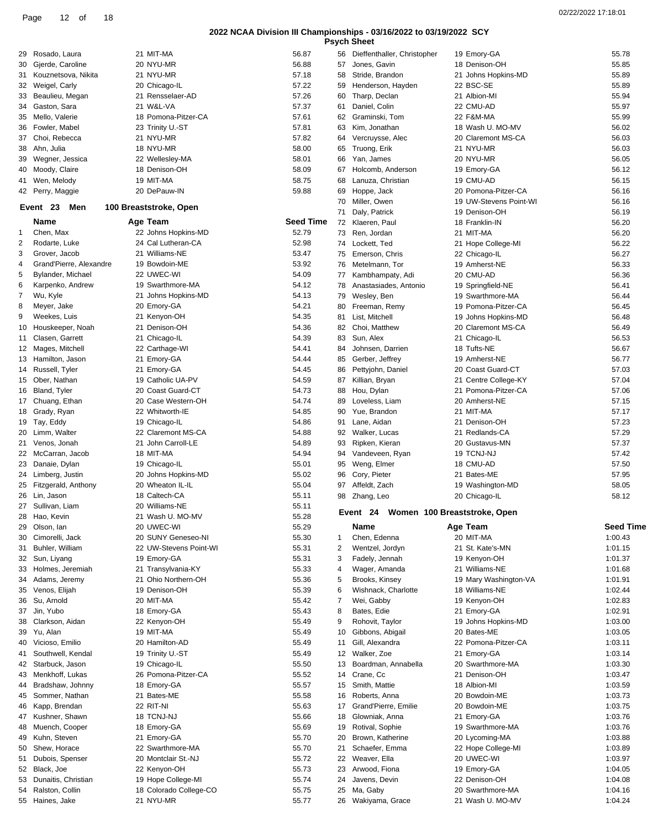|  | <b>Psvch Sheet</b> |  |  |
|--|--------------------|--|--|
|--|--------------------|--|--|

|    |                         |                        |                  |    | <b>Psych Sheet</b>                    |                        |                  |
|----|-------------------------|------------------------|------------------|----|---------------------------------------|------------------------|------------------|
| 29 | Rosado, Laura           | 21 MIT-MA              | 56.87            |    | 56 Dieffenthaller, Christopher        | 19 Emory-GA            | 55.78            |
| 30 | Gjerde, Caroline        | 20 NYU-MR              | 56.88            | 57 | Jones, Gavin                          | 18 Denison-OH          | 55.85            |
| 31 | Kouznetsova, Nikita     | 21 NYU-MR              | 57.18            | 58 | Stride, Brandon                       | 21 Johns Hopkins-MD    | 55.89            |
| 32 | Weigel, Carly           | 20 Chicago-IL          | 57.22            | 59 | Henderson, Hayden                     | 22 BSC-SE              | 55.89            |
| 33 | Beaulieu, Megan         | 21 Rensselaer-AD       | 57.26            | 60 | Tharp, Declan                         | 21 Albion-MI           | 55.94            |
| 34 | Gaston, Sara            | 21 W&L-VA              | 57.37            | 61 | Daniel, Colin                         | 22 CMU-AD              | 55.97            |
| 35 | Mello, Valerie          | 18 Pomona-Pitzer-CA    | 57.61            | 62 | Graminski, Tom                        | 22 F&M-MA              | 55.99            |
| 36 | Fowler, Mabel           | 23 Trinity U.-ST       | 57.81            | 63 | Kim, Jonathan                         | 18 Wash U. MO-MV       | 56.02            |
| 37 | Choi, Rebecca           | 21 NYU-MR              | 57.82            | 64 | Vercruysse, Alec                      | 20 Claremont MS-CA     | 56.03            |
| 38 | Ahn, Julia              | 18 NYU-MR              | 58.00            | 65 | Truong, Erik                          | 21 NYU-MR              | 56.03            |
| 39 | Wegner, Jessica         | 22 Wellesley-MA        | 58.01            | 66 | Yan, James                            | 20 NYU-MR              | 56.05            |
| 40 | Moody, Claire           | 18 Denison-OH          | 58.09            | 67 | Holcomb, Anderson                     | 19 Emory-GA            | 56.12            |
|    | 41 Wen, Melody          | 19 MIT-MA              | 58.75            | 68 | Lanuza, Christian                     | 19 CMU-AD              | 56.15            |
|    | 42 Perry, Maggie        | 20 DePauw-IN           | 59.88            | 69 | Hoppe, Jack                           | 20 Pomona-Pitzer-CA    | 56.16            |
|    |                         |                        |                  | 70 | Miller, Owen                          | 19 UW-Stevens Point-WI | 56.16            |
|    | Event 23<br>Men         | 100 Breaststroke, Open |                  | 71 | Daly, Patrick                         | 19 Denison-OH          | 56.19            |
|    | <b>Name</b>             | Age Team               | <b>Seed Time</b> | 72 | Klaeren, Paul                         | 18 Franklin-IN         | 56.20            |
| 1  | Chen, Max               | 22 Johns Hopkins-MD    | 52.79            | 73 | Ren, Jordan                           | 21 MIT-MA              | 56.20            |
| 2  | Rodarte, Luke           | 24 Cal Lutheran-CA     | 52.98            | 74 | Lockett, Ted                          | 21 Hope College-MI     | 56.22            |
| 3  | Grover, Jacob           | 21 Williams-NE         | 53.47            | 75 | Emerson, Chris                        | 22 Chicago-IL          | 56.27            |
| 4  | Grand'Pierre, Alexandre | 19 Bowdoin-ME          | 53.92            | 76 | Metelmann, Tor                        | 19 Amherst-NE          | 56.33            |
| 5  | Bylander, Michael       | 22 UWEC-WI             | 54.09            | 77 | Kambhampaty, Adi                      | 20 CMU-AD              | 56.36            |
| 6  | Karpenko, Andrew        | 19 Swarthmore-MA       | 54.12            | 78 | Anastasiades, Antonio                 | 19 Springfield-NE      | 56.41            |
| 7  | Wu, Kyle                | 21 Johns Hopkins-MD    | 54.13            | 79 | Wesley, Ben                           | 19 Swarthmore-MA       | 56.44            |
| 8  | Meyer, Jake             | 20 Emory-GA            | 54.21            | 80 | Freeman, Remy                         | 19 Pomona-Pitzer-CA    | 56.45            |
| 9  | Weekes, Luis            | 21 Kenyon-OH           | 54.35            | 81 | List, Mitchell                        | 19 Johns Hopkins-MD    | 56.48            |
| 10 | Houskeeper, Noah        | 21 Denison-OH          | 54.36            | 82 | Choi, Matthew                         | 20 Claremont MS-CA     | 56.49            |
| 11 | Clasen, Garrett         | 21 Chicago-IL          | 54.39            | 83 | Sun, Alex                             | 21 Chicago-IL          | 56.53            |
|    | 12 Mages, Mitchell      | 22 Carthage-WI         | 54.41            | 84 | Johnsen, Darrien                      | 18 Tufts-NE            | 56.67            |
| 13 | Hamilton, Jason         | 21 Emory-GA            | 54.44            | 85 | Gerber, Jeffrey                       | 19 Amherst-NE          | 56.77            |
| 14 | Russell, Tyler          | 21 Emory-GA            | 54.45            | 86 | Pettyjohn, Daniel                     | 20 Coast Guard-CT      | 57.03            |
|    | 15 Ober, Nathan         | 19 Catholic UA-PV      | 54.59            | 87 | Killian, Bryan                        | 21 Centre College-KY   | 57.04            |
| 16 | Bland, Tyler            | 20 Coast Guard-CT      | 54.73            | 88 | Hou, Dylan                            | 21 Pomona-Pitzer-CA    | 57.06            |
|    | 17 Chuang, Ethan        | 20 Case Western-OH     | 54.74            | 89 | Loveless, Liam                        | 20 Amherst-NE          | 57.15            |
|    | 18 Grady, Ryan          | 22 Whitworth-IE        | 54.85            | 90 | Yue, Brandon                          | 21 MIT-MA              | 57.17            |
| 19 | Tay, Eddy               | 19 Chicago-IL          | 54.86            | 91 | Lane, Aidan                           | 21 Denison-OH          | 57.23            |
| 20 | Limm, Walter            | 22 Claremont MS-CA     | 54.88            | 92 | Walker, Lucas                         | 21 Redlands-CA         | 57.29            |
|    | 21 Venos, Jonah         | 21 John Carroll-LE     | 54.89            | 93 | Ripken, Kieran                        | 20 Gustavus-MN         | 57.37            |
|    | 22 McCarran, Jacob      | 18 MIT-MA              | 54.94            | 94 | Vandeveen, Ryan                       | 19 TCNJ-NJ             | 57.42            |
| 23 | Danaie, Dylan           | 19 Chicago-IL          | 55.01            | 95 | Weng, Elmer                           | 18 CMU-AD              | 57.50            |
| 24 | Limberg, Justin         | 20 Johns Hopkins-MD    | 55.02            | 96 | Cory, Pieter                          | 21 Bates-ME            | 57.95            |
| 25 | Fitzgerald, Anthony     | 20 Wheaton IL-IL       | 55.04            | 97 | Affeldt, Zach                         | 19 Washington-MD       | 58.05            |
|    | 26 Lin, Jason           | 18 Caltech-CA          | 55.11            |    |                                       |                        | 58.12            |
|    | 27 Sullivan, Liam       | 20 Williams-NE         | 55.11            |    | 98 Zhang, Leo                         | 20 Chicago-IL          |                  |
| 28 | Hao, Kevin              | 21 Wash U. MO-MV       | 55.28            |    | Event 24 Women 100 Breaststroke, Open |                        |                  |
| 29 | Olson, lan              | 20 UWEC-WI             | 55.29            |    | Name                                  | Age Team               | <b>Seed Time</b> |
| 30 | Cimorelli, Jack         | 20 SUNY Geneseo-NI     | 55.30            | 1  | Chen, Edenna                          | 20 MIT-MA              | 1:00.43          |
|    | Buhler, William         | 22 UW-Stevens Point-WI | 55.31            | 2  |                                       | 21 St. Kate's-MN       | 1:01.15          |
| 31 |                         |                        |                  |    | Wentzel, Jordyn                       |                        |                  |
| 32 | Sun, Liyang             | 19 Emory-GA            | 55.31            | 3  | Fadely, Jennah                        | 19 Kenyon-OH           | 1:01.37          |
| 33 | Holmes, Jeremiah        | 21 Transylvania-KY     | 55.33            | 4  | Wager, Amanda                         | 21 Williams-NE         | 1:01.68          |
| 34 | Adams, Jeremy           | 21 Ohio Northern-OH    | 55.36            | 5  | Brooks, Kinsey                        | 19 Mary Washington-VA  | 1:01.91          |
| 35 | Venos, Elijah           | 19 Denison-OH          | 55.39            | 6  | Wishnack, Charlotte                   | 18 Williams-NE         | 1:02.44          |
| 36 | Su, Arnold              | 20 MIT-MA              | 55.42            | 7  | Wei, Gabby                            | 19 Kenyon-OH           | 1:02.83          |
|    | 37 Jin, Yubo            | 18 Emory-GA            | 55.43            | 8  | Bates, Edie                           | 21 Emory-GA            | 1:02.91          |
| 38 | Clarkson, Aidan         | 22 Kenyon-OH           | 55.49            | 9  | Rohovit, Taylor                       | 19 Johns Hopkins-MD    | 1:03.00          |
| 39 | Yu, Alan                | 19 MIT-MA              | 55.49            | 10 | Gibbons, Abigail                      | 20 Bates-ME            | 1:03.05          |
| 40 | Vicioso, Emilio         | 20 Hamilton-AD         | 55.49            | 11 | Gill, Alexandra                       | 22 Pomona-Pitzer-CA    | 1:03.11          |
| 41 | Southwell, Kendal       | 19 Trinity U.-ST       | 55.49            | 12 | Walker, Zoe                           | 21 Emory-GA            | 1:03.14          |
|    | 42 Starbuck, Jason      | 19 Chicago-IL          | 55.50            | 13 | Boardman, Annabella                   | 20 Swarthmore-MA       | 1:03.30          |
| 43 | Menkhoff, Lukas         | 26 Pomona-Pitzer-CA    | 55.52            | 14 | Crane, Cc                             | 21 Denison-OH          | 1:03.47          |
| 44 | Bradshaw, Johnny        | 18 Emory-GA            | 55.57            | 15 | Smith, Mattie                         | 18 Albion-MI           | 1:03.59          |
| 45 | Sommer, Nathan          | 21 Bates-ME            | 55.58            | 16 | Roberts, Anna                         | 20 Bowdoin-ME          | 1:03.73          |
| 46 | Kapp, Brendan           | 22 RIT-NI              | 55.63            | 17 | Grand'Pierre, Emilie                  | 20 Bowdoin-ME          | 1:03.75          |
| 47 | Kushner, Shawn          | 18 TCNJ-NJ             | 55.66            | 18 | Glowniak, Anna                        | 21 Emory-GA            | 1:03.76          |
| 48 | Muench, Cooper          | 18 Emory-GA            | 55.69            | 19 | Rotival, Sophie                       | 19 Swarthmore-MA       | 1:03.76          |
| 49 | Kuhn, Steven            | 21 Emory-GA            | 55.70            | 20 | Brown, Katherine                      | 20 Lycoming-MA         | 1:03.88          |
| 50 | Shew, Horace            | 22 Swarthmore-MA       | 55.70            | 21 | Schaefer, Emma                        | 22 Hope College-MI     | 1:03.89          |
| 51 | Dubois, Spenser         | 20 Montclair St.-NJ    | 55.72            | 22 | Weaver, Ella                          | 20 UWEC-WI             | 1:03.97          |
|    | 52 Black, Joe           | 22 Kenyon-OH           | 55.73            | 23 | Arwood, Fiona                         | 19 Emory-GA            | 1:04.05          |
| 53 | Dunaitis, Christian     | 19 Hope College-MI     | 55.74            | 24 | Javens, Devin                         | 22 Denison-OH          | 1:04.08          |
| 54 | Ralston, Collin         | 18 Colorado College-CO | 55.75            | 25 | Ma, Gaby                              | 20 Swarthmore-MA       | 1:04.16          |
|    | 55 Haines, Jake         | 21 NYU-MR              | 55.77            |    | 26 Wakiyama, Grace                    | 21 Wash U. MO-MV       | 1:04.24          |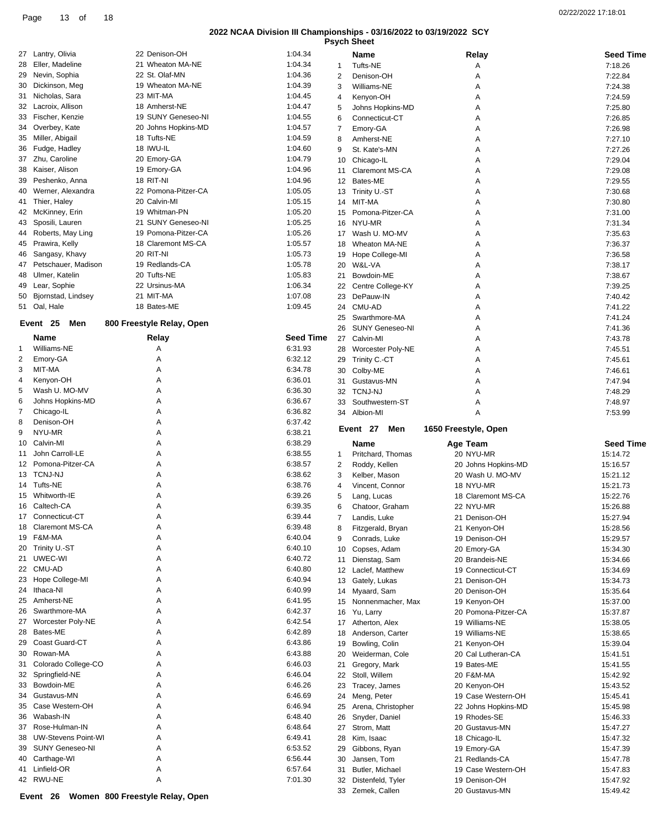|                     |         |                |                  |                    | 02/22/2022 17:18:01                                                 |
|---------------------|---------|----------------|------------------|--------------------|---------------------------------------------------------------------|
|                     |         |                |                  |                    |                                                                     |
| 22 Denison-OH       | 1:04.34 |                | Name             | Relay              | <b>Seed Time</b>                                                    |
| 21 Wheaton MA-NE    | 1:04.34 |                | Tufts-NE         | Α                  | 7:18.26                                                             |
| 22 St. Olaf-MN      | 1:04.36 | $\mathcal{P}$  | Denison-OH       | Α                  | 7:22.84                                                             |
| 19 Wheaton MA-NE    | 1:04.39 | 3              | Williams-NE      | A                  | 7:24.38                                                             |
| 23 MIT-MA           | 1:04.45 | $\overline{4}$ | Kenvon-OH        | A                  | 7:24.59                                                             |
| 18 Amherst-NE       | 1:04.47 | 5              | Johns Hopkins-MD | A                  | 7:25.80                                                             |
| 19 SUNY Geneseo-NI  | 1:04.55 | 6              | Connecticut-CT   | A                  | 7:26.85                                                             |
| 20 Johns Hopkins-MD | 1:04.57 |                | Emory-GA         | A                  | 7:26.98                                                             |
| 18 Tufts-NE         | 1:04.59 | 8              | Amherst-NE       | Α                  | 7:27.10                                                             |
| 18 IWU-IL           | 1:04.60 | 9              | St. Kate's-MN    | А                  | 7:27.26                                                             |
|                     |         |                |                  | <b>Psych Sheet</b> | 2022 NCAA Division III Championships - 03/16/2022 to 03/19/2022 SCY |

32 Distenfeld, Tyler 19 Denison-OH 15:47.92<br>33 Zemek, Callen 20 Gustavus-MN 15:49.42

33 Zemek, Callen

| 27 | Lantry, Olivia             | 22 Denison-OH             | 1:04.34          |    | Name                   | Relay                | <b>Seed Time</b> |
|----|----------------------------|---------------------------|------------------|----|------------------------|----------------------|------------------|
| 28 | Eller, Madeline            | 21 Wheaton MA-NE          | 1:04.34          | 1  | <b>Tufts-NE</b>        | Α                    | 7:18.26          |
| 29 | Nevin, Sophia              | 22 St. Olaf-MN            | 1:04.36          |    |                        |                      |                  |
|    |                            |                           |                  | 2  | Denison-OH             | Α                    | 7:22.84          |
| 30 | Dickinson, Meg             | 19 Wheaton MA-NE          | 1:04.39          | 3  | Williams-NE            | Α                    | 7:24.38          |
| 31 | Nicholas, Sara             | 23 MIT-MA                 | 1:04.45          | 4  | Kenyon-OH              | Α                    | 7:24.59          |
| 32 | Lacroix, Allison           | 18 Amherst-NE             | 1:04.47          | 5  | Johns Hopkins-MD       | Α                    | 7:25.80          |
| 33 | Fischer, Kenzie            | 19 SUNY Geneseo-NI        | 1:04.55          | 6  | Connecticut-CT         | A                    | 7:26.85          |
| 34 | Overbey, Kate              | 20 Johns Hopkins-MD       | 1:04.57          | 7  | Emory-GA               | Α                    | 7:26.98          |
| 35 | Miller, Abigail            | 18 Tufts-NE               | 1:04.59          | 8  | Amherst-NE             | Α                    | 7:27.10          |
| 36 | Fudge, Hadley              | 18 IWU-IL                 | 1:04.60          | 9  | St. Kate's-MN          | A                    | 7:27.26          |
|    | 37 Zhu, Caroline           | 20 Emory-GA               | 1:04.79          | 10 | Chicago-IL             | Α                    | 7:29.04          |
| 38 | Kaiser, Alison             | 19 Emory-GA               | 1:04.96          | 11 | Claremont MS-CA        | Α                    | 7:29.08          |
| 39 | Peshenko, Anna             | 18 RIT-NI                 | 1:04.96          |    | 12 Bates-ME            |                      | 7:29.55          |
|    |                            | 22 Pomona-Pitzer-CA       |                  |    |                        | Α                    |                  |
| 40 | Werner, Alexandra          |                           | 1:05.05          |    | 13 Trinity U.-ST       | Α                    | 7:30.68          |
|    | 41 Thier, Haley            | 20 Calvin-MI              | 1:05.15          |    | 14 MIT-MA              | Α                    | 7:30.80          |
|    | 42 McKinney, Erin          | 19 Whitman-PN             | 1:05.20          |    | 15 Pomona-Pitzer-CA    | A                    | 7:31.00          |
| 43 | Sposili, Lauren            | 21 SUNY Geneseo-NI        | 1:05.25          | 16 | NYU-MR                 | Α                    | 7:31.34          |
| 44 | Roberts, May Ling          | 19 Pomona-Pitzer-CA       | 1:05.26          |    | 17 Wash U. MO-MV       | Α                    | 7:35.63          |
| 45 | Prawira, Kelly             | 18 Claremont MS-CA        | 1:05.57          | 18 | Wheaton MA-NE          | Α                    | 7:36.37          |
| 46 | Sangasy, Khavy             | 20 RIT-NI                 | 1:05.73          | 19 | Hope College-MI        | Α                    | 7:36.58          |
| 47 | Petschauer, Madison        | 19 Redlands-CA            | 1:05.78          |    | 20 W&L-VA              | Α                    | 7:38.17          |
| 48 | Ulmer, Katelin             | 20 Tufts-NE               | 1:05.83          |    | 21 Bowdoin-ME          | Α                    | 7:38.67          |
|    |                            | 22 Ursinus-MA             |                  |    |                        |                      |                  |
| 49 | Lear, Sophie               |                           | 1:06.34          |    | 22 Centre College-KY   | Α                    | 7:39.25          |
|    | 50 Bjornstad, Lindsey      | 21 MIT-MA                 | 1:07.08          | 23 | DePauw-IN              | Α                    | 7:40.42          |
|    | 51 Oal, Hale               | 18 Bates-ME               | 1:09.45          |    | 24 CMU-AD              | Α                    | 7:41.22          |
|    | Event 25                   |                           |                  | 25 | Swarthmore-MA          | Α                    | 7:41.24          |
|    | Men                        | 800 Freestyle Relay, Open |                  | 26 | <b>SUNY Geneseo-NI</b> | Α                    | 7:41.36          |
|    | Name                       | Relay                     | <b>Seed Time</b> |    | 27 Calvin-MI           | Α                    | 7:43.78          |
| 1  | Williams-NE                | Α                         | 6:31.93          |    | 28 Worcester Poly-NE   | Α                    | 7:45.51          |
| 2  | Emory-GA                   | Α                         | 6:32.12          |    | 29 Trinity C.-CT       | A                    | 7:45.61          |
| 3  | MIT-MA                     | A                         | 6:34.78          |    | 30 Colby-ME            | Α                    | 7:46.61          |
| 4  | Kenyon-OH                  | Α                         | 6:36.01          |    |                        |                      |                  |
|    |                            |                           |                  |    | 31 Gustavus-MN         | Α                    | 7:47.94          |
| 5  | Wash U. MO-MV              | Α                         | 6:36.30          | 32 | <b>TCNJ-NJ</b>         | A                    | 7:48.29          |
|    |                            |                           |                  |    |                        |                      |                  |
| 6  | Johns Hopkins-MD           | A                         | 6:36.67          | 33 | Southwestern-ST        | Α                    | 7:48.97          |
| 7  | Chicago-IL                 | Α                         | 6:36.82          |    | 34 Albion-MI           | A                    | 7:53.99          |
| 8  | Denison-OH                 | Α                         | 6:37.42          |    |                        |                      |                  |
| 9  | NYU-MR                     | Α                         | 6:38.21          |    | Men<br>Event 27        | 1650 Freestyle, Open |                  |
| 10 | Calvin-MI                  | Α                         | 6:38.29          |    | Name                   | Age Team             | <b>Seed Time</b> |
| 11 | John Carroll-LE            | Α                         | 6:38.55          | 1  |                        | 20 NYU-MR            | 15:14.72         |
|    |                            |                           |                  |    | Pritchard, Thomas      |                      |                  |
|    | 12 Pomona-Pitzer-CA        | Α                         | 6:38.57          | 2  | Roddy, Kellen          | 20 Johns Hopkins-MD  | 15:16.57         |
|    | 13 TCNJ-NJ                 | A                         | 6:38.62          | 3  | Kelber, Mason          | 20 Wash U. MO-MV     | 15:21.12         |
|    | 14 Tufts-NE                | Α                         | 6:38.76          | 4  | Vincent, Connor        | 18 NYU-MR            | 15:21.73         |
|    | 15 Whitworth-IE            | A                         | 6:39.26          | 5  | Lang, Lucas            | 18 Claremont MS-CA   | 15:22.76         |
|    | 16 Caltech-CA              | Α                         | 6:39.35          | 6  | Chatoor, Graham        | 22 NYU-MR            | 15:26.88         |
|    | 17 Connecticut-CT          |                           | 6:39.44          |    | Landis, Luke           | 21 Denison-OH        | 15:27.94         |
| 18 | <b>Claremont MS-CA</b>     | Α                         | 6:39.48          | 8  | Fitzgerald, Bryan      | 21 Kenyon-OH         | 15:28.56         |
| 19 | F&M-MA                     | Α                         | 6:40.04          | 9  | Conrads, Luke          | 19 Denison-OH        | 15:29.57         |
| 20 | Trinity U.-ST              | Α                         | 6:40.10          | 10 | Copses, Adam           | 20 Emory-GA          | 15:34.30         |
|    | 21 UWEC-WI                 | Α                         | 6:40.72          |    |                        |                      |                  |
|    |                            |                           |                  | 11 | Dienstag, Sam          | 20 Brandeis-NE       | 15:34.66         |
|    | 22 CMU-AD                  | Α                         | 6:40.80          | 12 | Laclef, Matthew        | 19 Connecticut-CT    | 15:34.69         |
| 23 | Hope College-MI            | Α                         | 6:40.94          | 13 | Gately, Lukas          | 21 Denison-OH        | 15:34.73         |
| 24 | Ithaca-NI                  | Α                         | 6:40.99          | 14 | Myaard, Sam            | 20 Denison-OH        | 15:35.64         |
| 25 | Amherst-NE                 | Α                         | 6:41.95          | 15 | Nonnenmacher, Max      | 19 Kenyon-OH         | 15:37.00         |
| 26 | Swarthmore-MA              | Α                         | 6:42.37          | 16 | Yu, Larry              | 20 Pomona-Pitzer-CA  | 15:37.87         |
| 27 | Worcester Poly-NE          | Α                         | 6:42.54          |    | 17 Atherton, Alex      | 19 Williams-NE       | 15:38.05         |
| 28 | Bates-ME                   | Α                         | 6:42.89          | 18 | Anderson, Carter       | 19 Williams-NE       | 15:38.65         |
| 29 | Coast Guard-CT             | Α                         | 6:43.86          | 19 | Bowling, Colin         | 21 Kenyon-OH         | 15:39.04         |
| 30 | Rowan-MA                   | Α                         | 6:43.88          | 20 | Weiderman, Cole        | 20 Cal Lutheran-CA   | 15:41.51         |
| 31 | Colorado College-CO        | Α                         | 6:46.03          | 21 |                        | 19 Bates-ME          | 15:41.55         |
| 32 | Springfield-NE             | Α                         | 6:46.04          |    | Gregory, Mark          |                      |                  |
|    |                            |                           |                  | 22 | Stoll, Willem          | 20 F&M-MA            | 15:42.92         |
| 33 | Bowdoin-ME                 | Α                         | 6:46.26          | 23 | Tracey, James          | 20 Kenyon-OH         | 15:43.52         |
| 34 | Gustavus-MN                | Α                         | 6:46.69          |    | 24 Meng, Peter         | 19 Case Western-OH   | 15:45.41         |
| 35 | Case Western-OH            | Α                         | 6:46.94          | 25 | Arena, Christopher     | 22 Johns Hopkins-MD  | 15:45.98         |
| 36 | Wabash-IN                  | Α                         | 6:48.40          | 26 | Snyder, Daniel         | 19 Rhodes-SE         | 15:46.33         |
| 37 | Rose-Hulman-IN             | Α                         | 6:48.64          |    | 27 Strom, Matt         | 20 Gustavus-MN       | 15:47.27         |
| 38 | <b>UW-Stevens Point-WI</b> | Α                         | 6:49.41          | 28 | Kim, Isaac             | 18 Chicago-IL        | 15:47.32         |
| 39 | <b>SUNY Geneseo-NI</b>     | Α                         | 6:53.52          | 29 | Gibbons, Ryan          | 19 Emory-GA          | 15:47.39         |
| 40 | Carthage-WI                | Α                         | 6:56.44          | 30 | Jansen, Tom            | 21 Redlands-CA       | 15:47.78         |

42 RWU-NE A 6 A 7:01.30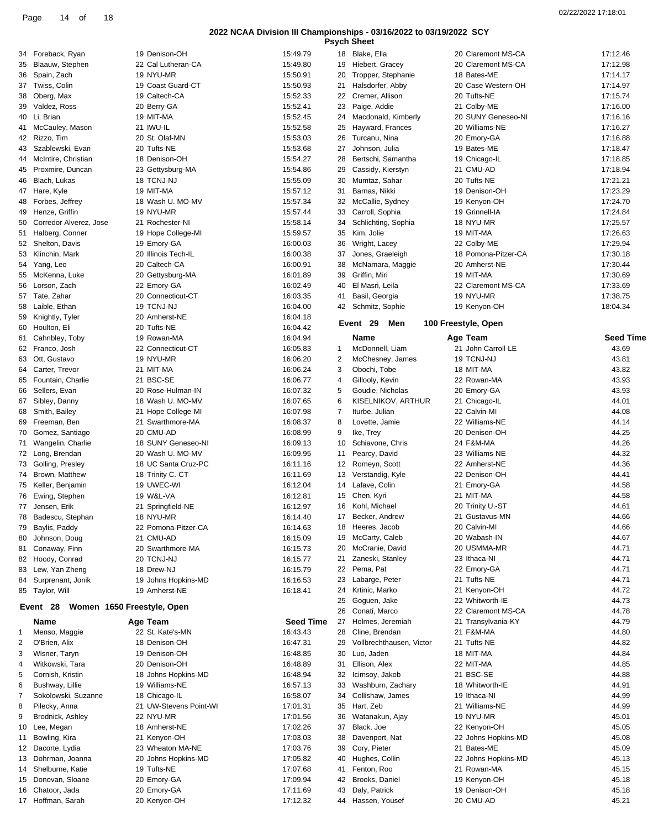|    |                                        |                        |                  |    | <b>Psych Sheet</b>                         |                     |                  |
|----|----------------------------------------|------------------------|------------------|----|--------------------------------------------|---------------------|------------------|
|    | 34 Foreback, Ryan                      | 19 Denison-OH          | 15:49.79         |    | 18 Blake, Ella                             | 20 Claremont MS-CA  | 17:12.46         |
| 35 | Blaauw, Stephen                        | 22 Cal Lutheran-CA     | 15:49.80         | 19 | Hiebert, Gracey                            | 20 Claremont MS-CA  | 17:12.98         |
| 36 | Spain, Zach                            | 19 NYU-MR              | 15:50.91         | 20 | Tropper, Stephanie                         | 18 Bates-ME         | 17:14.17         |
|    | 37 Twiss, Colin                        | 19 Coast Guard-CT      | 15:50.93         | 21 | Halsdorfer, Abby                           | 20 Case Western-OH  | 17:14.97         |
|    |                                        |                        |                  |    |                                            | 20 Tufts-NE         |                  |
| 38 | Oberg, Max                             | 19 Caltech-CA          | 15:52.33         | 22 | Cremer, Allison                            |                     | 17:15.74         |
| 39 | Valdez, Ross                           | 20 Berry-GA            | 15:52.41         | 23 | Paige, Addie                               | 21 Colby-ME         | 17:16.00         |
|    | 40 Li, Brian                           | 19 MIT-MA              | 15:52.45         | 24 | Macdonald, Kimberly                        | 20 SUNY Geneseo-NI  | 17:16.16         |
|    | 41 McCauley, Mason                     | 21 IWU-IL              | 15:52.58         | 25 | Hayward, Frances                           | 20 Williams-NE      | 17:16.27         |
|    | 42 Rizzo, Tim                          | 20 St. Olaf-MN         | 15:53.03         | 26 | Turcanu, Nina                              | 20 Emory-GA         | 17:16.88         |
| 43 | Szablewski, Evan                       | 20 Tufts-NE            | 15:53.68         | 27 | Johnson, Julia                             | 19 Bates-ME         | 17:18.47         |
| 44 | McIntire, Christian                    | 18 Denison-OH          | 15:54.27         | 28 | Bertschi, Samantha                         | 19 Chicago-IL       | 17:18.85         |
| 45 | Proxmire, Duncan                       | 23 Gettysburg-MA       | 15:54.86         | 29 | Cassidy, Kierstyn                          | 21 CMU-AD           | 17:18.94         |
| 46 | Blach, Lukas                           | 18 TCNJ-NJ             | 15:55.09         | 30 | Mumtaz, Sahar                              | 20 Tufts-NE         | 17:21.21         |
|    | 47 Hare, Kyle                          | 19 MIT-MA              | 15:57.12         | 31 | Barnas, Nikki                              | 19 Denison-OH       | 17:23.29         |
| 48 | Forbes, Jeffrey                        | 18 Wash U. MO-MV       | 15:57.34         | 32 | McCallie, Sydney                           | 19 Kenyon-OH        | 17:24.70         |
| 49 | Henze, Griffin                         | 19 NYU-MR              | 15:57.44         | 33 | Carroll, Sophia                            | 19 Grinnell-IA      | 17:24.84         |
| 50 | Corredor Alverez, Jose                 | 21 Rochester-NI        | 15:58.14         | 34 | Schlichting, Sophia                        | 18 NYU-MR           | 17:25.57         |
|    |                                        |                        |                  |    |                                            |                     |                  |
| 51 | Halberg, Conner                        | 19 Hope College-MI     | 15:59.57         | 35 | Kim, Jolie                                 | 19 MIT-MA           | 17:26.63         |
|    | 52 Shelton, Davis                      | 19 Emory-GA            | 16:00.03         | 36 | Wright, Lacey                              | 22 Colby-ME         | 17:29.94         |
|    | 53 Klinchin, Mark                      | 20 Illinois Tech-IL    | 16:00.38         | 37 | Jones, Graeleigh                           | 18 Pomona-Pitzer-CA | 17:30.18         |
|    | 54 Yang, Leo                           | 20 Caltech-CA          | 16:00.91         | 38 | McNamara, Maggie                           | 20 Amherst-NE       | 17:30.44         |
| 55 | McKenna, Luke                          | 20 Gettysburg-MA       | 16:01.89         | 39 | Griffin, Miri                              | 19 MIT-MA           | 17:30.69         |
| 56 | Lorson, Zach                           | 22 Emory-GA            | 16:02.49         | 40 | El Masri, Leila                            | 22 Claremont MS-CA  | 17:33.69         |
| 57 | Tate, Zahar                            | 20 Connecticut-CT      | 16:03.35         | 41 | Basil, Georgia                             | 19 NYU-MR           | 17:38.75         |
| 58 | Laible, Ethan                          | 19 TCNJ-NJ             | 16:04.00         | 42 | Schmitz, Sophie                            | 19 Kenyon-OH        | 18:04.34         |
|    | 59 Knightly, Tyler                     | 20 Amherst-NE          | 16:04.18         |    |                                            |                     |                  |
| 60 | Houlton, Eli                           | 20 Tufts-NE            | 16:04.42         |    | Event 29<br>Men                            | 100 Freestyle, Open |                  |
| 61 | Cahnbley, Toby                         | 19 Rowan-MA            | 16:04.94         |    | Name                                       | Age Team            | <b>Seed Time</b> |
|    | 62 Franco, Josh                        | 22 Connecticut-CT      | 16:05.83         | 1  | McDonnell, Liam                            | 21 John Carroll-LE  | 43.69            |
|    |                                        |                        |                  |    |                                            |                     |                  |
| 63 | Ott, Gustavo                           | 19 NYU-MR              | 16:06.20         | 2  | McChesney, James                           | 19 TCNJ-NJ          | 43.81            |
| 64 | Carter, Trevor                         | 21 MIT-MA              | 16:06.24         | 3  | Obochi, Tobe                               | 18 MIT-MA           | 43.82            |
| 65 | Fountain, Charlie                      | 21 BSC-SE              | 16:06.77         | 4  | Gillooly, Kevin                            | 22 Rowan-MA         | 43.93            |
| 66 | Sellers, Evan                          | 20 Rose-Hulman-IN      | 16:07.32         | 5  | Goudie, Nicholas                           | 20 Emory-GA         | 43.93            |
| 67 | Sibley, Danny                          | 18 Wash U. MO-MV       | 16:07.65         | 6  | KISELNIKOV, ARTHUR                         | 21 Chicago-IL       | 44.01            |
| 68 | Smith, Bailey                          | 21 Hope College-MI     | 16:07.98         | 7  | Iturbe, Julian                             | 22 Calvin-MI        | 44.08            |
| 69 | Freeman, Ben                           | 21 Swarthmore-MA       | 16:08.37         | 8  | Lovette, Jamie                             | 22 Williams-NE      | 44.14            |
| 70 | Gomez, Santiago                        | 20 CMU-AD              | 16:08.99         | 9  | Ike, Trey                                  | 20 Denison-OH       | 44.25            |
|    |                                        |                        |                  |    |                                            |                     |                  |
|    | 71 Wangelin, Charlie                   | 18 SUNY Geneseo-NI     | 16:09.13         | 10 | Schiavone, Chris                           | 24 F&M-MA           | 44.26            |
|    | 72 Long, Brendan                       | 20 Wash U. MO-MV       | 16:09.95         | 11 | Pearcy, David                              | 23 Williams-NE      | 44.32            |
| 73 | Golling, Presley                       | 18 UC Santa Cruz-PC    | 16:11.16         | 12 | Romeyn, Scott                              | 22 Amherst-NE       | 44.36            |
|    | 74 Brown, Matthew                      | 18 Trinity C.-CT       | 16:11.69         | 13 | Verstandig, Kyle                           | 22 Denison-OH       | 44.41            |
|    | 75 Keller, Benjamin                    | 19 UWEC-WI             | 16:12.04         | 14 | Lafave, Colin                              | 21 Emory-GA         | 44.58            |
|    | 76 Ewing, Stephen                      | 19 W&L-VA              | 16:12.81         | 15 | Chen, Kyri                                 | 21 MIT-MA           | 44.58            |
|    | 77 Jensen, Erik                        | 21 Springfield-NE      | 16:12.97         |    | 16 Kohl, Michael                           | 20 Trinity U.-ST    | 44.61            |
|    | 78 Badescu, Stephan                    | 18 NYU-MR              | 16:14.40         |    | 17 Becker, Andrew                          | 21 Gustavus-MN      | 44.66            |
| 79 | Baylis, Paddy                          | 22 Pomona-Pitzer-CA    | 16:14.63         | 18 | Heeres, Jacob                              | 20 Calvin-MI        | 44.66            |
|    |                                        | 21 CMU-AD              | 16:15.09         |    | McCarty, Caleb                             |                     |                  |
| 80 | Johnson, Doug                          |                        |                  | 19 |                                            | 20 Wabash-IN        | 44.67            |
|    | 81 Conaway, Finn                       | 20 Swarthmore-MA       | 16:15.73         | 20 | McCranie, David                            | 20 USMMA-MR         | 44.71            |
|    | 82 Hoody, Conrad                       | 20 TCNJ-NJ             | 16:15.77         | 21 | Zaneski, Stanley                           | 23 Ithaca-NI        | 44.71            |
| 83 | Lew, Yan Zheng                         | 18 Drew-NJ             | 16:15.79         | 22 | Pema, Pat                                  | 22 Emory-GA         | 44.71            |
|    | 84 Surprenant, Jonik                   | 19 Johns Hopkins-MD    | 16:16.53         | 23 | Labarge, Peter                             | 21 Tufts-NE         | 44.71            |
|    | 85 Taylor, Will                        | 19 Amherst-NE          | 16:18.41         | 24 | Krtinic, Marko                             | 21 Kenyon-OH        | 44.72            |
|    |                                        |                        |                  | 25 | Goguen, Jake                               | 22 Whitworth-IE     | 44.73            |
|    | Event 28<br>Women 1650 Freestyle, Open |                        |                  | 26 | Conati, Marco                              | 22 Claremont MS-CA  | 44.78            |
|    | Name                                   | Age Team               | <b>Seed Time</b> | 27 | Holmes, Jeremiah                           | 21 Transylvania-KY  | 44.79            |
| 1  |                                        |                        | 16:43.43         |    |                                            |                     | 44.80            |
|    | Menso, Maggie                          | 22 St. Kate's-MN       |                  | 28 | Cline, Brendan<br>Vollbrechthausen, Victor | 21 F&M-MA           |                  |
| 2  |                                        |                        |                  |    |                                            |                     |                  |
| 3  | O'Brien, Alix                          | 18 Denison-OH          | 16:47.31         | 29 |                                            | 21 Tufts-NE         | 44.82            |
| 4  | Wisner, Taryn                          | 19 Denison-OH          | 16:48.85         | 30 | Luo, Jaden                                 | 18 MIT-MA           | 44.84            |
|    | Witkowski, Tara                        | 20 Denison-OH          | 16:48.89         | 31 | Ellison, Alex                              | 22 MIT-MA           | 44.85            |
| 5  | Cornish, Kristin                       | 18 Johns Hopkins-MD    | 16:48.94         | 32 | Icimsoy, Jakob                             | 21 BSC-SE           | 44.88            |
| 6  | Bushway, Lillie                        | 19 Williams-NE         | 16:57.13         | 33 | Washburn, Zachary                          | 18 Whitworth-IE     | 44.91            |
| 7  | Sokolowski, Suzanne                    | 18 Chicago-IL          | 16:58.07         | 34 | Collishaw, James                           | 19 Ithaca-NI        | 44.99            |
| 8  |                                        |                        |                  |    |                                            |                     |                  |
|    | Pilecky, Anna                          | 21 UW-Stevens Point-WI | 17:01.31         | 35 | Hart, Zeb                                  | 21 Williams-NE      | 44.99            |
| 9  | Brodnick, Ashley                       | 22 NYU-MR              | 17:01.56         | 36 | Watanakun, Ajay                            | 19 NYU-MR           | 45.01            |
| 10 | Lee, Megan                             | 18 Amherst-NE          | 17:02.26         | 37 | Black, Joe                                 | 22 Kenyon-OH        | 45.05            |
|    | 11 Bowling, Kira                       | 21 Kenyon-OH           | 17:03.03         | 38 | Davenport, Nat                             | 22 Johns Hopkins-MD | 45.08            |
|    | 12 Dacorte, Lydia                      | 23 Wheaton MA-NE       | 17:03.76         | 39 | Cory, Pieter                               | 21 Bates-ME         | 45.09            |
| 13 | Dohrman, Joanna                        | 20 Johns Hopkins-MD    | 17:05.82         | 40 | Hughes, Collin                             | 22 Johns Hopkins-MD | 45.13            |
|    | 14 Shelburne, Katie                    | 19 Tufts-NE            | 17:07.68         | 41 | Fenton, Roo                                | 21 Rowan-MA         | 45.15            |
| 15 | Donovan, Sloane                        | 20 Emory-GA            | 17:09.94         | 42 | Brooks, Daniel                             | 19 Kenyon-OH        | 45.18            |
| 16 | Chatoor, Jada                          | 20 Emory-GA            | 17:11.69         | 43 | Daly, Patrick                              | 19 Denison-OH       | 45.18            |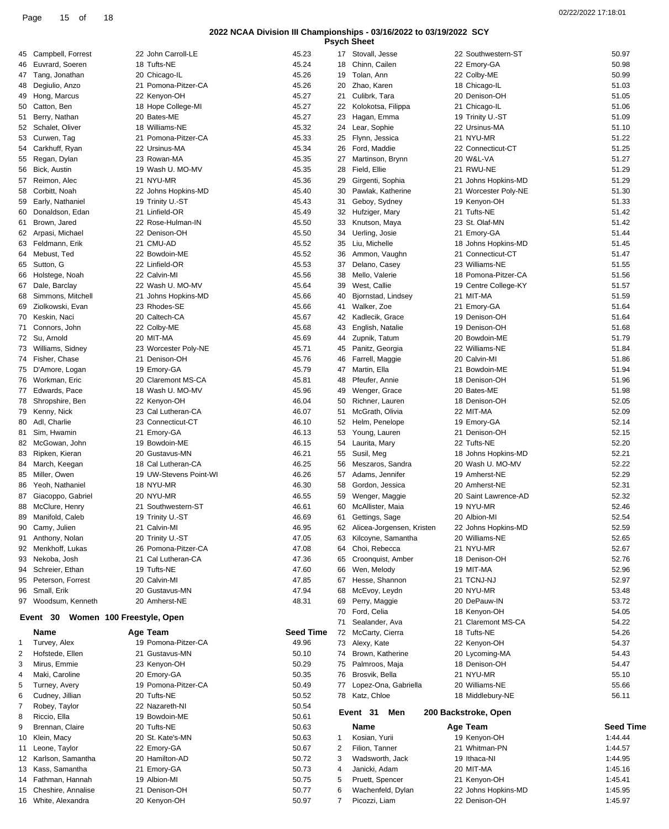| 02/22/2022 17:18:01 |  |
|---------------------|--|
|                     |  |

|    |                                       |                        |                  |                | <b>Psych Sheet</b>        |                      |                  |
|----|---------------------------------------|------------------------|------------------|----------------|---------------------------|----------------------|------------------|
|    | 45 Campbell, Forrest                  | 22 John Carroll-LE     | 45.23            |                | 17 Stovall, Jesse         | 22 Southwestern-ST   | 50.97            |
| 46 | Euvrard, Soeren                       | 18 Tufts-NE            | 45.24            | 18             | Chinn, Cailen             | 22 Emory-GA          | 50.98            |
| 47 | Tang, Jonathan                        | 20 Chicago-IL          | 45.26            | 19             | Tolan, Ann                | 22 Colby-ME          | 50.99            |
| 48 | Degiulio, Anzo                        | 21 Pomona-Pitzer-CA    | 45.26            | 20             | Zhao, Karen               | 18 Chicago-IL        | 51.03            |
| 49 | Hong, Marcus                          | 22 Kenyon-OH           | 45.27            | 21             | Culibrk, Tara             | 20 Denison-OH        | 51.05            |
| 50 | Catton, Ben                           | 18 Hope College-MI     | 45.27            | 22             | Kolokotsa, Filippa        | 21 Chicago-IL        | 51.06            |
|    |                                       |                        |                  |                |                           |                      |                  |
| 51 | Berry, Nathan                         | 20 Bates-ME            | 45.27            | 23             | Hagan, Emma               | 19 Trinity U.-ST     | 51.09            |
|    | 52 Schalet, Oliver                    | 18 Williams-NE         | 45.32            | 24             | Lear, Sophie              | 22 Ursinus-MA        | 51.10            |
| 53 | Curwen, Tag                           | 21 Pomona-Pitzer-CA    | 45.33            | 25             | Flynn, Jessica            | 21 NYU-MR            | 51.22            |
|    | 54 Carkhuff, Ryan                     | 22 Ursinus-MA          | 45.34            | 26             | Ford, Maddie              | 22 Connecticut-CT    | 51.25            |
|    | 55 Regan, Dylan                       | 23 Rowan-MA            | 45.35            | 27             | Martinson, Brynn          | 20 W&L-VA            | 51.27            |
| 56 | Bick, Austin                          | 19 Wash U. MO-MV       | 45.35            | 28             | Field, Ellie              | 21 RWU-NE            | 51.29            |
| 57 | Reimon, Alec                          | 21 NYU-MR              | 45.36            | 29             | Girgenti, Sophia          | 21 Johns Hopkins-MD  | 51.29            |
| 58 | Corbitt, Noah                         | 22 Johns Hopkins-MD    | 45.40            | 30             | Pawlak, Katherine         | 21 Worcester Poly-NE | 51.30            |
| 59 | Early, Nathaniel                      | 19 Trinity U.-ST       | 45.43            | 31             | Geboy, Sydney             | 19 Kenyon-OH         | 51.33            |
| 60 | Donaldson, Edan                       | 21 Linfield-OR         | 45.49            | 32             | Hufziger, Mary            | 21 Tufts-NE          | 51.42            |
| 61 | Brown, Jared                          | 22 Rose-Hulman-IN      | 45.50            | 33             | Knutson, Maya             | 23 St. Olaf-MN       | 51.42            |
|    | 62 Arpasi, Michael                    | 22 Denison-OH          | 45.50            | 34             | Uerling, Josie            | 21 Emory-GA          | 51.44            |
|    |                                       |                        |                  |                |                           |                      |                  |
| 63 | Feldmann, Erik                        | 21 CMU-AD              | 45.52            | 35             | Liu, Michelle             | 18 Johns Hopkins-MD  | 51.45            |
|    | 64 Mebust, Ted                        | 22 Bowdoin-ME          | 45.52            | 36             | Ammon, Vaughn             | 21 Connecticut-CT    | 51.47            |
|    | 65 Sutton, G                          | 22 Linfield-OR         | 45.53            | 37             | Delano, Casey             | 23 Williams-NE       | 51.55            |
| 66 | Holstege, Noah                        | 22 Calvin-MI           | 45.56            | 38             | Mello, Valerie            | 18 Pomona-Pitzer-CA  | 51.56            |
|    | 67 Dale, Barclay                      | 22 Wash U. MO-MV       | 45.64            | 39             | West, Callie              | 19 Centre College-KY | 51.57            |
| 68 | Simmons, Mitchell                     | 21 Johns Hopkins-MD    | 45.66            | 40             | Bjornstad, Lindsey        | 21 MIT-MA            | 51.59            |
| 69 | Ziolkowski, Evan                      | 23 Rhodes-SE           | 45.66            | 41             | Walker, Zoe               | 21 Emory-GA          | 51.64            |
|    | 70 Keskin, Naci                       | 20 Caltech-CA          | 45.67            | 42             | Kadlecik, Grace           | 19 Denison-OH        | 51.64            |
| 71 | Connors, John                         | 22 Colby-ME            | 45.68            | 43             | English, Natalie          | 19 Denison-OH        | 51.68            |
|    | 72 Su, Arnold                         | 20 MIT-MA              | 45.69            | 44             | Zupnik, Tatum             | 20 Bowdoin-ME        | 51.79            |
|    | 73 Williams, Sidney                   | 23 Worcester Poly-NE   | 45.71            | 45             | Panitz, Georgia           | 22 Williams-NE       | 51.84            |
| 74 | Fisher, Chase                         | 21 Denison-OH          | 45.76            | 46             | Farrell, Maggie           | 20 Calvin-MI         | 51.86            |
| 75 | D'Amore, Logan                        | 19 Emory-GA            | 45.79            | 47             | Martin, Ella              | 21 Bowdoin-ME        | 51.94            |
|    |                                       | 20 Claremont MS-CA     | 45.81            |                |                           | 18 Denison-OH        | 51.96            |
|    | 76 Workman, Eric                      |                        |                  | 48             | Pfeufer, Annie            |                      |                  |
| 77 | Edwards, Pace                         | 18 Wash U. MO-MV       | 45.96            | 49             | Wenger, Grace             | 20 Bates-ME          | 51.98            |
| 78 | Shropshire, Ben                       | 22 Kenyon-OH           | 46.04            | 50             | Richner, Lauren           | 18 Denison-OH        | 52.05            |
| 79 | Kenny, Nick                           | 23 Cal Lutheran-CA     | 46.07            | 51             | McGrath, Olivia           | 22 MIT-MA            | 52.09            |
| 80 | Adl, Charlie                          | 23 Connecticut-CT      | 46.10            | 52             | Helm, Penelope            | 19 Emory-GA          | 52.14            |
| 81 | Sim, Hwamin                           | 21 Emory-GA            | 46.13            | 53             | Young, Lauren             | 21 Denison-OH        | 52.15            |
|    | 82 McGowan, John                      | 19 Bowdoin-ME          | 46.15            | 54             | Laurita, Mary             | 22 Tufts-NE          | 52.20            |
|    | 83 Ripken, Kieran                     | 20 Gustavus-MN         | 46.21            | 55             | Susil, Meg                | 18 Johns Hopkins-MD  | 52.21            |
| 84 | March, Keegan                         | 18 Cal Lutheran-CA     | 46.25            | 56             | Meszaros, Sandra          | 20 Wash U. MO-MV     | 52.22            |
| 85 | Miller, Owen                          | 19 UW-Stevens Point-WI | 46.26            | 57             | Adams, Jennifer           | 19 Amherst-NE        | 52.29            |
| 86 | Yeoh, Nathaniel                       | 18 NYU-MR              | 46.30            | 58             | Gordon, Jessica           | 20 Amherst-NE        | 52.31            |
|    | 87 Giacoppo, Gabriel                  | 20 NYU-MR              | 46.55            | 59             | Wenger, Maggie            | 20 Saint Lawrence-AD | 52.32            |
|    |                                       |                        | 46.61            |                | 60 McAllister, Maia       | 19 NYU-MR            | 52.46            |
|    | 88 McClure, Henry                     | 21 Southwestern-ST     |                  |                |                           |                      |                  |
| 89 | Manifold, Caleb                       | 19 Trinity U.-ST       | 46.69            | 61             | Gettings, Sage            | 20 Albion-MI         | 52.54            |
| 90 | Camy, Julien                          | 21 Calvin-MI           | 46.95            | 62             | Alicea-Jorgensen, Kristen | 22 Johns Hopkins-MD  | 52.59            |
|    | 91 Anthony, Nolan                     | 20 Trinity U.-ST       | 47.05            | 63             | Kilcoyne, Samantha        | 20 Williams-NE       | 52.65            |
|    | 92 Menkhoff, Lukas                    | 26 Pomona-Pitzer-CA    | 47.08            | 64             | Choi, Rebecca             | 21 NYU-MR            | 52.67            |
| 93 | Nekoba, Josh                          | 21 Cal Lutheran-CA     | 47.36            | 65             | Croonquist, Amber         | 18 Denison-OH        | 52.76            |
| 94 | Schreier, Ethan                       | 19 Tufts-NE            | 47.60            | 66             | Wen, Melody               | 19 MIT-MA            | 52.96            |
| 95 | Peterson, Forrest                     | 20 Calvin-MI           | 47.85            | 67             | Hesse, Shannon            | 21 TCNJ-NJ           | 52.97            |
| 96 | Small, Erik                           | 20 Gustavus-MN         | 47.94            | 68             | McEvoy, Leydn             | 20 NYU-MR            | 53.48            |
|    | 97 Woodsum, Kenneth                   | 20 Amherst-NE          | 48.31            | 69             | Perry, Maggie             | 20 DePauw-IN         | 53.72            |
|    |                                       |                        |                  |                | 70 Ford, Celia            | 18 Kenyon-OH         | 54.05            |
|    | Event 30<br>Women 100 Freestyle, Open |                        |                  | 71             | Sealander, Ava            | 21 Claremont MS-CA   | 54.22            |
|    | Name                                  | Age Team               | <b>Seed Time</b> | 72             | McCarty, Cierra           | 18 Tufts-NE          | 54.26            |
| 1  | Turvey, Alex                          | 19 Pomona-Pitzer-CA    | 49.96            |                |                           | 22 Kenyon-OH         | 54.37            |
|    |                                       |                        |                  |                | 73 Alexy, Kate            |                      |                  |
| 2  | Hofstede, Ellen                       | 21 Gustavus-MN         | 50.10            | 74             | Brown, Katherine          | 20 Lycoming-MA       | 54.43            |
| 3  | Mirus, Emmie                          | 23 Kenyon-OH           | 50.29            | 75             | Palmroos, Maja            | 18 Denison-OH        | 54.47            |
| 4  | Maki, Caroline                        | 20 Emory-GA            | 50.35            |                | 76 Brosvik, Bella         | 21 NYU-MR            | 55.10            |
| 5  | Turney, Avery                         | 19 Pomona-Pitzer-CA    | 50.49            | 77             | Lopez-Ona, Gabriella      | 20 Williams-NE       | 55.66            |
| 6  | Cudney, Jillian                       | 20 Tufts-NE            | 50.52            |                | 78 Katz, Chloe            | 18 Middlebury-NE     | 56.11            |
| 7  | Robey, Taylor                         | 22 Nazareth-NI         | 50.54            |                |                           |                      |                  |
| 8  | Riccio, Ella                          | 19 Bowdoin-ME          | 50.61            |                | Event 31<br>Men           | 200 Backstroke, Open |                  |
| 9  | Brennan, Claire                       | 20 Tufts-NE            | 50.63            |                | Name                      | Age Team             | <b>Seed Time</b> |
| 10 | Klein, Macy                           | 20 St. Kate's-MN       | 50.63            | 1              | Kosian, Yurii             | 19 Kenyon-OH         | 1:44.44          |
| 11 | Leone, Taylor                         | 22 Emory-GA            | 50.67            | $\overline{2}$ | Filion, Tanner            | 21 Whitman-PN        | 1:44.57          |
| 12 | Karlson, Samantha                     | 20 Hamilton-AD         | 50.72            | 3              | Wadsworth, Jack           | 19 Ithaca-NI         | 1:44.95          |
|    |                                       |                        | 50.73            |                | Janicki, Adam             | 20 MIT-MA            | 1:45.16          |
|    | 13 Kass, Samantha                     | 21 Emory-GA            |                  | 4              |                           |                      |                  |
| 14 | Fathman, Hannah                       | 19 Albion-MI           | 50.75            | 5              | Pruett, Spencer           | 21 Kenyon-OH         | 1:45.41          |
| 15 | Cheshire, Annalise                    | 21 Denison-OH          | 50.77            | 6              | Wachenfeld, Dylan         | 22 Johns Hopkins-MD  | 1:45.95          |
|    | 16 White, Alexandra                   | 20 Kenyon-OH           | 50.97            | 7              | Picozzi, Liam             | 22 Denison-OH        | 1:45.97          |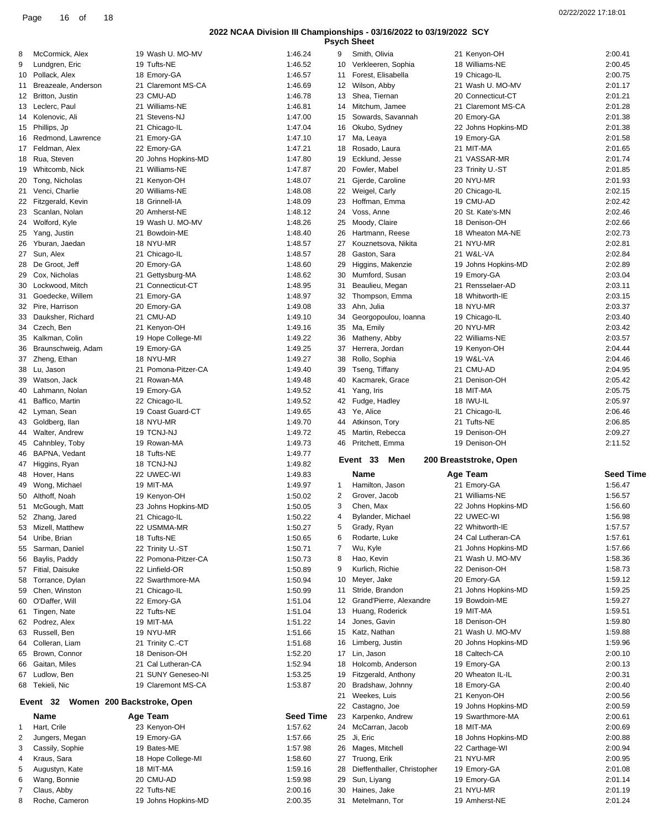**Psych Sheet**

| 8                 | McCormick, Alex                     | 19 Wash U. MO-MV         | 1:46.24            | 9              | Smith, Olivia                  | 21 Kenyon-OH             | 2:00.41            |
|-------------------|-------------------------------------|--------------------------|--------------------|----------------|--------------------------------|--------------------------|--------------------|
| 9                 | Lundgren, Eric                      | 19 Tufts-NE              | 1:46.52            | 10             | Verkleeren, Sophia             | 18 Williams-NE           | 2:00.45            |
| 10                | Pollack, Alex                       | 18 Emory-GA              | 1:46.57            | 11             | Forest, Elisabella             | 19 Chicago-IL            | 2:00.75            |
|                   |                                     |                          |                    |                |                                |                          |                    |
|                   | 11 Breazeale, Anderson              | 21 Claremont MS-CA       | 1:46.69            | 12             | Wilson, Abby                   | 21 Wash U. MO-MV         | 2:01.17            |
|                   | 12 Britton, Justin                  | 23 CMU-AD                | 1:46.78            | 13             | Shea, Tiernan                  | 20 Connecticut-CT        | 2:01.21            |
|                   | 13 Leclerc, Paul                    | 21 Williams-NE           | 1:46.81            | 14             | Mitchum, Jamee                 | 21 Claremont MS-CA       | 2:01.28            |
|                   | 14 Kolenovic, Ali                   | 21 Stevens-NJ            | 1:47.00            | 15             | Sowards, Savannah              | 20 Emory-GA              | 2:01.38            |
|                   | 15 Phillips, Jp                     | 21 Chicago-IL            | 1:47.04            | 16             |                                | 22 Johns Hopkins-MD      | 2:01.38            |
|                   |                                     |                          |                    |                | Okubo, Sydney                  |                          |                    |
| 16                | Redmond, Lawrence                   | 21 Emory-GA              | 1:47.10            | 17             | Ma, Leaya                      | 19 Emory-GA              | 2:01.58            |
|                   | 17 Feldman, Alex                    | 22 Emory-GA              | 1:47.21            | 18             | Rosado, Laura                  | 21 MIT-MA                | 2:01.65            |
|                   | 18 Rua, Steven                      | 20 Johns Hopkins-MD      | 1:47.80            | 19             | Ecklund, Jesse                 | 21 VASSAR-MR             | 2:01.74            |
| 19                | Whitcomb, Nick                      | 21 Williams-NE           | 1:47.87            | 20             | Fowler, Mabel                  | 23 Trinity U.-ST         | 2:01.85            |
|                   |                                     |                          |                    |                |                                |                          |                    |
| 20                | Tong, Nicholas                      | 21 Kenyon-OH             | 1:48.07            | 21             | Gjerde, Caroline               | 20 NYU-MR                | 2:01.93            |
|                   | 21 Venci, Charlie                   | 20 Williams-NE           | 1:48.08            | 22             | Weigel, Carly                  | 20 Chicago-IL            | 2:02.15            |
|                   | 22 Fitzgerald, Kevin                | 18 Grinnell-IA           | 1:48.09            | 23             | Hoffman, Emma                  | 19 CMU-AD                | 2:02.42            |
|                   | 23 Scanlan, Nolan                   | 20 Amherst-NE            | 1:48.12            | 24             | Voss, Anne                     | 20 St. Kate's-MN         | 2:02.46            |
|                   |                                     |                          |                    |                |                                |                          |                    |
|                   | 24 Wolford, Kyle                    | 19 Wash U. MO-MV         | 1:48.26            | 25             | Moody, Claire                  | 18 Denison-OH            | 2:02.66            |
|                   | 25 Yang, Justin                     | 21 Bowdoin-ME            | 1:48.40            | 26             | Hartmann, Reese                | 18 Wheaton MA-NE         | 2:02.73            |
| 26                | Yburan, Jaedan                      | 18 NYU-MR                | 1:48.57            | 27             | Kouznetsova, Nikita            | 21 NYU-MR                | 2:02.81            |
|                   | 27 Sun, Alex                        | 21 Chicago-IL            | 1:48.57            | 28             | Gaston, Sara                   | 21 W&L-VA                | 2:02.84            |
|                   |                                     |                          |                    |                |                                |                          |                    |
|                   | 28 De Groot, Jeff                   | 20 Emory-GA              | 1:48.60            | 29             | Higgins, Makenzie              | 19 Johns Hopkins-MD      | 2:02.89            |
| 29                | Cox, Nicholas                       | 21 Gettysburg-MA         | 1:48.62            | 30             | Mumford, Susan                 | 19 Emory-GA              | 2:03.04            |
|                   | 30 Lockwood, Mitch                  | 21 Connecticut-CT        | 1:48.95            | 31             | Beaulieu, Megan                | 21 Rensselaer-AD         | 2:03.11            |
|                   | 31 Goedecke, Willem                 | 21 Emory-GA              | 1:48.97            | 32             | Thompson, Emma                 | 18 Whitworth-IE          | 2:03.15            |
|                   |                                     |                          |                    |                |                                |                          |                    |
|                   | 32 Pire, Harrison                   | 20 Emory-GA              | 1:49.08            | 33             | Ahn, Julia                     | 18 NYU-MR                | 2:03.37            |
|                   | 33 Dauksher, Richard                | 21 CMU-AD                | 1:49.10            | 34             | Georgopoulou, Ioanna           | 19 Chicago-IL            | 2:03.40            |
|                   | 34 Czech, Ben                       | 21 Kenyon-OH             | 1:49.16            | 35             | Ma, Emily                      | 20 NYU-MR                | 2:03.42            |
|                   | 35 Kalkman, Colin                   | 19 Hope College-MI       | 1:49.22            | 36             | Matheny, Abby                  | 22 Williams-NE           | 2:03.57            |
|                   |                                     |                          |                    |                |                                |                          |                    |
| 36                | Braunschweig, Adam                  | 19 Emory-GA              | 1:49.25            | 37             | Herrera, Jordan                | 19 Kenyon-OH             | 2:04.44            |
|                   | 37 Zheng, Ethan                     | 18 NYU-MR                | 1:49.27            | 38             | Rollo, Sophia                  | 19 W&L-VA                | 2:04.46            |
|                   | 38 Lu, Jason                        | 21 Pomona-Pitzer-CA      | 1:49.40            | 39             | Tseng, Tiffany                 | 21 CMU-AD                | 2:04.95            |
|                   | 39 Watson, Jack                     | 21 Rowan-MA              | 1:49.48            | 40             | Kacmarek, Grace                | 21 Denison-OH            | 2:05.42            |
|                   |                                     |                          |                    |                |                                |                          |                    |
| 40                | Lahmann, Nolan                      | 19 Emory-GA              | 1:49.52            | 41             | Yang, Iris                     | 18 MIT-MA                | 2:05.75            |
|                   | 41 Baffico, Martin                  | 22 Chicago-IL            | 1:49.52            | 42             | Fudge, Hadley                  | 18 IWU-IL                | 2:05.97            |
|                   | 42 Lyman, Sean                      | 19 Coast Guard-CT        | 1:49.65            | 43             | Ye, Alice                      | 21 Chicago-IL            | 2:06.46            |
|                   |                                     |                          |                    |                |                                |                          |                    |
|                   |                                     |                          |                    |                |                                |                          |                    |
|                   | 43 Goldberg, Ilan                   | 18 NYU-MR                | 1:49.70            | 44             | Atkinson, Tory                 | 21 Tufts-NE              | 2:06.85            |
|                   | 44 Walter, Andrew                   | 19 TCNJ-NJ               | 1:49.72            | 45             | Martin, Rebecca                | 19 Denison-OH            | 2:09.27            |
|                   | 45 Cahnbley, Toby                   | 19 Rowan-MA              | 1:49.73            | 46             | Pritchett, Emma                | 19 Denison-OH            | 2:11.52            |
|                   | 46 BAPNA, Vedant                    | 18 Tufts-NE              | 1:49.77            |                |                                |                          |                    |
|                   |                                     |                          |                    |                | Event 33<br>Men                | 200 Breaststroke, Open   |                    |
|                   | 47 Higgins, Ryan                    | 18 TCNJ-NJ               | 1:49.82            |                |                                |                          |                    |
|                   | 48 Hover, Hans                      | 22 UWEC-WI               | 1:49.83            |                | Name                           | Age Team                 | <b>Seed Time</b>   |
| 49                | Wong, Michael                       | 19 MIT-MA                | 1:49.97            | $\mathbf{1}$   | Hamilton, Jason                | 21 Emory-GA              | 1:56.47            |
|                   | 50 Althoff, Noah                    | 19 Kenyon-OH             | 1:50.02            | $\overline{c}$ | Grover, Jacob                  | 21 Williams-NE           | 1:56.57            |
|                   |                                     |                          |                    | 3              | Chen, Max                      |                          | 1:56.60            |
|                   | 51 McGough, Matt                    | 23 Johns Hopkins-MD      | 1:50.05            |                |                                | 22 Johns Hopkins-MD      |                    |
|                   | 52 Zhang, Jared                     | 21 Chicago-IL            | 1:50.22            | 4              | Bylander, Michael              | 22 UWEC-WI               | 1:56.98            |
|                   | 53 Mizell, Matthew                  | 22 USMMA-MR              | 1:50.27            | 5              | Grady, Ryan                    | 22 Whitworth-IE          | 1:57.57            |
|                   | 54 Uribe, Brian                     | 18 Tufts-NE              | 1:50.65            | 6              | Rodarte, Luke                  | 24 Cal Lutheran-CA       | 1:57.61            |
|                   |                                     |                          |                    | 7              | Wu, Kyle                       |                          | 1:57.66            |
|                   | 55 Sarman, Daniel                   | 22 Trinity U.-ST         | 1:50.71            |                |                                | 21 Johns Hopkins-MD      |                    |
| 56                | Baylis, Paddy                       | 22 Pomona-Pitzer-CA      | 1:50.73            | 8              | Hao, Kevin                     | 21 Wash U. MO-MV         | 1:58.36            |
|                   | 57 Fitial, Daisuke                  | 22 Linfield-OR           | 1:50.89            | 9              | Kurlich, Richie                | 22 Denison-OH            | 1:58.73            |
|                   | 58 Torrance, Dylan                  | 22 Swarthmore-MA         | 1:50.94            | 10             | Meyer, Jake                    | 20 Emory-GA              | 1:59.12            |
|                   | 59 Chen, Winston                    | 21 Chicago-IL            | 1:50.99            | 11             | Stride, Brandon                | 21 Johns Hopkins-MD      | 1:59.25            |
|                   |                                     |                          |                    |                |                                |                          |                    |
|                   | 60 O'Daffer, Will                   | 22 Emory-GA              | 1:51.04            | 12             | Grand'Pierre, Alexandre        | 19 Bowdoin-ME            | 1:59.27            |
|                   | 61 Tingen, Nate                     | 22 Tufts-NE              | 1:51.04            | 13             | Huang, Roderick                | 19 MIT-MA                | 1:59.51            |
|                   | 62 Podrez, Alex                     | 19 MIT-MA                | 1:51.22            | 14             | Jones, Gavin                   | 18 Denison-OH            | 1:59.80            |
|                   | 63 Russell, Ben                     | 19 NYU-MR                | 1:51.66            | 15             | Katz, Nathan                   | 21 Wash U. MO-MV         | 1:59.88            |
|                   |                                     |                          |                    |                |                                |                          |                    |
|                   | 64 Colleran, Liam                   | 21 Trinity C.-CT         | 1:51.68            | 16             | Limberg, Justin                | 20 Johns Hopkins-MD      | 1:59.96            |
|                   | 65 Brown, Connor                    | 18 Denison-OH            | 1:52.20            | 17             | Lin, Jason                     | 18 Caltech-CA            | 2:00.10            |
|                   | 66 Gaitan, Miles                    | 21 Cal Lutheran-CA       | 1:52.94            | 18             | Holcomb, Anderson              | 19 Emory-GA              | 2:00.13            |
|                   | 67 Ludlow, Ben                      | 21 SUNY Geneseo-NI       | 1:53.25            | 19             | Fitzgerald, Anthony            | 20 Wheaton IL-IL         | 2:00.31            |
|                   |                                     | 19 Claremont MS-CA       | 1:53.87            | 20             | Bradshaw, Johnny               | 18 Emory-GA              | 2:00.40            |
|                   | 68 Tekieli, Nic                     |                          |                    |                |                                |                          |                    |
|                   |                                     |                          |                    | 21             | Weekes, Luis                   | 21 Kenyon-OH             | 2:00.56            |
|                   | Event 32 Women 200 Backstroke, Open |                          |                    |                | 22 Castagno, Joe               | 19 Johns Hopkins-MD      | 2:00.59            |
|                   | Name                                | Age Team                 | <b>Seed Time</b>   | 23             | Karpenko, Andrew               | 19 Swarthmore-MA         | 2:00.61            |
|                   | Hart, Crile                         | 23 Kenyon-OH             | 1:57.62            | 24             | McCarran, Jacob                | 18 MIT-MA                | 2:00.69            |
|                   |                                     |                          |                    |                |                                |                          |                    |
| 2                 | Jungers, Megan                      | 19 Emory-GA              | 1:57.66            | 25             | Ji, Eric                       | 18 Johns Hopkins-MD      | 2:00.88            |
| $\mathbf{1}$<br>3 | Cassily, Sophie                     | 19 Bates-ME              | 1:57.98            | 26             | Mages, Mitchell                | 22 Carthage-WI           | 2:00.94            |
| 4                 | Kraus, Sara                         | 18 Hope College-MI       | 1:58.60            | 27             | Truong, Erik                   | 21 NYU-MR                | 2:00.95            |
| 5                 | Augustyn, Kate                      | 18 MIT-MA                | 1:59.16            | 28             | Dieffenthaller, Christopher    | 19 Emory-GA              | 2:01.08            |
|                   |                                     |                          |                    |                |                                |                          |                    |
| 6<br>7            | Wang, Bonnie<br>Claus, Abby         | 20 CMU-AD<br>22 Tufts-NE | 1:59.98<br>2:00.16 | 29             | Sun, Liyang<br>30 Haines, Jake | 19 Emory-GA<br>21 NYU-MR | 2:01.14<br>2:01.19 |

31 Metelmann, Tor 19 Amherst-NE 2:01.24

8 Roche, Cameron 19 Johns Hopkins-MD 2:00.35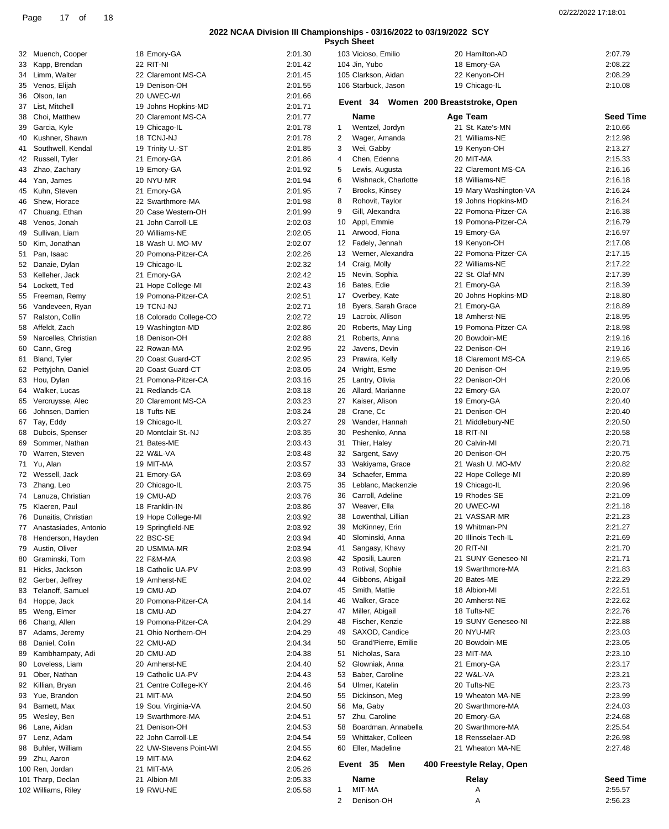**Psych Sheet**

|                          |                        |         | <b>Psych Sheet</b>              |                              |                  |
|--------------------------|------------------------|---------|---------------------------------|------------------------------|------------------|
| 32 Muench, Cooper        | 18 Emory-GA            | 2:01.30 | 103 Vicioso, Emilio             | 20 Hamilton-AD               | 2:07.79          |
| 33 Kapp, Brendan         | 22 RIT-NI              | 2:01.42 | 104 Jin, Yubo                   | 18 Emory-GA                  | 2:08.22          |
| 34 Limm, Walter          | 22 Claremont MS-CA     | 2:01.45 | 105 Clarkson, Aidan             | 22 Kenyon-OH                 | 2:08.29          |
| 35 Venos, Elijah         | 19 Denison-OH          | 2:01.55 | 106 Starbuck, Jason             | 19 Chicago-IL                | 2:10.08          |
| 36 Olson, lan            | 20 UWEC-WI             | 2:01.66 |                                 |                              |                  |
| 37 List, Mitchell        | 19 Johns Hopkins-MD    | 2:01.71 | Event 34                        | Women 200 Breaststroke, Open |                  |
| 38 Choi, Matthew         | 20 Claremont MS-CA     | 2:01.77 | Name                            | Age Team                     | <b>Seed Time</b> |
| 39 Garcia, Kyle          | 19 Chicago-IL          | 2:01.78 | Wentzel, Jordyn<br>$\mathbf{1}$ | 21 St. Kate's-MN             | 2:10.66          |
| 40 Kushner, Shawn        | 18 TCNJ-NJ             | 2:01.78 | Wager, Amanda<br>2              | 21 Williams-NE               | 2:12.98          |
| 41 Southwell, Kendal     | 19 Trinity U.-ST       | 2:01.85 | Wei, Gabby<br>3                 | 19 Kenyon-OH                 | 2:13.27          |
| 42 Russell, Tyler        | 21 Emory-GA            | 2:01.86 | Chen, Edenna<br>4               | 20 MIT-MA                    | 2:15.33          |
| 43 Zhao, Zachary         | 19 Emory-GA            | 2:01.92 | Lewis, Augusta<br>5             | 22 Claremont MS-CA           | 2:16.16          |
| 44 Yan, James            | 20 NYU-MR              | 2:01.94 | Wishnack, Charlotte<br>6        | 18 Williams-NE               | 2:16.18          |
| 45 Kuhn, Steven          | 21 Emory-GA            | 2:01.95 | 7<br>Brooks, Kinsey             | 19 Mary Washington-VA        | 2:16.24          |
|                          |                        |         |                                 |                              | 2:16.24          |
| 46 Shew, Horace          | 22 Swarthmore-MA       | 2:01.98 | Rohovit, Taylor<br>8            | 19 Johns Hopkins-MD          |                  |
| 47 Chuang, Ethan         | 20 Case Western-OH     | 2:01.99 | Gill, Alexandra<br>9            | 22 Pomona-Pitzer-CA          | 2:16.38          |
| 48 Venos, Jonah          | 21 John Carroll-LE     | 2:02.03 | 10<br>Appl, Emmie               | 19 Pomona-Pitzer-CA          | 2:16.79          |
| 49 Sullivan, Liam        | 20 Williams-NE         | 2:02.05 | Arwood, Fiona<br>11             | 19 Emory-GA                  | 2:16.97          |
| 50 Kim, Jonathan         | 18 Wash U. MO-MV       | 2:02.07 | 12 Fadely, Jennah               | 19 Kenyon-OH                 | 2:17.08          |
| 51 Pan, Isaac            | 20 Pomona-Pitzer-CA    | 2:02.26 | Werner, Alexandra<br>13         | 22 Pomona-Pitzer-CA          | 2:17.15          |
| 52 Danaie, Dylan         | 19 Chicago-IL          | 2:02.32 | Craig, Molly<br>14              | 22 Williams-NE               | 2:17.22          |
| 53 Kelleher, Jack        | 21 Emory-GA            | 2:02.42 | Nevin, Sophia<br>15             | 22 St. Olaf-MN               | 2:17.39          |
| 54 Lockett, Ted          | 21 Hope College-MI     | 2:02.43 | Bates, Edie<br>16               | 21 Emory-GA                  | 2:18.39          |
| 55 Freeman, Remy         | 19 Pomona-Pitzer-CA    | 2:02.51 | Overbey, Kate<br>17             | 20 Johns Hopkins-MD          | 2:18.80          |
| 56 Vandeveen, Ryan       | 19 TCNJ-NJ             | 2:02.71 | Byers, Sarah Grace<br>18        | 21 Emory-GA                  | 2:18.89          |
| 57 Ralston, Collin       | 18 Colorado College-CO | 2:02.72 | Lacroix, Allison<br>19          | 18 Amherst-NE                | 2:18.95          |
| 58 Affeldt, Zach         | 19 Washington-MD       | 2:02.86 | 20<br>Roberts, May Ling         | 19 Pomona-Pitzer-CA          | 2:18.98          |
| 59 Narcelles, Christian  | 18 Denison-OH          | 2:02.88 | 21<br>Roberts, Anna             | 20 Bowdoin-ME                | 2:19.16          |
|                          |                        |         |                                 |                              |                  |
| 60 Cann, Greg            | 22 Rowan-MA            | 2:02.95 | 22<br>Javens, Devin             | 22 Denison-OH                | 2:19.16          |
| 61 Bland, Tyler          | 20 Coast Guard-CT      | 2:02.95 | 23<br>Prawira, Kelly            | 18 Claremont MS-CA           | 2:19.65          |
| 62 Pettyjohn, Daniel     | 20 Coast Guard-CT      | 2:03.05 | Wright, Esme<br>24              | 20 Denison-OH                | 2:19.95          |
| 63 Hou, Dylan            | 21 Pomona-Pitzer-CA    | 2:03.16 | 25<br>Lantry, Olivia            | 22 Denison-OH                | 2:20.06          |
| 64 Walker, Lucas         | 21 Redlands-CA         | 2:03.18 | 26<br>Allard, Marianne          | 22 Emory-GA                  | 2:20.07          |
| 65 Vercruysse, Alec      | 20 Claremont MS-CA     | 2:03.23 | Kaiser, Alison<br>27            | 19 Emory-GA                  | 2:20.40          |
| 66 Johnsen, Darrien      | 18 Tufts-NE            | 2:03.24 | 28<br>Crane, Cc                 | 21 Denison-OH                | 2:20.40          |
| 67 Tay, Eddy             | 19 Chicago-IL          | 2:03.27 | 29<br>Wander, Hannah            | 21 Middlebury-NE             | 2:20.50          |
| 68 Dubois, Spenser       | 20 Montclair St.-NJ    | 2:03.35 | 30<br>Peshenko, Anna            | 18 RIT-NI                    | 2:20.58          |
| 69 Sommer, Nathan        | 21 Bates-ME            | 2:03.43 | Thier, Haley<br>31              | 20 Calvin-MI                 | 2:20.71          |
| 70 Warren, Steven        | 22 W&L-VA              | 2:03.48 | Sargent, Savy<br>32             | 20 Denison-OH                | 2:20.75          |
| 71 Yu, Alan              | 19 MIT-MA              | 2:03.57 | Wakiyama, Grace<br>33           | 21 Wash U. MO-MV             | 2:20.82          |
| 72 Wessell, Jack         |                        | 2:03.69 | Schaefer, Emma<br>34            |                              | 2:20.89          |
|                          | 21 Emory-GA            |         |                                 | 22 Hope College-MI           |                  |
| 73 Zhang, Leo            | 20 Chicago-IL          | 2:03.75 | 35<br>Leblanc, Mackenzie        | 19 Chicago-IL                | 2:20.96          |
| 74 Lanuza, Christian     | 19 CMU-AD              | 2:03.76 | Carroll, Adeline<br>36          | 19 Rhodes-SE                 | 2:21.09          |
| 75 Klaeren, Paul         | 18 Franklin-IN         | 2:03.86 | 37 Weaver, Ella                 | 20 UWEC-WI                   | 2:21.18          |
| 76 Dunaitis, Christian   | 19 Hope College-MI     | 2:03.92 | Lowenthal, Lillian<br>38        | 21 VASSAR-MR                 | 2:21.23          |
| 77 Anastasiades, Antonio | 19 Springfield-NE      | 2:03.92 | McKinney, Erin<br>39            | 19 Whitman-PN                | 2:21.27          |
| 78 Henderson, Hayden     | 22 BSC-SE              | 2:03.94 | Slominski, Anna<br>40           | 20 Illinois Tech-IL          | 2:21.69          |
| 79 Austin, Oliver        | 20 USMMA-MR            | 2:03.94 | Sangasy, Khavy<br>41            | 20 RIT-NI                    | 2:21.70          |
| 80 Graminski, Tom        | 22 F&M-MA              | 2:03.98 | 42 Sposili, Lauren              | 21 SUNY Geneseo-NI           | 2:21.71          |
| 81 Hicks, Jackson        | 18 Catholic UA-PV      | 2:03.99 | Rotival, Sophie<br>43           | 19 Swarthmore-MA             | 2:21.83          |
| 82 Gerber, Jeffrey       | 19 Amherst-NE          | 2:04.02 | Gibbons, Abigail<br>44          | 20 Bates-ME                  | 2:22.29          |
| 83 Telanoff, Samuel      | 19 CMU-AD              | 2:04.07 | 45 Smith, Mattie                | 18 Albion-MI                 | 2:22.51          |
| 84 Hoppe, Jack           | 20 Pomona-Pitzer-CA    | 2:04.14 | Walker, Grace<br>46             | 20 Amherst-NE                | 2:22.62          |
| 85 Weng, Elmer           | 18 CMU-AD              | 2:04.27 | 47<br>Miller, Abigail           | 18 Tufts-NE                  | 2:22.76          |
|                          |                        |         |                                 |                              |                  |
| 86 Chang, Allen          | 19 Pomona-Pitzer-CA    | 2:04.29 | Fischer, Kenzie<br>48           | 19 SUNY Geneseo-NI           | 2:22.88          |
| 87 Adams, Jeremy         | 21 Ohio Northern-OH    | 2:04.29 | SAXOD, Candice<br>49            | 20 NYU-MR                    | 2:23.03          |
| 88 Daniel, Colin         | 22 CMU-AD              | 2:04.34 | Grand'Pierre, Emilie<br>50      | 20 Bowdoin-ME                | 2:23.05          |
| 89 Kambhampaty, Adi      | 20 CMU-AD              | 2:04.38 | Nicholas, Sara<br>51            | 23 MIT-MA                    | 2:23.10          |
| 90 Loveless, Liam        | 20 Amherst-NE          | 2:04.40 | 52<br>Glowniak, Anna            | 21 Emory-GA                  | 2:23.17          |
| 91 Ober, Nathan          | 19 Catholic UA-PV      | 2:04.43 | Baber, Caroline<br>53           | 22 W&L-VA                    | 2:23.21          |
| 92 Killian, Bryan        | 21 Centre College-KY   | 2:04.46 | Ulmer, Katelin<br>54            | 20 Tufts-NE                  | 2:23.73          |
| 93 Yue, Brandon          | 21 MIT-MA              | 2:04.50 | 55<br>Dickinson, Meg            | 19 Wheaton MA-NE             | 2:23.99          |
| 94 Barnett, Max          | 19 Sou. Virginia-VA    | 2:04.50 | Ma, Gaby<br>56                  | 20 Swarthmore-MA             | 2:24.03          |
| 95 Wesley, Ben           | 19 Swarthmore-MA       | 2:04.51 | 57 Zhu, Caroline                | 20 Emory-GA                  | 2:24.68          |
| 96 Lane, Aidan           | 21 Denison-OH          | 2:04.53 | Boardman, Annabella<br>58       | 20 Swarthmore-MA             | 2:25.54          |
| 97 Lenz, Adam            | 22 John Carroll-LE     | 2:04.54 | Whittaker, Colleen<br>59        | 18 Rensselaer-AD             | 2:26.98          |
| 98 Buhler, William       | 22 UW-Stevens Point-WI | 2:04.55 | 60 Eller, Madeline              | 21 Wheaton MA-NE             | 2:27.48          |
|                          |                        |         |                                 |                              |                  |
| 99 Zhu, Aaron            | 19 MIT-MA              | 2:04.62 | Event 35<br>Men                 | 400 Freestyle Relay, Open    |                  |
| 100 Ren, Jordan          | 21 MIT-MA              | 2:05.26 |                                 |                              |                  |
| 101 Tharp, Declan        | 21 Albion-MI           | 2:05.33 | Name                            | Relay                        | <b>Seed Time</b> |
| 102 Williams, Riley      | 19 RWU-NE              | 2:05.58 | MIT-MA<br>1                     | Α                            | 2:55.57          |
|                          |                        |         | Denison-OH<br>2                 | Α                            | 2:56.23          |